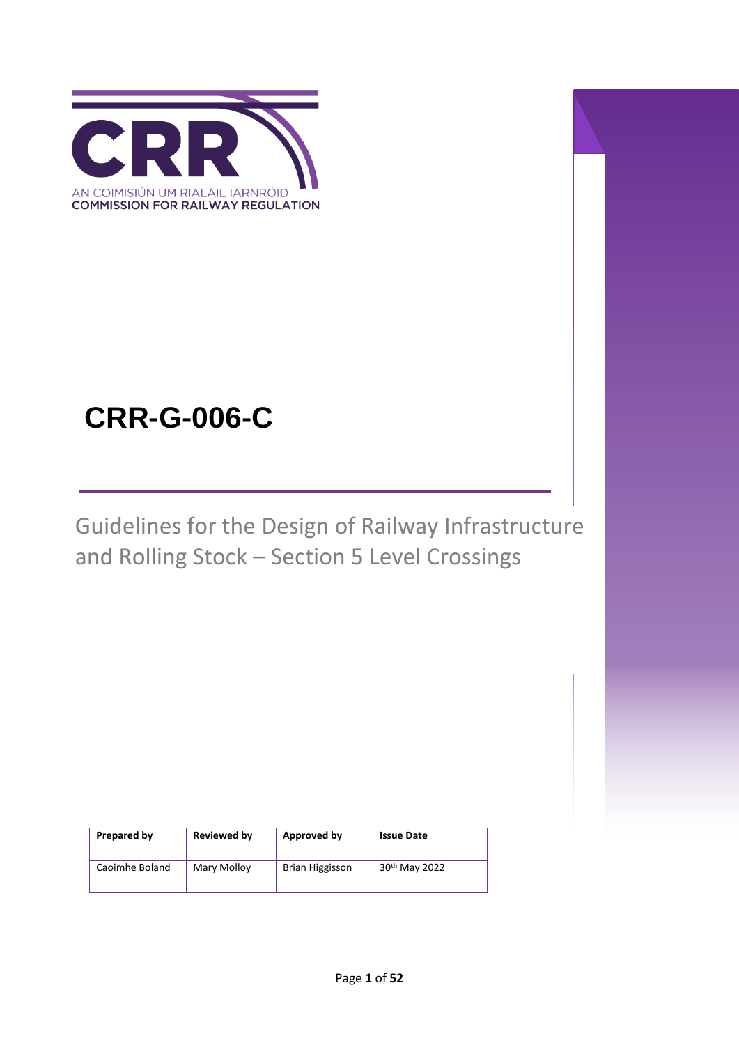

# **CRR-G-006-C**

Guidelines for the Design of Railway Infrastructure and Rolling Stock – Section 5 Level Crossings

| Prepared by    | Reviewed by | Approved by     | <b>Issue Date</b>         |
|----------------|-------------|-----------------|---------------------------|
| Caoimhe Boland | Mary Molloy | Brian Higgisson | 30 <sup>th</sup> May 2022 |

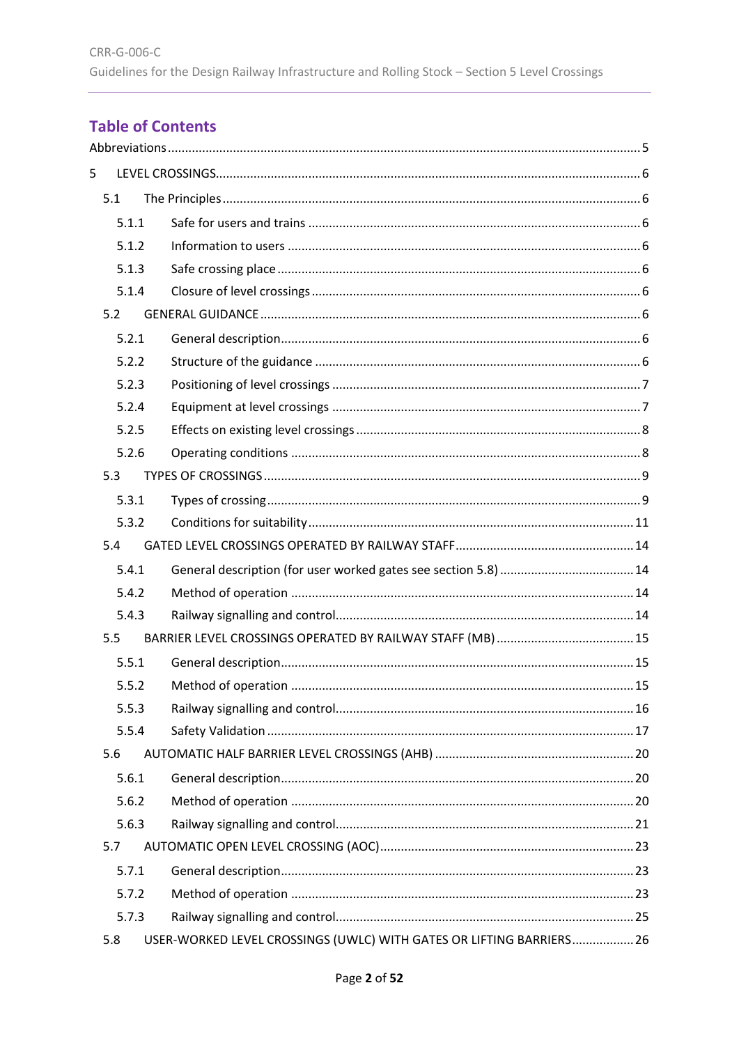# **Table of Contents**

| 5 |       |                                                                      |  |
|---|-------|----------------------------------------------------------------------|--|
|   | 5.1   |                                                                      |  |
|   | 5.1.1 |                                                                      |  |
|   | 5.1.2 |                                                                      |  |
|   | 5.1.3 |                                                                      |  |
|   | 5.1.4 |                                                                      |  |
|   | 5.2   |                                                                      |  |
|   | 5.2.1 |                                                                      |  |
|   | 5.2.2 |                                                                      |  |
|   | 5.2.3 |                                                                      |  |
|   | 5.2.4 |                                                                      |  |
|   | 5.2.5 |                                                                      |  |
|   | 5.2.6 |                                                                      |  |
|   | 5.3   |                                                                      |  |
|   | 5.3.1 |                                                                      |  |
|   | 5.3.2 |                                                                      |  |
|   | 5.4   |                                                                      |  |
|   | 5.4.1 |                                                                      |  |
|   | 5.4.2 |                                                                      |  |
|   | 5.4.3 |                                                                      |  |
|   | 5.5   |                                                                      |  |
|   | 5.5.1 |                                                                      |  |
|   | 5.5.2 |                                                                      |  |
|   | 5.5.3 |                                                                      |  |
|   | 5.5.4 |                                                                      |  |
|   | 5.6   |                                                                      |  |
|   | 5.6.1 |                                                                      |  |
|   | 5.6.2 |                                                                      |  |
|   | 5.6.3 |                                                                      |  |
|   | 5.7   |                                                                      |  |
|   | 5.7.1 |                                                                      |  |
|   | 5.7.2 |                                                                      |  |
|   | 5.7.3 |                                                                      |  |
|   | 5.8   | USER-WORKED LEVEL CROSSINGS (UWLC) WITH GATES OR LIFTING BARRIERS 26 |  |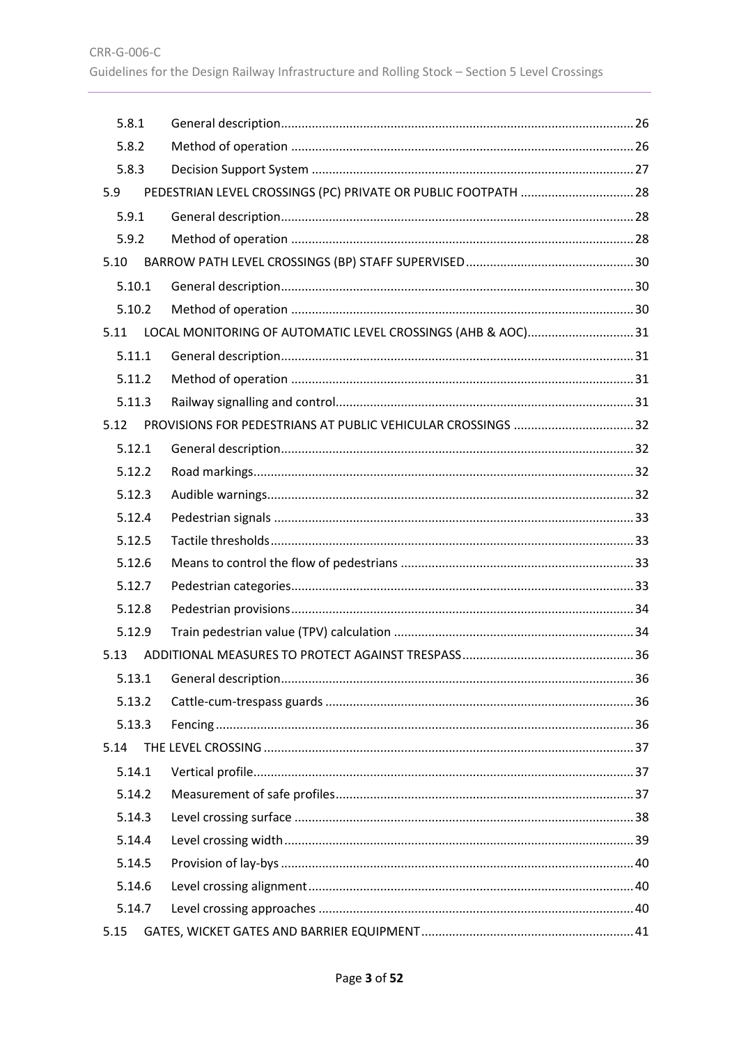| 5.8.1<br>5.8.2<br>5.8.3<br>PEDESTRIAN LEVEL CROSSINGS (PC) PRIVATE OR PUBLIC FOOTPATH  28<br>5.9<br>5.9.1<br>5.9.2<br>5.10<br>5.10.1<br>5.10.2<br>LOCAL MONITORING OF AUTOMATIC LEVEL CROSSINGS (AHB & AOC)31<br>5.11<br>5.11.1<br>5.11.2<br>5.11.3<br>5.12<br>5.12.1<br>5.12.2<br>5.12.3<br>5.12.4<br>5.12.5<br>5.12.6<br>5.12.7<br>5.12.8<br>5.12.9<br>5.13<br>5.13.1<br>5.13.2<br>5.13.3<br>5.14<br>5.14.1 |
|---------------------------------------------------------------------------------------------------------------------------------------------------------------------------------------------------------------------------------------------------------------------------------------------------------------------------------------------------------------------------------------------------------------|
|                                                                                                                                                                                                                                                                                                                                                                                                               |
|                                                                                                                                                                                                                                                                                                                                                                                                               |
|                                                                                                                                                                                                                                                                                                                                                                                                               |
|                                                                                                                                                                                                                                                                                                                                                                                                               |
|                                                                                                                                                                                                                                                                                                                                                                                                               |
|                                                                                                                                                                                                                                                                                                                                                                                                               |
|                                                                                                                                                                                                                                                                                                                                                                                                               |
|                                                                                                                                                                                                                                                                                                                                                                                                               |
|                                                                                                                                                                                                                                                                                                                                                                                                               |
|                                                                                                                                                                                                                                                                                                                                                                                                               |
|                                                                                                                                                                                                                                                                                                                                                                                                               |
|                                                                                                                                                                                                                                                                                                                                                                                                               |
|                                                                                                                                                                                                                                                                                                                                                                                                               |
|                                                                                                                                                                                                                                                                                                                                                                                                               |
|                                                                                                                                                                                                                                                                                                                                                                                                               |
|                                                                                                                                                                                                                                                                                                                                                                                                               |
|                                                                                                                                                                                                                                                                                                                                                                                                               |
|                                                                                                                                                                                                                                                                                                                                                                                                               |
|                                                                                                                                                                                                                                                                                                                                                                                                               |
|                                                                                                                                                                                                                                                                                                                                                                                                               |
|                                                                                                                                                                                                                                                                                                                                                                                                               |
|                                                                                                                                                                                                                                                                                                                                                                                                               |
|                                                                                                                                                                                                                                                                                                                                                                                                               |
|                                                                                                                                                                                                                                                                                                                                                                                                               |
|                                                                                                                                                                                                                                                                                                                                                                                                               |
|                                                                                                                                                                                                                                                                                                                                                                                                               |
|                                                                                                                                                                                                                                                                                                                                                                                                               |
|                                                                                                                                                                                                                                                                                                                                                                                                               |
|                                                                                                                                                                                                                                                                                                                                                                                                               |
| 5.14.2                                                                                                                                                                                                                                                                                                                                                                                                        |
| 5.14.3                                                                                                                                                                                                                                                                                                                                                                                                        |
| 5.14.4                                                                                                                                                                                                                                                                                                                                                                                                        |
| 5.14.5                                                                                                                                                                                                                                                                                                                                                                                                        |
| 5.14.6                                                                                                                                                                                                                                                                                                                                                                                                        |
| 5.14.7                                                                                                                                                                                                                                                                                                                                                                                                        |
| 5.15                                                                                                                                                                                                                                                                                                                                                                                                          |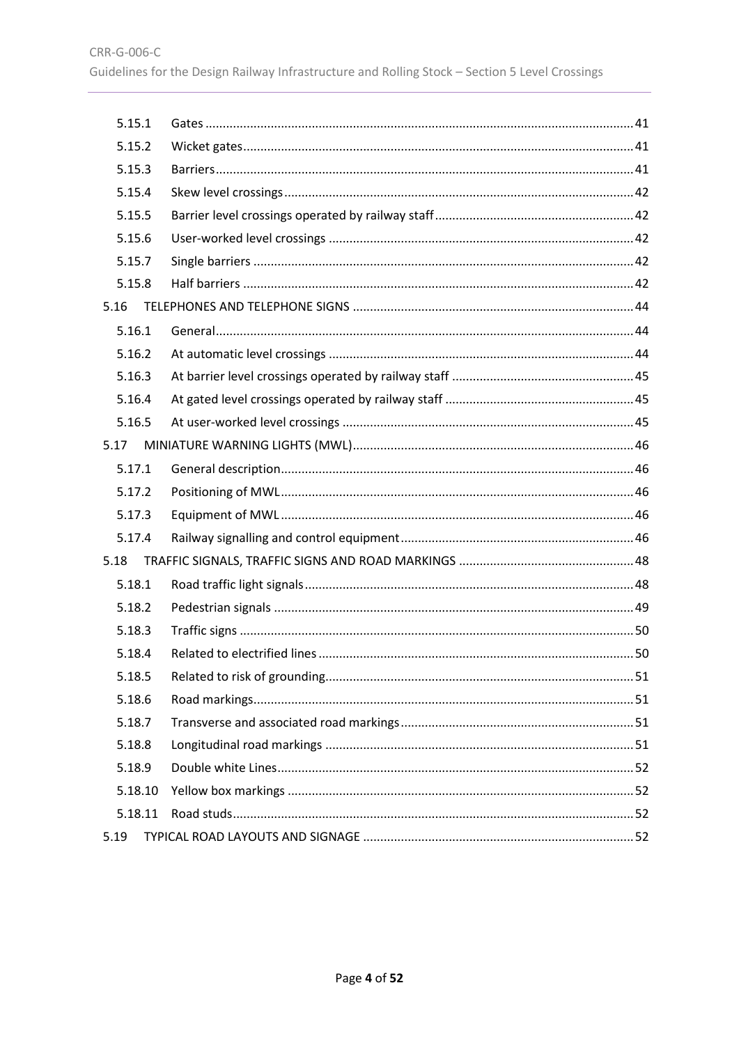| 5.15.1  |  |
|---------|--|
| 5.15.2  |  |
| 5.15.3  |  |
| 5.15.4  |  |
| 5.15.5  |  |
| 5.15.6  |  |
| 5.15.7  |  |
| 5.15.8  |  |
| 5.16    |  |
| 5.16.1  |  |
| 5.16.2  |  |
| 5.16.3  |  |
| 5.16.4  |  |
| 5.16.5  |  |
| 5.17    |  |
| 5.17.1  |  |
| 5.17.2  |  |
| 5.17.3  |  |
| 5.17.4  |  |
| 5.18    |  |
| 5.18.1  |  |
| 5.18.2  |  |
| 5.18.3  |  |
| 5.18.4  |  |
| 5.18.5  |  |
| 5.18.6  |  |
| 5.18.7  |  |
| 5.18.8  |  |
| 5.18.9  |  |
| 5.18.10 |  |
| 5.18.11 |  |
| 5.19    |  |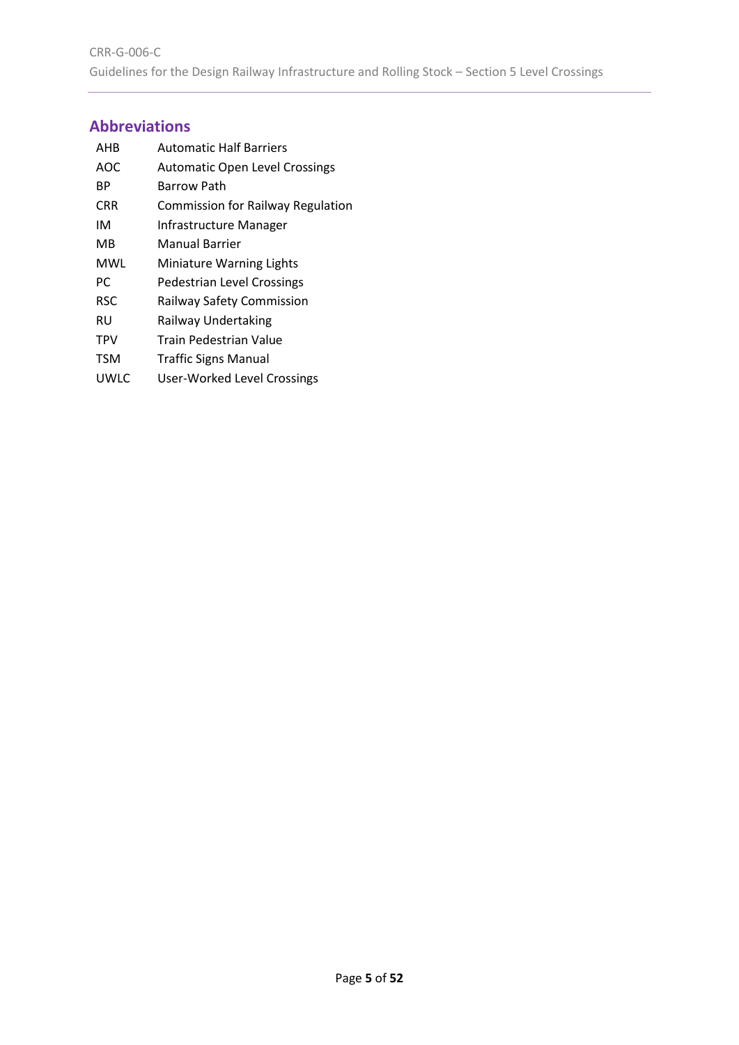# <span id="page-4-0"></span>**Abbreviations**

| AHB        | <b>Automatic Half Barriers</b>           |
|------------|------------------------------------------|
| AOC        | <b>Automatic Open Level Crossings</b>    |
| ВP         | Barrow Path                              |
| CRR        | <b>Commission for Railway Regulation</b> |
| ıм         | Infrastructure Manager                   |
| MВ         | Manual Barrier                           |
| MWL        | Miniature Warning Lights                 |
| РC         | Pedestrian Level Crossings               |
| RSC        | Railway Safety Commission                |
| RU         | Railway Undertaking                      |
| <b>TPV</b> | Train Pedestrian Value                   |
| <b>TSM</b> | <b>Traffic Signs Manual</b>              |
| UWLC       | User-Worked Level Crossings              |

Page **5** of **52**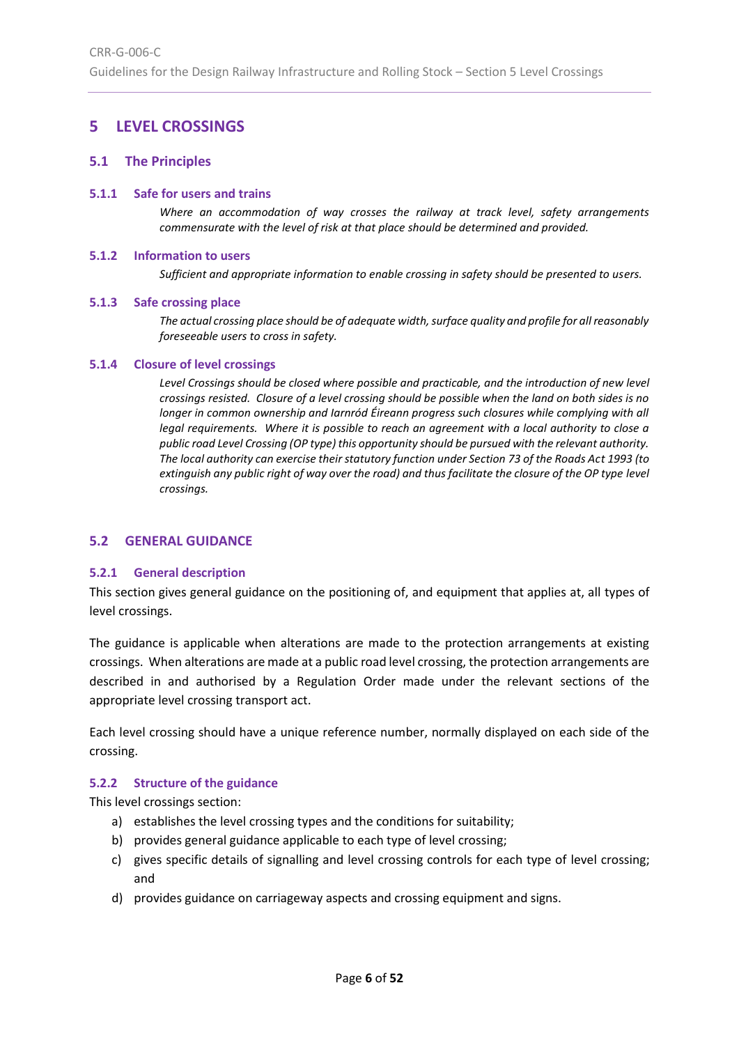# <span id="page-5-0"></span>**5 LEVEL CROSSINGS**

#### <span id="page-5-1"></span>**5.1 The Principles**

#### <span id="page-5-2"></span>**5.1.1 Safe for users and trains**

*Where an accommodation of way crosses the railway at track level, safety arrangements commensurate with the level of risk at that place should be determined and provided.*

#### <span id="page-5-3"></span>**5.1.2 Information to users**

*Sufficient and appropriate information to enable crossing in safety should be presented to users.*

#### <span id="page-5-4"></span>**5.1.3 Safe crossing place**

*The actual crossing place should be of adequate width, surface quality and profile for all reasonably foreseeable users to cross in safety.* 

#### <span id="page-5-5"></span>**5.1.4 Closure of level crossings**

*Level Crossings should be closed where possible and practicable, and the introduction of new level crossings resisted. Closure of a level crossing should be possible when the land on both sides is no longer in common ownership and Iarnród Éireann progress such closures while complying with all legal requirements. Where it is possible to reach an agreement with a local authority to close a public road Level Crossing (OP type) this opportunity should be pursued with the relevant authority. The local authority can exercise their statutory function under Section 73 of the Roads Act 1993 (to extinguish any public right of way over the road) and thus facilitate the closure of the OP type level crossings.*

#### <span id="page-5-6"></span>**5.2 GENERAL GUIDANCE**

#### <span id="page-5-7"></span>**5.2.1 General description**

This section gives general guidance on the positioning of, and equipment that applies at, all types of level crossings.

The guidance is applicable when alterations are made to the protection arrangements at existing crossings. When alterations are made at a public road level crossing, the protection arrangements are described in and authorised by a Regulation Order made under the relevant sections of the appropriate level crossing transport act.

Each level crossing should have a unique reference number, normally displayed on each side of the crossing.

#### <span id="page-5-8"></span>**5.2.2 Structure of the guidance**

This level crossings section:

- a) establishes the level crossing types and the conditions for suitability;
- b) provides general guidance applicable to each type of level crossing;
- c) gives specific details of signalling and level crossing controls for each type of level crossing; and
- d) provides guidance on carriageway aspects and crossing equipment and signs.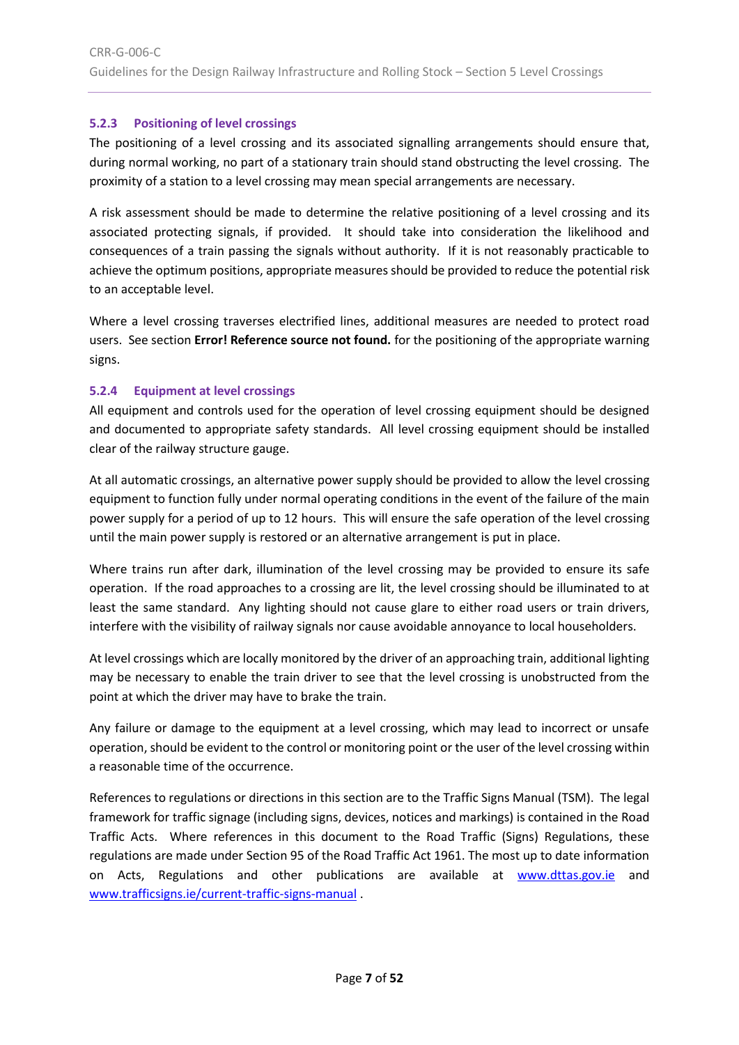# <span id="page-6-0"></span>**5.2.3 Positioning of level crossings**

The positioning of a level crossing and its associated signalling arrangements should ensure that, during normal working, no part of a stationary train should stand obstructing the level crossing. The proximity of a station to a level crossing may mean special arrangements are necessary.

A risk assessment should be made to determine the relative positioning of a level crossing and its associated protecting signals, if provided. It should take into consideration the likelihood and consequences of a train passing the signals without authority. If it is not reasonably practicable to achieve the optimum positions, appropriate measures should be provided to reduce the potential risk to an acceptable level.

Where a level crossing traverses electrified lines, additional measures are needed to protect road users. See section **Error! Reference source not found.** for the positioning of the appropriate warning signs.

# <span id="page-6-1"></span>**5.2.4 Equipment at level crossings**

All equipment and controls used for the operation of level crossing equipment should be designed and documented to appropriate safety standards. All level crossing equipment should be installed clear of the railway structure gauge.

At all automatic crossings, an alternative power supply should be provided to allow the level crossing equipment to function fully under normal operating conditions in the event of the failure of the main power supply for a period of up to 12 hours. This will ensure the safe operation of the level crossing until the main power supply is restored or an alternative arrangement is put in place.

Where trains run after dark, illumination of the level crossing may be provided to ensure its safe operation. If the road approaches to a crossing are lit, the level crossing should be illuminated to at least the same standard. Any lighting should not cause glare to either road users or train drivers, interfere with the visibility of railway signals nor cause avoidable annoyance to local householders.

At level crossings which are locally monitored by the driver of an approaching train, additional lighting may be necessary to enable the train driver to see that the level crossing is unobstructed from the point at which the driver may have to brake the train.

Any failure or damage to the equipment at a level crossing, which may lead to incorrect or unsafe operation, should be evident to the control or monitoring point or the user of the level crossing within a reasonable time of the occurrence.

References to regulations or directions in this section are to the Traffic Signs Manual (TSM). The legal framework for traffic signage (including signs, devices, notices and markings) is contained in the Road Traffic Acts. Where references in this document to the Road Traffic (Signs) Regulations, these regulations are made under Section 95 of the Road Traffic Act 1961. The most up to date information on Acts, Regulations and other publications are available at [www.dttas.gov.ie](http://www.dttas.gov.ie/) and [www.trafficsigns.ie/current-traffic-signs-manual](http://www.trafficsigns.ie/current-traffic-signs-manual) .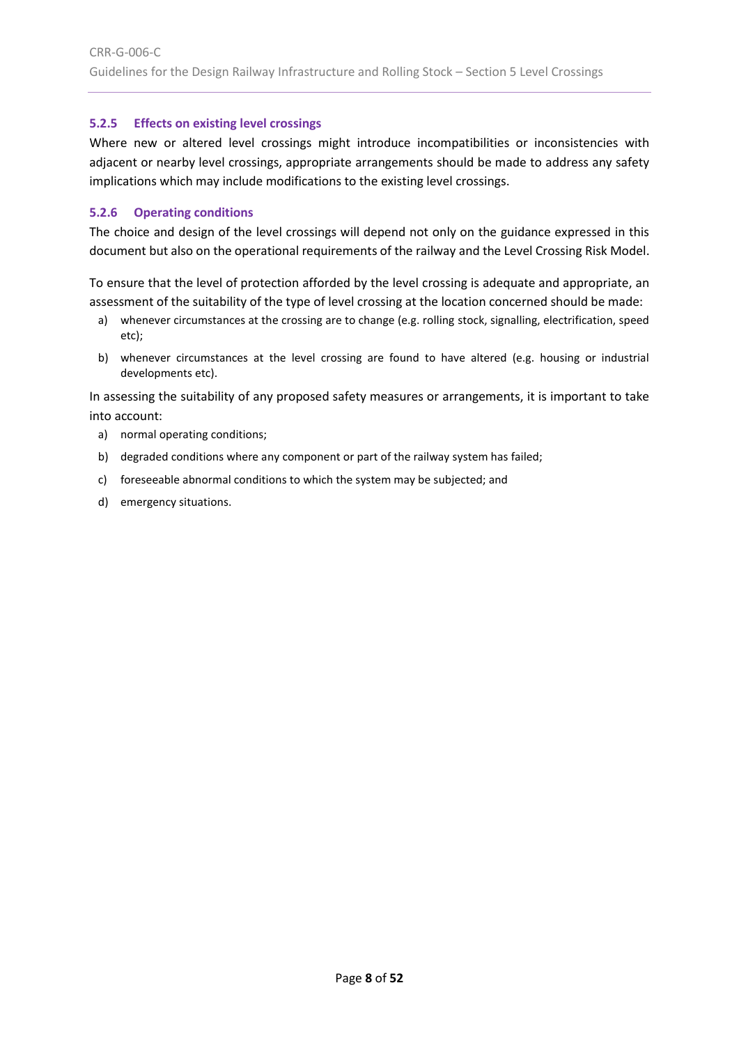# <span id="page-7-0"></span>**5.2.5 Effects on existing level crossings**

Where new or altered level crossings might introduce incompatibilities or inconsistencies with adjacent or nearby level crossings, appropriate arrangements should be made to address any safety implications which may include modifications to the existing level crossings.

# <span id="page-7-1"></span>**5.2.6 Operating conditions**

The choice and design of the level crossings will depend not only on the guidance expressed in this document but also on the operational requirements of the railway and the Level Crossing Risk Model.

To ensure that the level of protection afforded by the level crossing is adequate and appropriate, an assessment of the suitability of the type of level crossing at the location concerned should be made:

- a) whenever circumstances at the crossing are to change (e.g. rolling stock, signalling, electrification, speed etc);
- b) whenever circumstances at the level crossing are found to have altered (e.g. housing or industrial developments etc).

In assessing the suitability of any proposed safety measures or arrangements, it is important to take into account:

- a) normal operating conditions;
- b) degraded conditions where any component or part of the railway system has failed;
- c) foreseeable abnormal conditions to which the system may be subjected; and
- d) emergency situations.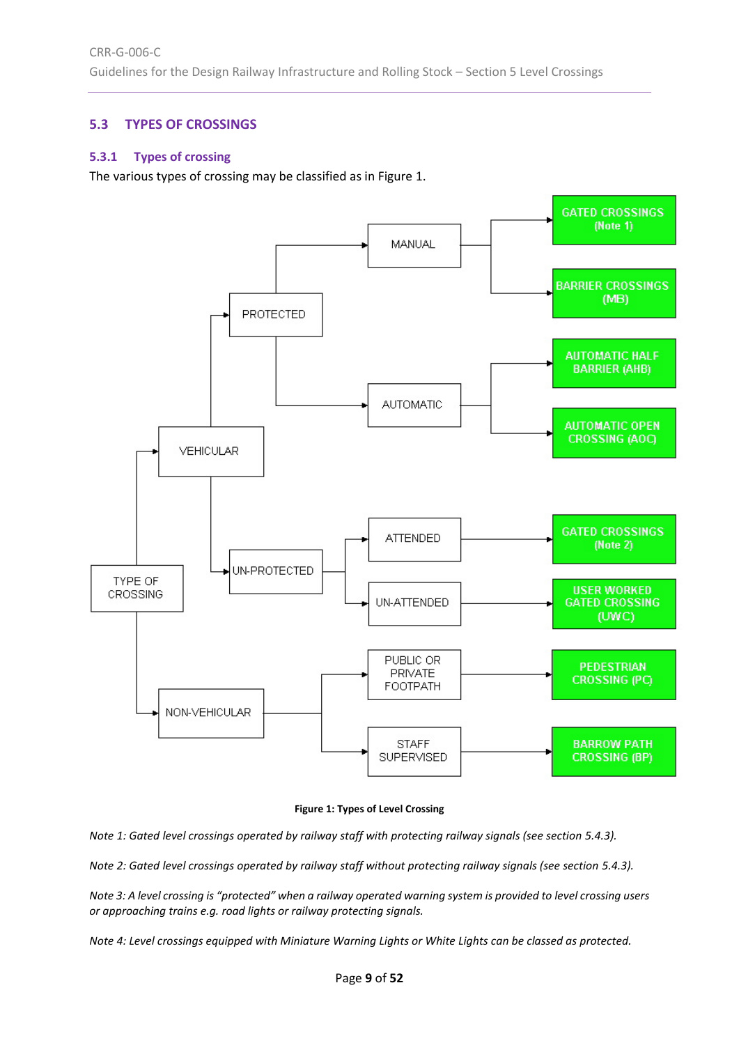# <span id="page-8-0"></span>**5.3 TYPES OF CROSSINGS**

## <span id="page-8-1"></span>**5.3.1 Types of crossing**

The various types of crossing may be classified as i[n Figure 1.](#page-8-2)



**Figure 1: Types of Level Crossing**

<span id="page-8-2"></span>*Note 1: Gated level crossings operated by railway staff with protecting railway signals (see section [5.4.3\)](#page-13-3).* 

*Note 2: Gated level crossings operated by railway staff without protecting railway signals (see section [5.4.3\)](#page-13-3).* 

*Note 3: A level crossing is "protected" when a railway operated warning system is provided to level crossing users or approaching trains e.g. road lights or railway protecting signals.*

*Note 4: Level crossings equipped with Miniature Warning Lights or White Lights can be classed as protected.*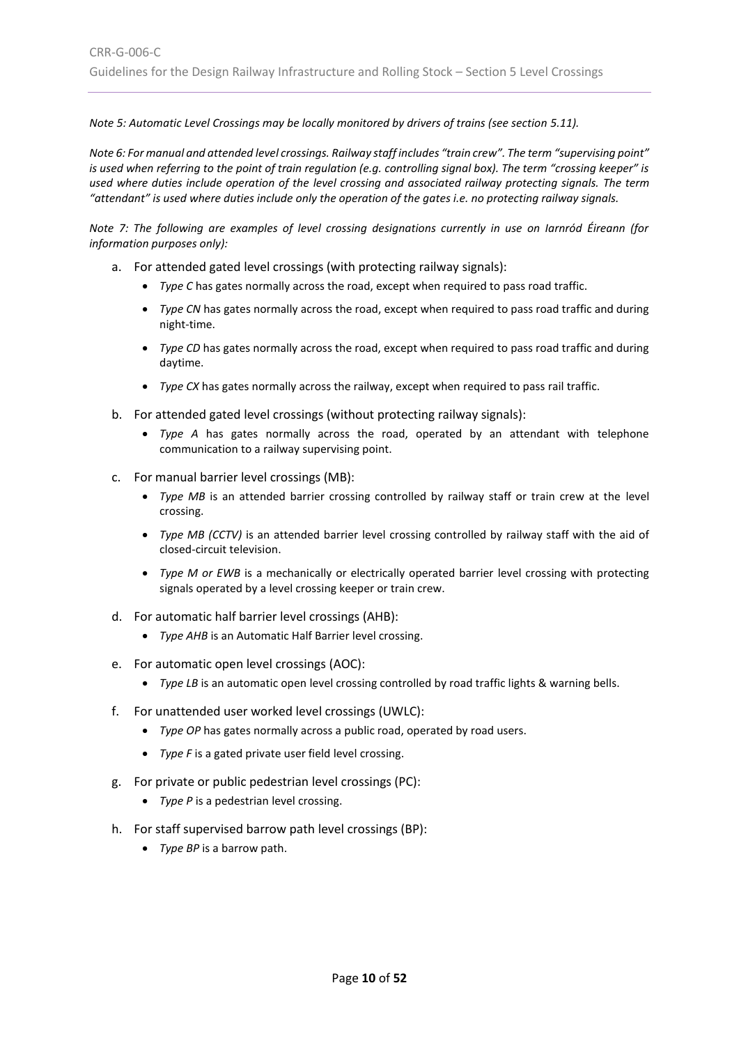*Note 5: Automatic Level Crossings may be locally monitored by drivers of trains (see section [5.11\)](#page-30-0).* 

*Note 6: For manual and attended level crossings. Railway staff includes "train crew". The term "supervising point" is used when referring to the point of train regulation (e.g. controlling signal box). The term "crossing keeper" is used where duties include operation of the level crossing and associated railway protecting signals. The term "attendant" is used where duties include only the operation of the gates i.e. no protecting railway signals.*

*Note 7: The following are examples of level crossing designations currently in use on Iarnród Éireann (for information purposes only):*

- a. For attended gated level crossings (with protecting railway signals):
	- *Type C* has gates normally across the road, except when required to pass road traffic.
	- *Type CN* has gates normally across the road, except when required to pass road traffic and during night-time.
	- *Type CD* has gates normally across the road, except when required to pass road traffic and during daytime.
	- *Type CX* has gates normally across the railway, except when required to pass rail traffic.
- b. For attended gated level crossings (without protecting railway signals):
	- *Type A* has gates normally across the road, operated by an attendant with telephone communication to a railway supervising point.
- c. For manual barrier level crossings (MB):
	- *Type MB* is an attended barrier crossing controlled by railway staff or train crew at the level crossing.
	- *Type MB (CCTV)* is an attended barrier level crossing controlled by railway staff with the aid of closed-circuit television.
	- *Type M or EWB* is a mechanically or electrically operated barrier level crossing with protecting signals operated by a level crossing keeper or train crew.
- d. For automatic half barrier level crossings (AHB):
	- *Type AHB* is an Automatic Half Barrier level crossing.
- e. For automatic open level crossings (AOC):
	- *Type LB* is an automatic open level crossing controlled by road traffic lights & warning bells.
- f. For unattended user worked level crossings (UWLC):
	- *Type OP* has gates normally across a public road, operated by road users.
	- *Type F* is a gated private user field level crossing.
- g. For private or public pedestrian level crossings (PC):
	- *Type P* is a pedestrian level crossing.
- h. For staff supervised barrow path level crossings (BP):
	- *Type BP* is a barrow path.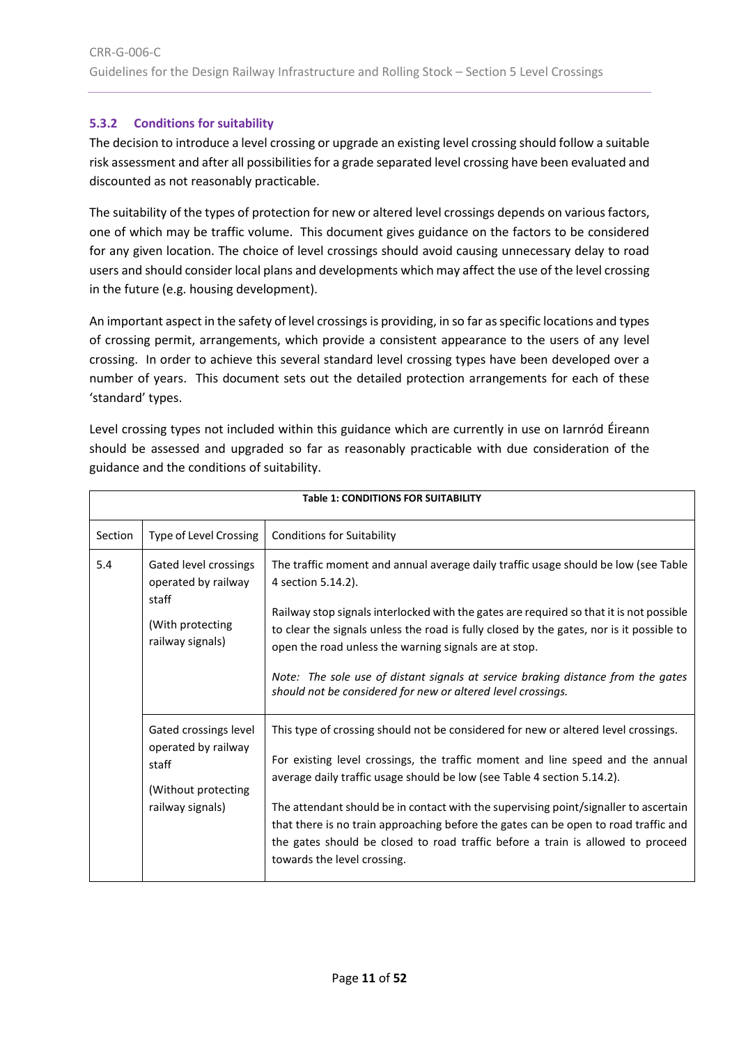# <span id="page-10-0"></span>**5.3.2 Conditions for suitability**

<span id="page-10-1"></span>The decision to introduce a level crossing or upgrade an existing level crossing should follow a suitable risk assessment and after all possibilities for a grade separated level crossing have been evaluated and discounted as not reasonably practicable.

The suitability of the types of protection for new or altered level crossings depends on various factors, one of which may be traffic volume. This document gives guidance on the factors to be considered for any given location. The choice of level crossings should avoid causing unnecessary delay to road users and should consider local plans and developments which may affect the use of the level crossing in the future (e.g. housing development).

An important aspect in the safety of level crossings is providing, in so far as specific locations and types of crossing permit, arrangements, which provide a consistent appearance to the users of any level crossing. In order to achieve this several standard level crossing types have been developed over a number of years. This document sets out the detailed protection arrangements for each of these 'standard' types.

Level crossing types not included within this guidance which are currently in use on Iarnród Éireann should be assessed and upgraded so far as reasonably practicable with due consideration of the guidance and the conditions of suitability.

|         | <b>Table 1: CONDITIONS FOR SUITABILITY</b>                                                       |                                                                                                                                                                                                                                                                                                                                                                                                                                                                                                                                                  |  |
|---------|--------------------------------------------------------------------------------------------------|--------------------------------------------------------------------------------------------------------------------------------------------------------------------------------------------------------------------------------------------------------------------------------------------------------------------------------------------------------------------------------------------------------------------------------------------------------------------------------------------------------------------------------------------------|--|
| Section | Type of Level Crossing                                                                           | <b>Conditions for Suitability</b>                                                                                                                                                                                                                                                                                                                                                                                                                                                                                                                |  |
| 5.4     | Gated level crossings<br>operated by railway<br>staff<br>(With protecting<br>railway signals)    | The traffic moment and annual average daily traffic usage should be low (see Table<br>4 section 5.14.2).<br>Railway stop signals interlocked with the gates are required so that it is not possible<br>to clear the signals unless the road is fully closed by the gates, nor is it possible to<br>open the road unless the warning signals are at stop.<br>Note: The sole use of distant signals at service braking distance from the gates<br>should not be considered for new or altered level crossings.                                     |  |
|         | Gated crossings level<br>operated by railway<br>staff<br>(Without protecting<br>railway signals) | This type of crossing should not be considered for new or altered level crossings.<br>For existing level crossings, the traffic moment and line speed and the annual<br>average daily traffic usage should be low (see Table 4 section 5.14.2).<br>The attendant should be in contact with the supervising point/signaller to ascertain<br>that there is no train approaching before the gates can be open to road traffic and<br>the gates should be closed to road traffic before a train is allowed to proceed<br>towards the level crossing. |  |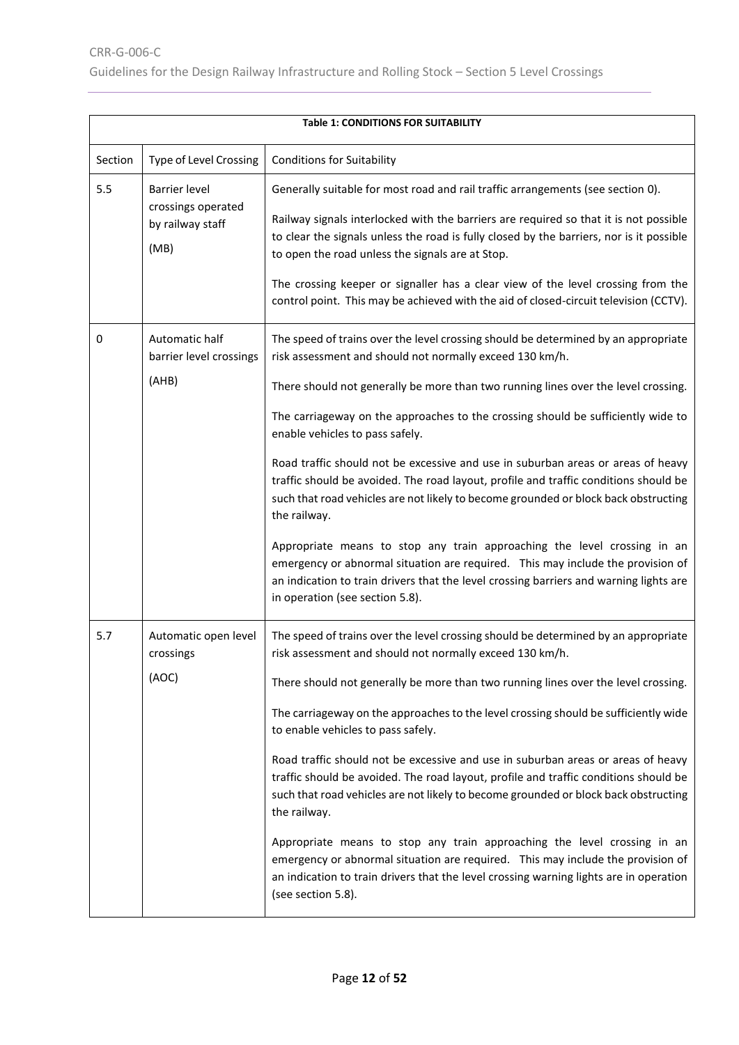|         | <b>Table 1: CONDITIONS FOR SUITABILITY</b>                             |                                                                                                                                                                                                                                                                                                                                                                                                                                                                                                                                                                                                                                                                                                                                                                                                                                                                                                                                            |  |  |
|---------|------------------------------------------------------------------------|--------------------------------------------------------------------------------------------------------------------------------------------------------------------------------------------------------------------------------------------------------------------------------------------------------------------------------------------------------------------------------------------------------------------------------------------------------------------------------------------------------------------------------------------------------------------------------------------------------------------------------------------------------------------------------------------------------------------------------------------------------------------------------------------------------------------------------------------------------------------------------------------------------------------------------------------|--|--|
| Section | Type of Level Crossing                                                 | <b>Conditions for Suitability</b>                                                                                                                                                                                                                                                                                                                                                                                                                                                                                                                                                                                                                                                                                                                                                                                                                                                                                                          |  |  |
| 5.5     | <b>Barrier level</b><br>crossings operated<br>by railway staff<br>(MB) | Generally suitable for most road and rail traffic arrangements (see section 0).<br>Railway signals interlocked with the barriers are required so that it is not possible<br>to clear the signals unless the road is fully closed by the barriers, nor is it possible<br>to open the road unless the signals are at Stop.<br>The crossing keeper or signaller has a clear view of the level crossing from the<br>control point. This may be achieved with the aid of closed-circuit television (CCTV).                                                                                                                                                                                                                                                                                                                                                                                                                                      |  |  |
| 0       | Automatic half<br>barrier level crossings<br>(AHB)                     | The speed of trains over the level crossing should be determined by an appropriate<br>risk assessment and should not normally exceed 130 km/h.<br>There should not generally be more than two running lines over the level crossing.<br>The carriageway on the approaches to the crossing should be sufficiently wide to<br>enable vehicles to pass safely.<br>Road traffic should not be excessive and use in suburban areas or areas of heavy<br>traffic should be avoided. The road layout, profile and traffic conditions should be<br>such that road vehicles are not likely to become grounded or block back obstructing<br>the railway.<br>Appropriate means to stop any train approaching the level crossing in an<br>emergency or abnormal situation are required. This may include the provision of<br>an indication to train drivers that the level crossing barriers and warning lights are<br>in operation (see section 5.8). |  |  |
| 5.7     | Automatic open level<br>crossings<br>(AOC)                             | The speed of trains over the level crossing should be determined by an appropriate<br>risk assessment and should not normally exceed 130 km/h.<br>There should not generally be more than two running lines over the level crossing.<br>The carriageway on the approaches to the level crossing should be sufficiently wide<br>to enable vehicles to pass safely.<br>Road traffic should not be excessive and use in suburban areas or areas of heavy<br>traffic should be avoided. The road layout, profile and traffic conditions should be<br>such that road vehicles are not likely to become grounded or block back obstructing<br>the railway.<br>Appropriate means to stop any train approaching the level crossing in an<br>emergency or abnormal situation are required. This may include the provision of<br>an indication to train drivers that the level crossing warning lights are in operation<br>(see section 5.8).        |  |  |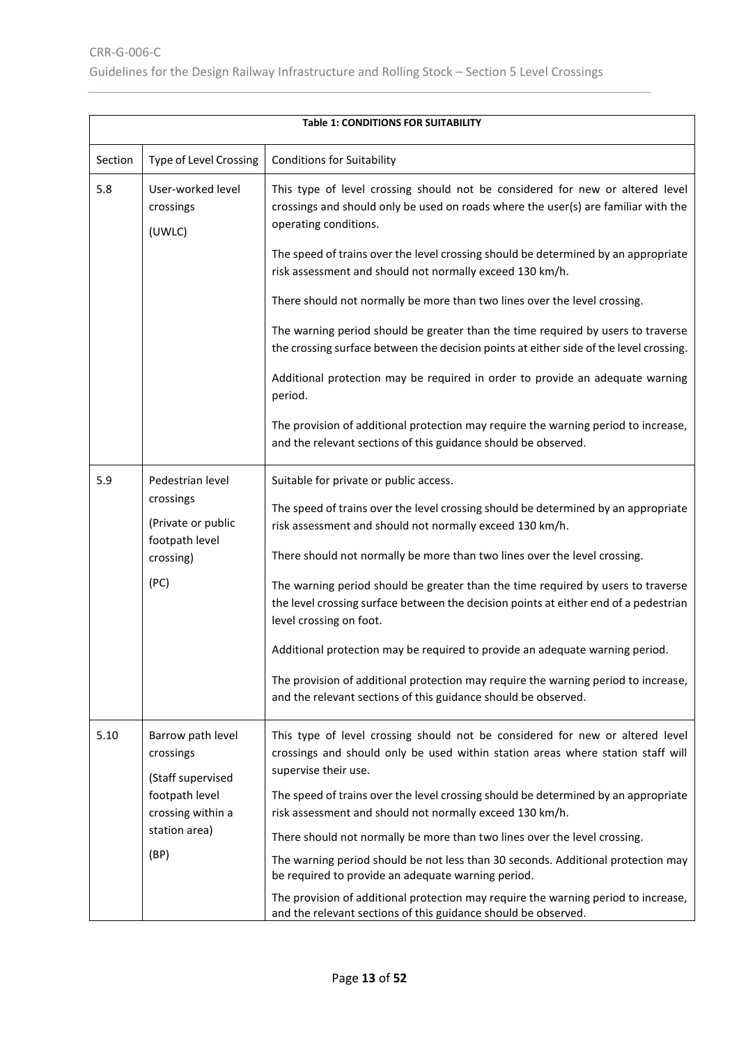|         | <b>Table 1: CONDITIONS FOR SUITABILITY</b>                                                                          |                                                                                                                                                                                                                                                                                                                                                                                                                                                                                                                                                                                                                                                                                                                           |  |
|---------|---------------------------------------------------------------------------------------------------------------------|---------------------------------------------------------------------------------------------------------------------------------------------------------------------------------------------------------------------------------------------------------------------------------------------------------------------------------------------------------------------------------------------------------------------------------------------------------------------------------------------------------------------------------------------------------------------------------------------------------------------------------------------------------------------------------------------------------------------------|--|
| Section | Type of Level Crossing                                                                                              | <b>Conditions for Suitability</b>                                                                                                                                                                                                                                                                                                                                                                                                                                                                                                                                                                                                                                                                                         |  |
| 5.8     | User-worked level<br>crossings<br>(UWLC)                                                                            | This type of level crossing should not be considered for new or altered level<br>crossings and should only be used on roads where the user(s) are familiar with the<br>operating conditions.<br>The speed of trains over the level crossing should be determined by an appropriate<br>risk assessment and should not normally exceed 130 km/h.                                                                                                                                                                                                                                                                                                                                                                            |  |
|         |                                                                                                                     | There should not normally be more than two lines over the level crossing.                                                                                                                                                                                                                                                                                                                                                                                                                                                                                                                                                                                                                                                 |  |
|         |                                                                                                                     | The warning period should be greater than the time required by users to traverse<br>the crossing surface between the decision points at either side of the level crossing.                                                                                                                                                                                                                                                                                                                                                                                                                                                                                                                                                |  |
|         |                                                                                                                     | Additional protection may be required in order to provide an adequate warning<br>period.                                                                                                                                                                                                                                                                                                                                                                                                                                                                                                                                                                                                                                  |  |
|         |                                                                                                                     | The provision of additional protection may require the warning period to increase,<br>and the relevant sections of this guidance should be observed.                                                                                                                                                                                                                                                                                                                                                                                                                                                                                                                                                                      |  |
| 5.9     | Pedestrian level<br>crossings<br>(Private or public<br>footpath level<br>crossing)<br>(PC)                          | Suitable for private or public access.<br>The speed of trains over the level crossing should be determined by an appropriate<br>risk assessment and should not normally exceed 130 km/h.<br>There should not normally be more than two lines over the level crossing.<br>The warning period should be greater than the time required by users to traverse<br>the level crossing surface between the decision points at either end of a pedestrian<br>level crossing on foot.<br>Additional protection may be required to provide an adequate warning period.<br>The provision of additional protection may require the warning period to increase,<br>and the relevant sections of this guidance should be observed.      |  |
| 5.10    | Barrow path level<br>crossings<br>(Staff supervised<br>footpath level<br>crossing within a<br>station area)<br>(BP) | This type of level crossing should not be considered for new or altered level<br>crossings and should only be used within station areas where station staff will<br>supervise their use.<br>The speed of trains over the level crossing should be determined by an appropriate<br>risk assessment and should not normally exceed 130 km/h.<br>There should not normally be more than two lines over the level crossing.<br>The warning period should be not less than 30 seconds. Additional protection may<br>be required to provide an adequate warning period.<br>The provision of additional protection may require the warning period to increase,<br>and the relevant sections of this guidance should be observed. |  |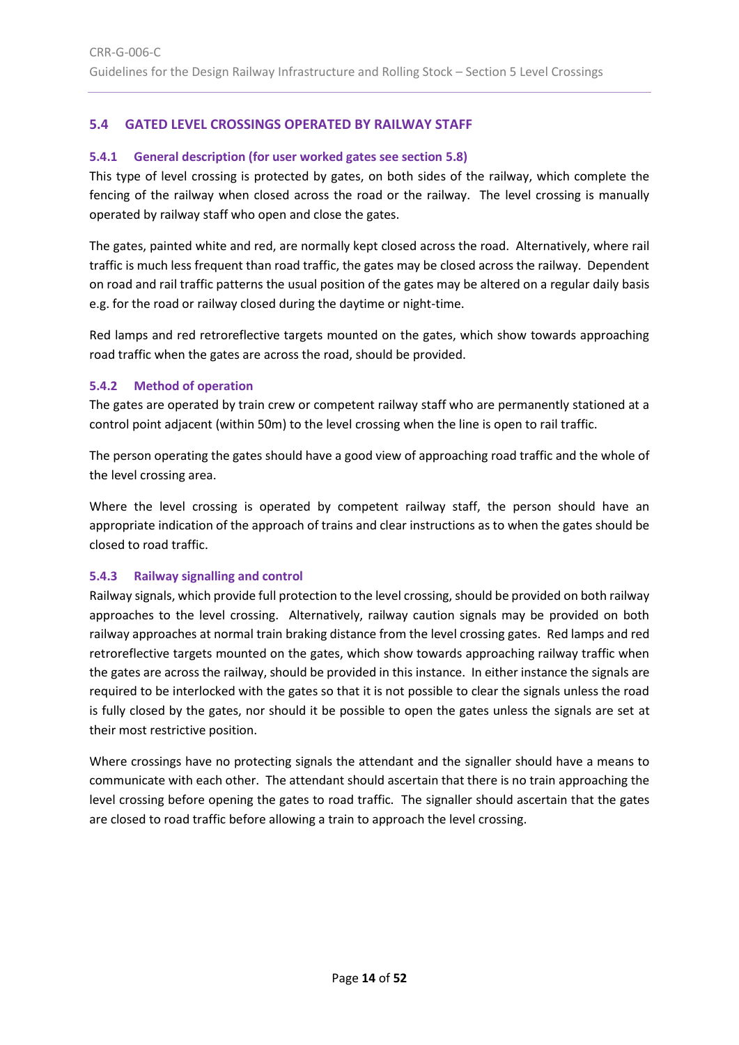# <span id="page-13-0"></span>**5.4 GATED LEVEL CROSSINGS OPERATED BY RAILWAY STAFF**

#### <span id="page-13-1"></span>**5.4.1 General description (for user worked gates see section [5.8\)](#page-25-0)**

This type of level crossing is protected by gates, on both sides of the railway, which complete the fencing of the railway when closed across the road or the railway. The level crossing is manually operated by railway staff who open and close the gates.

The gates, painted white and red, are normally kept closed across the road. Alternatively, where rail traffic is much less frequent than road traffic, the gates may be closed across the railway. Dependent on road and rail traffic patterns the usual position of the gates may be altered on a regular daily basis e.g. for the road or railway closed during the daytime or night-time.

Red lamps and red retroreflective targets mounted on the gates, which show towards approaching road traffic when the gates are across the road, should be provided.

#### <span id="page-13-2"></span>**5.4.2 Method of operation**

The gates are operated by train crew or competent railway staff who are permanently stationed at a control point adjacent (within 50m) to the level crossing when the line is open to rail traffic.

The person operating the gates should have a good view of approaching road traffic and the whole of the level crossing area.

Where the level crossing is operated by competent railway staff, the person should have an appropriate indication of the approach of trains and clear instructions as to when the gates should be closed to road traffic.

# <span id="page-13-3"></span>**5.4.3 Railway signalling and control**

Railway signals, which provide full protection to the level crossing, should be provided on both railway approaches to the level crossing. Alternatively, railway caution signals may be provided on both railway approaches at normal train braking distance from the level crossing gates. Red lamps and red retroreflective targets mounted on the gates, which show towards approaching railway traffic when the gates are across the railway, should be provided in this instance. In either instance the signals are required to be interlocked with the gates so that it is not possible to clear the signals unless the road is fully closed by the gates, nor should it be possible to open the gates unless the signals are set at their most restrictive position.

Where crossings have no protecting signals the attendant and the signaller should have a means to communicate with each other. The attendant should ascertain that there is no train approaching the level crossing before opening the gates to road traffic. The signaller should ascertain that the gates are closed to road traffic before allowing a train to approach the level crossing.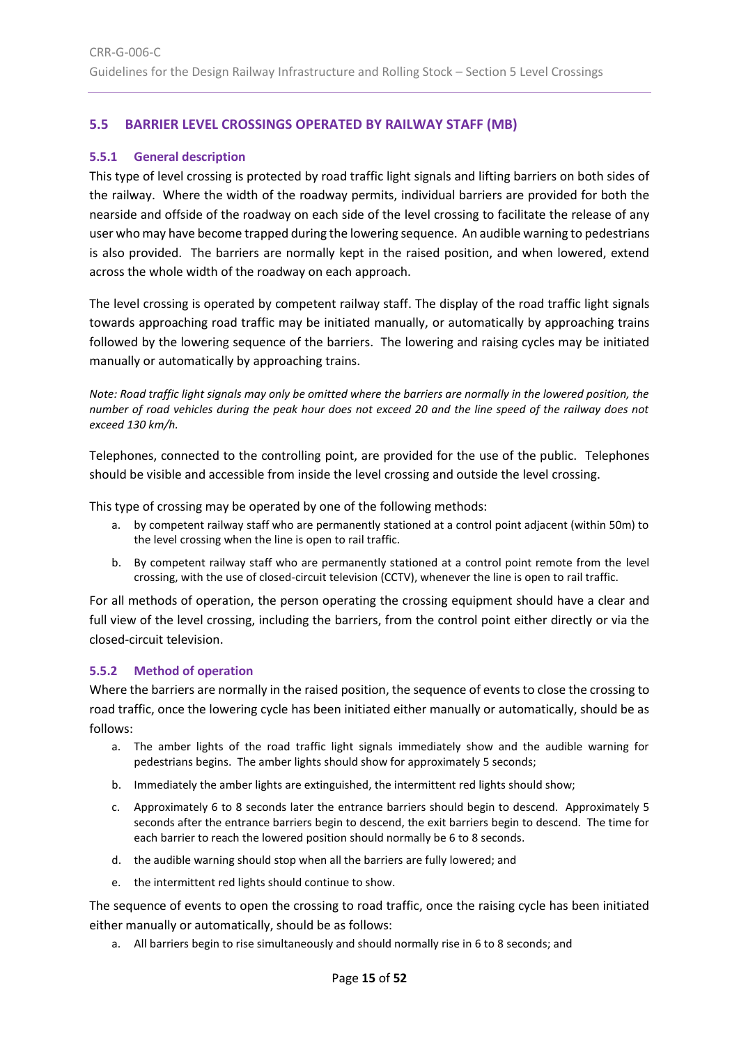# <span id="page-14-0"></span>**5.5 BARRIER LEVEL CROSSINGS OPERATED BY RAILWAY STAFF (MB)**

#### <span id="page-14-1"></span>**5.5.1 General description**

This type of level crossing is protected by road traffic light signals and lifting barriers on both sides of the railway. Where the width of the roadway permits, individual barriers are provided for both the nearside and offside of the roadway on each side of the level crossing to facilitate the release of any user who may have become trapped during the lowering sequence. An audible warning to pedestrians is also provided. The barriers are normally kept in the raised position, and when lowered, extend across the whole width of the roadway on each approach.

The level crossing is operated by competent railway staff. The display of the road traffic light signals towards approaching road traffic may be initiated manually, or automatically by approaching trains followed by the lowering sequence of the barriers. The lowering and raising cycles may be initiated manually or automatically by approaching trains.

*Note: Road traffic light signals may only be omitted where the barriers are normally in the lowered position, the number of road vehicles during the peak hour does not exceed 20 and the line speed of the railway does not exceed 130 km/h.*

Telephones, connected to the controlling point, are provided for the use of the public. Telephones should be visible and accessible from inside the level crossing and outside the level crossing.

This type of crossing may be operated by one of the following methods:

- a. by competent railway staff who are permanently stationed at a control point adjacent (within 50m) to the level crossing when the line is open to rail traffic.
- b. By competent railway staff who are permanently stationed at a control point remote from the level crossing, with the use of closed-circuit television (CCTV), whenever the line is open to rail traffic.

For all methods of operation, the person operating the crossing equipment should have a clear and full view of the level crossing, including the barriers, from the control point either directly or via the closed-circuit television.

#### <span id="page-14-2"></span>**5.5.2 Method of operation**

Where the barriers are normally in the raised position, the sequence of events to close the crossing to road traffic, once the lowering cycle has been initiated either manually or automatically, should be as follows:

- a. The amber lights of the road traffic light signals immediately show and the audible warning for pedestrians begins. The amber lights should show for approximately 5 seconds;
- b. Immediately the amber lights are extinguished, the intermittent red lights should show;
- c. Approximately 6 to 8 seconds later the entrance barriers should begin to descend. Approximately 5 seconds after the entrance barriers begin to descend, the exit barriers begin to descend. The time for each barrier to reach the lowered position should normally be 6 to 8 seconds.
- d. the audible warning should stop when all the barriers are fully lowered; and
- e. the intermittent red lights should continue to show.

The sequence of events to open the crossing to road traffic, once the raising cycle has been initiated either manually or automatically, should be as follows:

a. All barriers begin to rise simultaneously and should normally rise in 6 to 8 seconds; and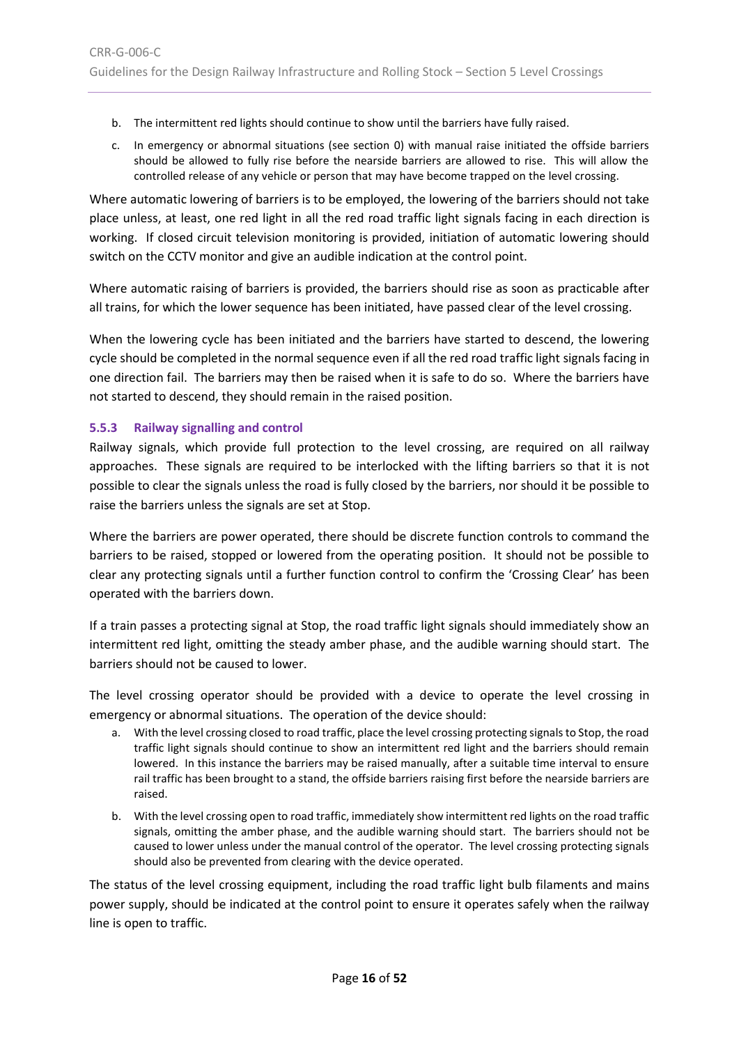- b. The intermittent red lights should continue to show until the barriers have fully raised.
- c. In emergency or abnormal situations (see section [0\)](#page-15-1) with manual raise initiated the offside barriers should be allowed to fully rise before the nearside barriers are allowed to rise. This will allow the controlled release of any vehicle or person that may have become trapped on the level crossing.

Where automatic lowering of barriers is to be employed, the lowering of the barriers should not take place unless, at least, one red light in all the red road traffic light signals facing in each direction is working. If closed circuit television monitoring is provided, initiation of automatic lowering should switch on the CCTV monitor and give an audible indication at the control point.

Where automatic raising of barriers is provided, the barriers should rise as soon as practicable after all trains, for which the lower sequence has been initiated, have passed clear of the level crossing.

When the lowering cycle has been initiated and the barriers have started to descend, the lowering cycle should be completed in the normal sequence even if all the red road traffic light signals facing in one direction fail. The barriers may then be raised when it is safe to do so. Where the barriers have not started to descend, they should remain in the raised position.

# <span id="page-15-0"></span>**5.5.3 Railway signalling and control**

Railway signals, which provide full protection to the level crossing, are required on all railway approaches. These signals are required to be interlocked with the lifting barriers so that it is not possible to clear the signals unless the road is fully closed by the barriers, nor should it be possible to raise the barriers unless the signals are set at Stop.

Where the barriers are power operated, there should be discrete function controls to command the barriers to be raised, stopped or lowered from the operating position. It should not be possible to clear any protecting signals until a further function control to confirm the 'Crossing Clear' has been operated with the barriers down.

If a train passes a protecting signal at Stop, the road traffic light signals should immediately show an intermittent red light, omitting the steady amber phase, and the audible warning should start. The barriers should not be caused to lower.

<span id="page-15-1"></span>The level crossing operator should be provided with a device to operate the level crossing in emergency or abnormal situations. The operation of the device should:

- a. With the level crossing closed to road traffic, place the level crossing protecting signals to Stop, the road traffic light signals should continue to show an intermittent red light and the barriers should remain lowered. In this instance the barriers may be raised manually, after a suitable time interval to ensure rail traffic has been brought to a stand, the offside barriers raising first before the nearside barriers are raised.
- b. With the level crossing open to road traffic, immediately show intermittent red lights on the road traffic signals, omitting the amber phase, and the audible warning should start. The barriers should not be caused to lower unless under the manual control of the operator. The level crossing protecting signals should also be prevented from clearing with the device operated.

The status of the level crossing equipment, including the road traffic light bulb filaments and mains power supply, should be indicated at the control point to ensure it operates safely when the railway line is open to traffic.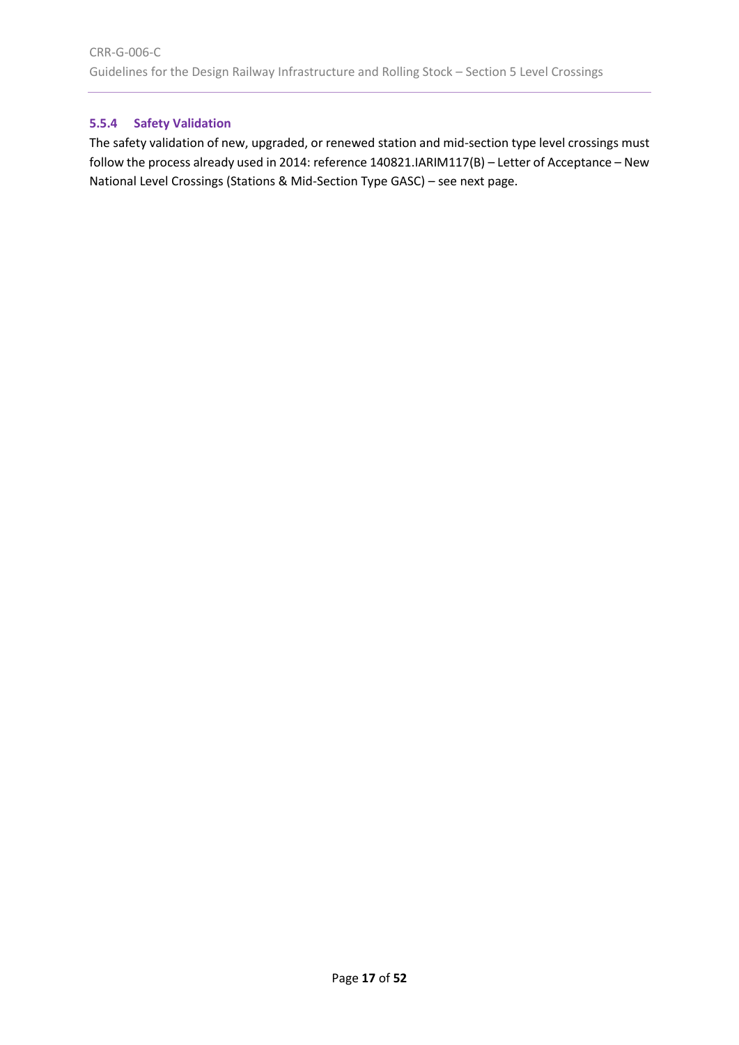# <span id="page-16-0"></span>**5.5.4 Safety Validation**

The safety validation of new, upgraded, or renewed station and mid-section type level crossings must follow the process already used in 2014: reference 140821.IARIM117(B) – Letter of Acceptance – New National Level Crossings (Stations & Mid-Section Type GASC) – see next page.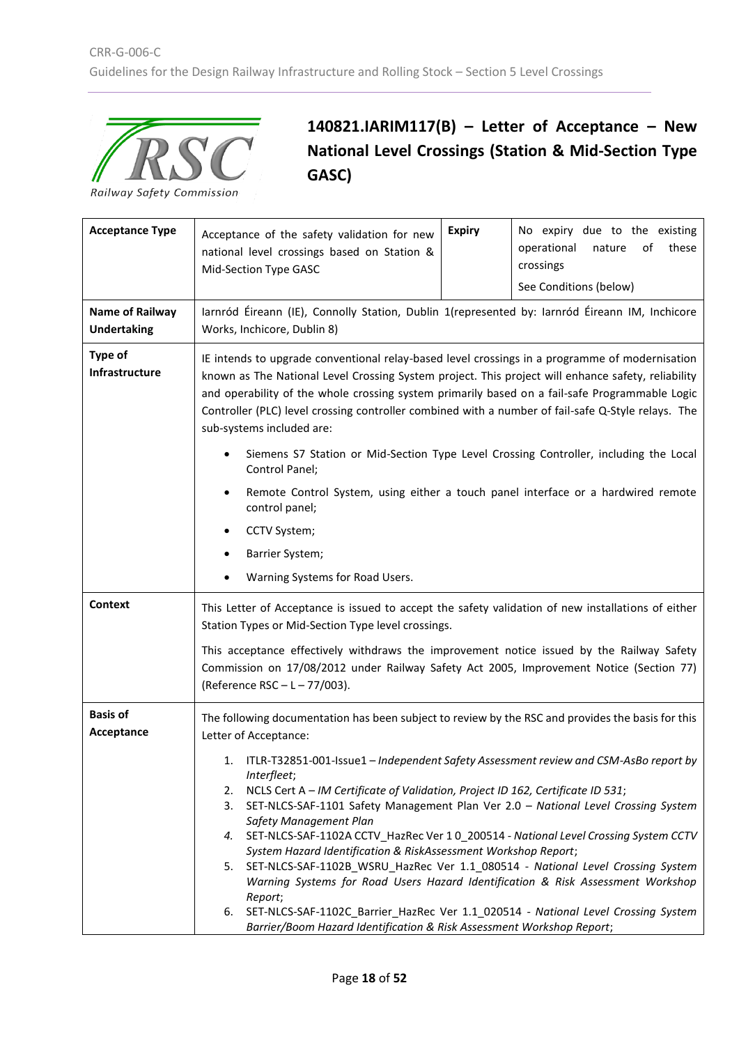

# **140821.IARIM117(B) – Letter of Acceptance – New National Level Crossings (Station & Mid-Section Type GASC)**

| <b>Acceptance Type</b>                       | Acceptance of the safety validation for new<br>national level crossings based on Station &<br>Mid-Section Type GASC                                                                                                                                                                                                                                                                                                                                                                                                                                                                                                                                                 | <b>Expiry</b> | No expiry due to the existing<br>operational<br>of<br>these<br>nature<br>crossings<br>See Conditions (below) |  |
|----------------------------------------------|---------------------------------------------------------------------------------------------------------------------------------------------------------------------------------------------------------------------------------------------------------------------------------------------------------------------------------------------------------------------------------------------------------------------------------------------------------------------------------------------------------------------------------------------------------------------------------------------------------------------------------------------------------------------|---------------|--------------------------------------------------------------------------------------------------------------|--|
| <b>Name of Railway</b><br><b>Undertaking</b> | Iarnród Éireann (IE), Connolly Station, Dublin 1(represented by: Iarnród Éireann IM, Inchicore<br>Works, Inchicore, Dublin 8)                                                                                                                                                                                                                                                                                                                                                                                                                                                                                                                                       |               |                                                                                                              |  |
| <b>Type of</b><br>Infrastructure             | IE intends to upgrade conventional relay-based level crossings in a programme of modernisation<br>known as The National Level Crossing System project. This project will enhance safety, reliability<br>and operability of the whole crossing system primarily based on a fail-safe Programmable Logic<br>Controller (PLC) level crossing controller combined with a number of fail-safe Q-Style relays. The<br>sub-systems included are:                                                                                                                                                                                                                           |               |                                                                                                              |  |
|                                              | Siemens S7 Station or Mid-Section Type Level Crossing Controller, including the Local<br>Control Panel;                                                                                                                                                                                                                                                                                                                                                                                                                                                                                                                                                             |               |                                                                                                              |  |
|                                              | Remote Control System, using either a touch panel interface or a hardwired remote<br>$\bullet$<br>control panel;                                                                                                                                                                                                                                                                                                                                                                                                                                                                                                                                                    |               |                                                                                                              |  |
|                                              | CCTV System;                                                                                                                                                                                                                                                                                                                                                                                                                                                                                                                                                                                                                                                        |               |                                                                                                              |  |
|                                              | Barrier System;                                                                                                                                                                                                                                                                                                                                                                                                                                                                                                                                                                                                                                                     |               |                                                                                                              |  |
|                                              | Warning Systems for Road Users.                                                                                                                                                                                                                                                                                                                                                                                                                                                                                                                                                                                                                                     |               |                                                                                                              |  |
| <b>Context</b>                               | This Letter of Acceptance is issued to accept the safety validation of new installations of either<br>Station Types or Mid-Section Type level crossings.                                                                                                                                                                                                                                                                                                                                                                                                                                                                                                            |               |                                                                                                              |  |
|                                              | This acceptance effectively withdraws the improvement notice issued by the Railway Safety<br>Commission on 17/08/2012 under Railway Safety Act 2005, Improvement Notice (Section 77)<br>(Reference RSC-L-77/003).                                                                                                                                                                                                                                                                                                                                                                                                                                                   |               |                                                                                                              |  |
| <b>Basis of</b>                              | The following documentation has been subject to review by the RSC and provides the basis for this                                                                                                                                                                                                                                                                                                                                                                                                                                                                                                                                                                   |               |                                                                                                              |  |
| Acceptance                                   | Letter of Acceptance:                                                                                                                                                                                                                                                                                                                                                                                                                                                                                                                                                                                                                                               |               |                                                                                                              |  |
|                                              | 1. ITLR-T32851-001-Issue1 - Independent Safety Assessment review and CSM-AsBo report by<br>Interfleet;<br>NCLS Cert A - IM Certificate of Validation, Project ID 162, Certificate ID 531;<br>2.<br>SET-NLCS-SAF-1101 Safety Management Plan Ver 2.0 - National Level Crossing System<br>3.<br>Safety Management Plan<br>4. SET-NLCS-SAF-1102A CCTV_HazRec Ver 1 0_200514 - National Level Crossing System CCTV<br>System Hazard Identification & RiskAssessment Workshop Report;<br>5. SET-NLCS-SAF-1102B_WSRU_HazRec Ver 1.1_080514 - National Level Crossing System<br>Warning Systems for Road Users Hazard Identification & Risk Assessment Workshop<br>Report; |               |                                                                                                              |  |
|                                              | SET-NLCS-SAF-1102C_Barrier_HazRec Ver 1.1_020514 - National Level Crossing System<br>6.<br>Barrier/Boom Hazard Identification & Risk Assessment Workshop Report;                                                                                                                                                                                                                                                                                                                                                                                                                                                                                                    |               |                                                                                                              |  |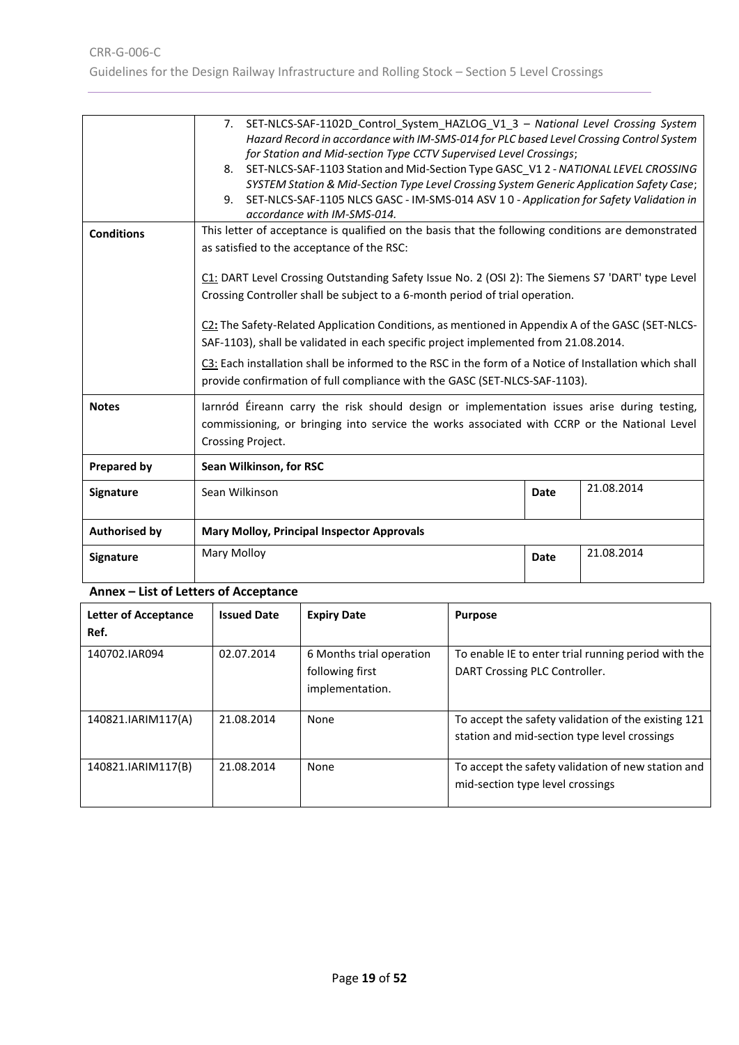| Signature            | <b>Mary Molloy</b><br>21.08.2014<br><b>Date</b>                                                                                                                                                                                                                                                                                                                                                                                                                                                                                                                                                                                                                                                                                                                                                                                                                                                                                                  |      |            |
|----------------------|--------------------------------------------------------------------------------------------------------------------------------------------------------------------------------------------------------------------------------------------------------------------------------------------------------------------------------------------------------------------------------------------------------------------------------------------------------------------------------------------------------------------------------------------------------------------------------------------------------------------------------------------------------------------------------------------------------------------------------------------------------------------------------------------------------------------------------------------------------------------------------------------------------------------------------------------------|------|------------|
| <b>Authorised by</b> | <b>Mary Molloy, Principal Inspector Approvals</b>                                                                                                                                                                                                                                                                                                                                                                                                                                                                                                                                                                                                                                                                                                                                                                                                                                                                                                |      |            |
| Signature            | Sean Wilkinson                                                                                                                                                                                                                                                                                                                                                                                                                                                                                                                                                                                                                                                                                                                                                                                                                                                                                                                                   | Date | 21.08.2014 |
| <b>Prepared by</b>   | Sean Wilkinson, for RSC                                                                                                                                                                                                                                                                                                                                                                                                                                                                                                                                                                                                                                                                                                                                                                                                                                                                                                                          |      |            |
| <b>Notes</b>         | larnród Éireann carry the risk should design or implementation issues arise during testing,<br>commissioning, or bringing into service the works associated with CCRP or the National Level<br>Crossing Project.                                                                                                                                                                                                                                                                                                                                                                                                                                                                                                                                                                                                                                                                                                                                 |      |            |
| <b>Conditions</b>    | SYSTEM Station & Mid-Section Type Level Crossing System Generic Application Safety Case;<br>9. SET-NLCS-SAF-1105 NLCS GASC - IM-SMS-014 ASV 1 0 - Application for Safety Validation in<br>accordance with IM-SMS-014.<br>This letter of acceptance is qualified on the basis that the following conditions are demonstrated<br>as satisfied to the acceptance of the RSC:<br>C1: DART Level Crossing Outstanding Safety Issue No. 2 (OSI 2): The Siemens S7 'DART' type Level<br>Crossing Controller shall be subject to a 6-month period of trial operation.<br>C2: The Safety-Related Application Conditions, as mentioned in Appendix A of the GASC (SET-NLCS-<br>SAF-1103), shall be validated in each specific project implemented from 21.08.2014.<br>C3: Each installation shall be informed to the RSC in the form of a Notice of Installation which shall<br>provide confirmation of full compliance with the GASC (SET-NLCS-SAF-1103). |      |            |
|                      | 7. SET-NLCS-SAF-1102D Control System HAZLOG V1 3 - National Level Crossing System<br>Hazard Record in accordance with IM-SMS-014 for PLC based Level Crossing Control System<br>for Station and Mid-section Type CCTV Supervised Level Crossings;<br>8. SET-NLCS-SAF-1103 Station and Mid-Section Type GASC_V1 2 - NATIONAL LEVEL CROSSING                                                                                                                                                                                                                                                                                                                                                                                                                                                                                                                                                                                                       |      |            |

# **Annex – List of Letters of Acceptance**

<span id="page-18-0"></span>

| <b>Letter of Acceptance</b><br>Ref. | <b>Issued Date</b> | <b>Expiry Date</b>                                             | <b>Purpose</b>                                                                                      |
|-------------------------------------|--------------------|----------------------------------------------------------------|-----------------------------------------------------------------------------------------------------|
| 140702.IAR094                       | 02.07.2014         | 6 Months trial operation<br>following first<br>implementation. | To enable IE to enter trial running period with the<br>DART Crossing PLC Controller.                |
| 140821.IARIM117(A)                  | 21.08.2014         | None                                                           | To accept the safety validation of the existing 121<br>station and mid-section type level crossings |
| 140821.IARIM117(B)                  | 21.08.2014         | None                                                           | To accept the safety validation of new station and<br>mid-section type level crossings              |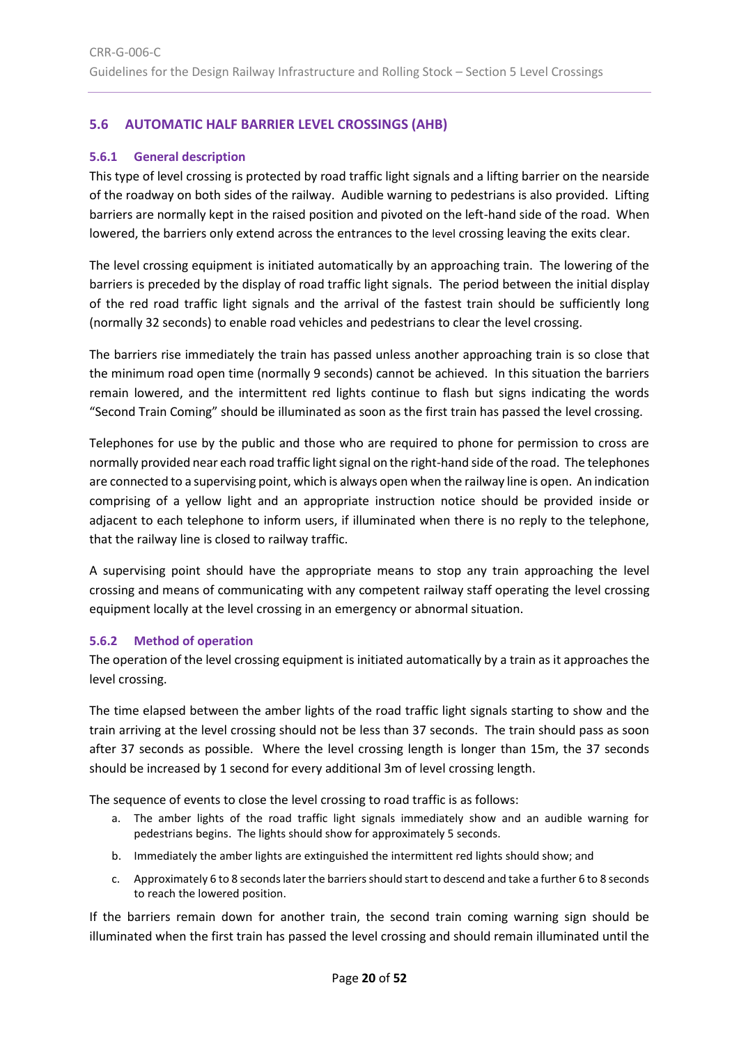# <span id="page-19-0"></span>**5.6 AUTOMATIC HALF BARRIER LEVEL CROSSINGS (AHB)**

## <span id="page-19-1"></span>**5.6.1 General description**

This type of level crossing is protected by road traffic light signals and a lifting barrier on the nearside of the roadway on both sides of the railway. Audible warning to pedestrians is also provided. Lifting barriers are normally kept in the raised position and pivoted on the left-hand side of the road. When lowered, the barriers only extend across the entrances to the level crossing leaving the exits clear.

The level crossing equipment is initiated automatically by an approaching train. The lowering of the barriers is preceded by the display of road traffic light signals. The period between the initial display of the red road traffic light signals and the arrival of the fastest train should be sufficiently long (normally 32 seconds) to enable road vehicles and pedestrians to clear the level crossing.

The barriers rise immediately the train has passed unless another approaching train is so close that the minimum road open time (normally 9 seconds) cannot be achieved. In this situation the barriers remain lowered, and the intermittent red lights continue to flash but signs indicating the words "Second Train Coming" should be illuminated as soon as the first train has passed the level crossing.

Telephones for use by the public and those who are required to phone for permission to cross are normally provided near each road traffic light signal on the right-hand side of the road. The telephones are connected to a supervising point, which is always open when the railway line is open. An indication comprising of a yellow light and an appropriate instruction notice should be provided inside or adjacent to each telephone to inform users, if illuminated when there is no reply to the telephone, that the railway line is closed to railway traffic.

A supervising point should have the appropriate means to stop any train approaching the level crossing and means of communicating with any competent railway staff operating the level crossing equipment locally at the level crossing in an emergency or abnormal situation.

# <span id="page-19-2"></span>**5.6.2 Method of operation**

The operation of the level crossing equipment is initiated automatically by a train as it approaches the level crossing.

The time elapsed between the amber lights of the road traffic light signals starting to show and the train arriving at the level crossing should not be less than 37 seconds. The train should pass as soon after 37 seconds as possible. Where the level crossing length is longer than 15m, the 37 seconds should be increased by 1 second for every additional 3m of level crossing length.

The sequence of events to close the level crossing to road traffic is as follows:

- a. The amber lights of the road traffic light signals immediately show and an audible warning for pedestrians begins. The lights should show for approximately 5 seconds.
- b. Immediately the amber lights are extinguished the intermittent red lights should show; and
- c. Approximately 6 to 8 seconds later the barriers should start to descend and take a further 6 to 8 seconds to reach the lowered position.

If the barriers remain down for another train, the second train coming warning sign should be illuminated when the first train has passed the level crossing and should remain illuminated until the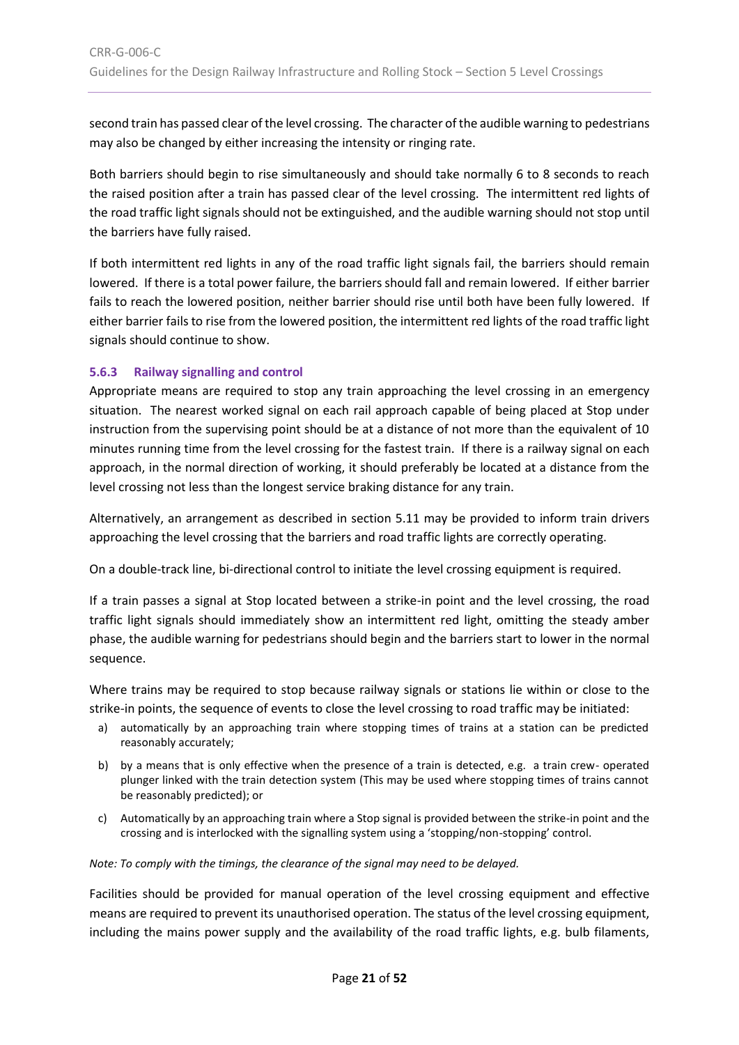second train has passed clear of the level crossing. The character of the audible warning to pedestrians may also be changed by either increasing the intensity or ringing rate.

Both barriers should begin to rise simultaneously and should take normally 6 to 8 seconds to reach the raised position after a train has passed clear of the level crossing. The intermittent red lights of the road traffic light signals should not be extinguished, and the audible warning should not stop until the barriers have fully raised.

If both intermittent red lights in any of the road traffic light signals fail, the barriers should remain lowered. If there is a total power failure, the barriers should fall and remain lowered. If either barrier fails to reach the lowered position, neither barrier should rise until both have been fully lowered. If either barrier fails to rise from the lowered position, the intermittent red lights of the road traffic light signals should continue to show.

# <span id="page-20-0"></span>**5.6.3 Railway signalling and control**

Appropriate means are required to stop any train approaching the level crossing in an emergency situation. The nearest worked signal on each rail approach capable of being placed at Stop under instruction from the supervising point should be at a distance of not more than the equivalent of 10 minutes running time from the level crossing for the fastest train. If there is a railway signal on each approach, in the normal direction of working, it should preferably be located at a distance from the level crossing not less than the longest service braking distance for any train.

Alternatively, an arrangement as described in section [5.11](#page-30-0) may be provided to inform train drivers approaching the level crossing that the barriers and road traffic lights are correctly operating.

On a double-track line, bi-directional control to initiate the level crossing equipment is required.

If a train passes a signal at Stop located between a strike-in point and the level crossing, the road traffic light signals should immediately show an intermittent red light, omitting the steady amber phase, the audible warning for pedestrians should begin and the barriers start to lower in the normal sequence.

Where trains may be required to stop because railway signals or stations lie within or close to the strike-in points, the sequence of events to close the level crossing to road traffic may be initiated:

- a) automatically by an approaching train where stopping times of trains at a station can be predicted reasonably accurately;
- b) by a means that is only effective when the presence of a train is detected, e.g. a train crew- operated plunger linked with the train detection system (This may be used where stopping times of trains cannot be reasonably predicted); or
- c) Automatically by an approaching train where a Stop signal is provided between the strike-in point and the crossing and is interlocked with the signalling system using a 'stopping/non-stopping' control.

*Note: To comply with the timings, the clearance of the signal may need to be delayed.*

Facilities should be provided for manual operation of the level crossing equipment and effective means are required to prevent its unauthorised operation. The status of the level crossing equipment, including the mains power supply and the availability of the road traffic lights, e.g. bulb filaments,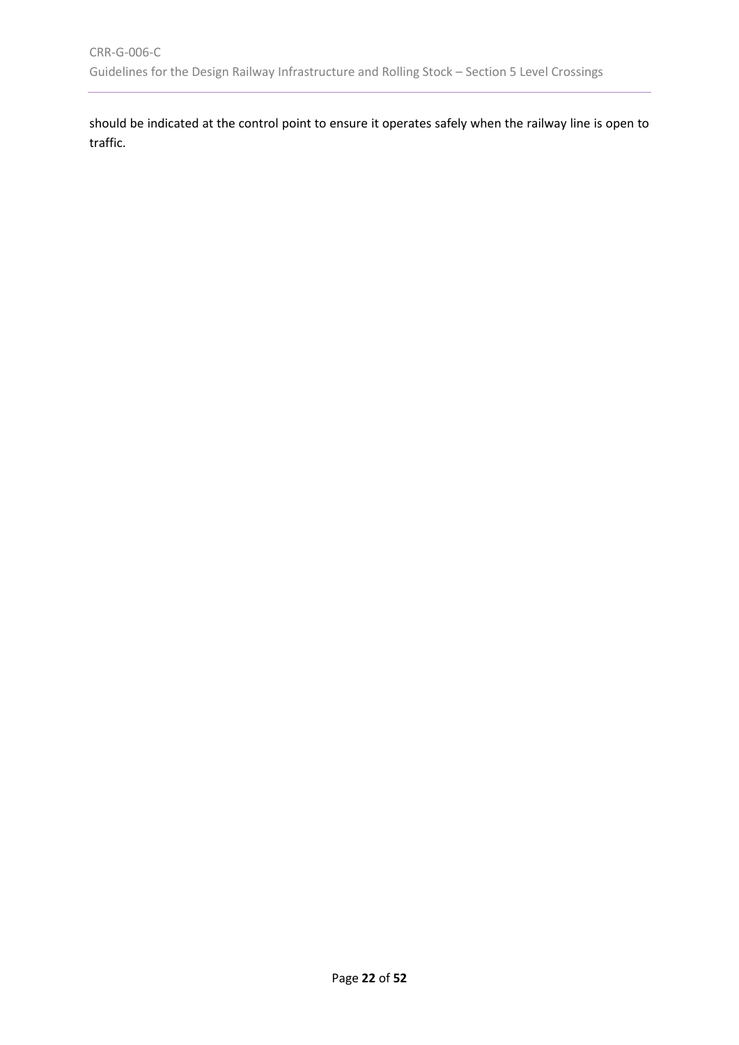should be indicated at the control point to ensure it operates safely when the railway line is open to traffic.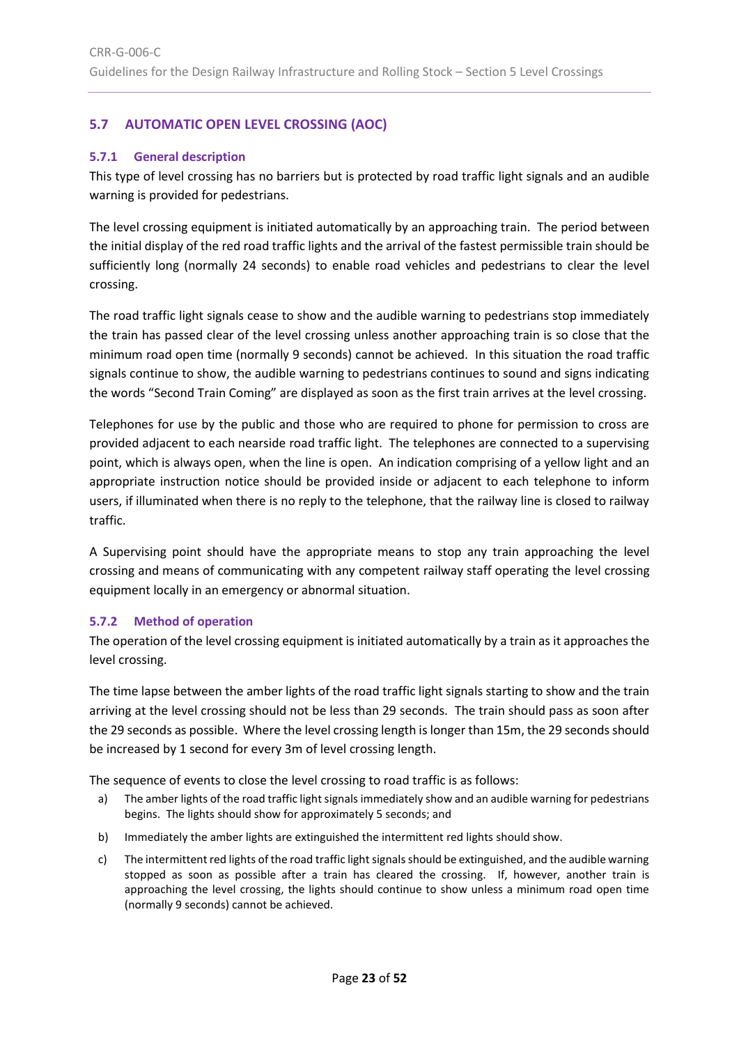# <span id="page-22-0"></span>**5.7 AUTOMATIC OPEN LEVEL CROSSING (AOC)**

# <span id="page-22-1"></span>**5.7.1 General description**

This type of level crossing has no barriers but is protected by road traffic light signals and an audible warning is provided for pedestrians.

The level crossing equipment is initiated automatically by an approaching train. The period between the initial display of the red road traffic lights and the arrival of the fastest permissible train should be sufficiently long (normally 24 seconds) to enable road vehicles and pedestrians to clear the level crossing.

The road traffic light signals cease to show and the audible warning to pedestrians stop immediately the train has passed clear of the level crossing unless another approaching train is so close that the minimum road open time (normally 9 seconds) cannot be achieved. In this situation the road traffic signals continue to show, the audible warning to pedestrians continues to sound and signs indicating the words "Second Train Coming" are displayed as soon as the first train arrives at the level crossing.

Telephones for use by the public and those who are required to phone for permission to cross are provided adjacent to each nearside road traffic light. The telephones are connected to a supervising point, which is always open, when the line is open. An indication comprising of a yellow light and an appropriate instruction notice should be provided inside or adjacent to each telephone to inform users, if illuminated when there is no reply to the telephone, that the railway line is closed to railway traffic.

A Supervising point should have the appropriate means to stop any train approaching the level crossing and means of communicating with any competent railway staff operating the level crossing equipment locally in an emergency or abnormal situation.

# <span id="page-22-2"></span>**5.7.2 Method of operation**

The operation of the level crossing equipment is initiated automatically by a train as it approaches the level crossing.

The time lapse between the amber lights of the road traffic light signals starting to show and the train arriving at the level crossing should not be less than 29 seconds. The train should pass as soon after the 29 seconds as possible. Where the level crossing length is longer than 15m, the 29 seconds should be increased by 1 second for every 3m of level crossing length.

The sequence of events to close the level crossing to road traffic is as follows:

- a) The amber lights of the road traffic light signals immediately show and an audible warning for pedestrians begins. The lights should show for approximately 5 seconds; and
- b) Immediately the amber lights are extinguished the intermittent red lights should show.
- c) The intermittent red lights of the road traffic light signals should be extinguished, and the audible warning stopped as soon as possible after a train has cleared the crossing. If, however, another train is approaching the level crossing, the lights should continue to show unless a minimum road open time (normally 9 seconds) cannot be achieved.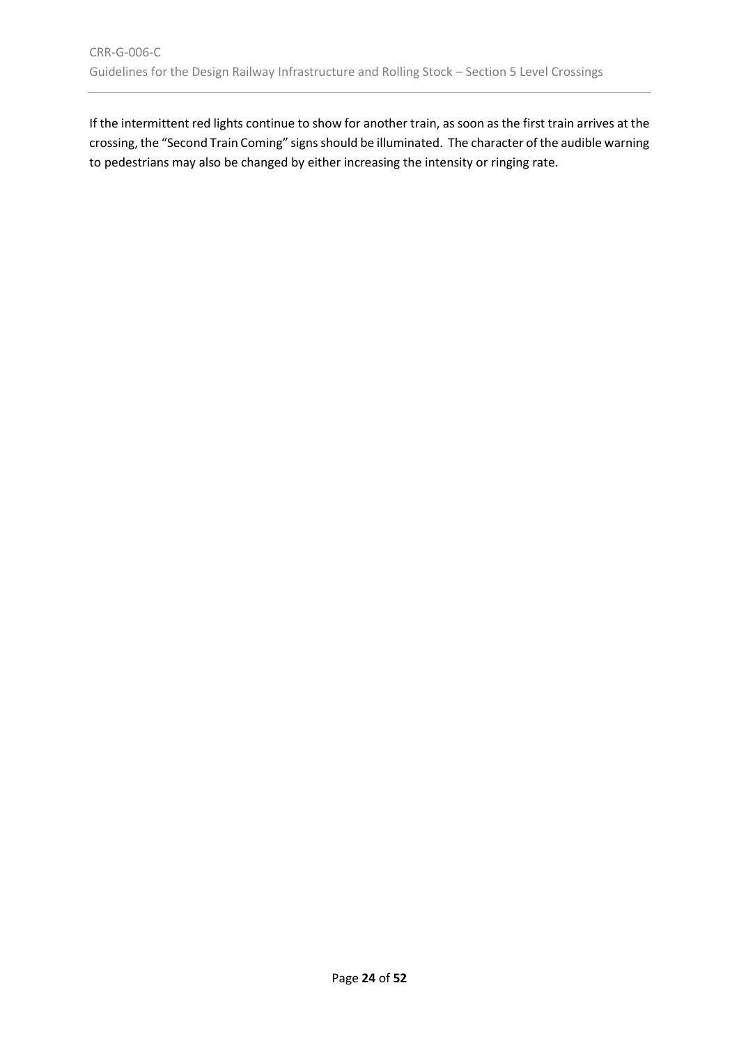If the intermittent red lights continue to show for another train, as soon as the first train arrives at the crossing, the "Second Train Coming" signs should be illuminated. The character of the audible warning to pedestrians may also be changed by either increasing the intensity or ringing rate.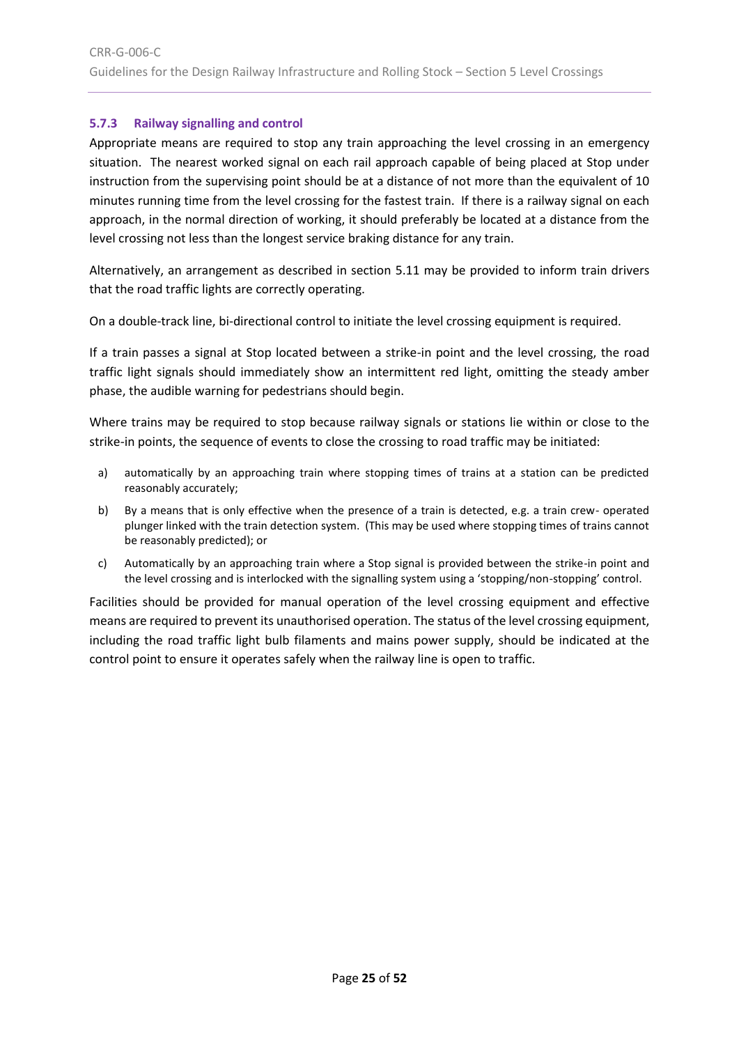# <span id="page-24-0"></span>**5.7.3 Railway signalling and control**

Appropriate means are required to stop any train approaching the level crossing in an emergency situation. The nearest worked signal on each rail approach capable of being placed at Stop under instruction from the supervising point should be at a distance of not more than the equivalent of 10 minutes running time from the level crossing for the fastest train. If there is a railway signal on each approach, in the normal direction of working, it should preferably be located at a distance from the level crossing not less than the longest service braking distance for any train.

Alternatively, an arrangement as described in section [5.11](#page-30-0) may be provided to inform train drivers that the road traffic lights are correctly operating.

On a double-track line, bi-directional control to initiate the level crossing equipment is required.

If a train passes a signal at Stop located between a strike-in point and the level crossing, the road traffic light signals should immediately show an intermittent red light, omitting the steady amber phase, the audible warning for pedestrians should begin.

Where trains may be required to stop because railway signals or stations lie within or close to the strike-in points, the sequence of events to close the crossing to road traffic may be initiated:

- a) automatically by an approaching train where stopping times of trains at a station can be predicted reasonably accurately;
- b) By a means that is only effective when the presence of a train is detected, e.g. a train crew- operated plunger linked with the train detection system. (This may be used where stopping times of trains cannot be reasonably predicted); or
- c) Automatically by an approaching train where a Stop signal is provided between the strike-in point and the level crossing and is interlocked with the signalling system using a 'stopping/non-stopping' control.

<span id="page-24-1"></span>Facilities should be provided for manual operation of the level crossing equipment and effective means are required to prevent its unauthorised operation. The status of the level crossing equipment, including the road traffic light bulb filaments and mains power supply, should be indicated at the control point to ensure it operates safely when the railway line is open to traffic.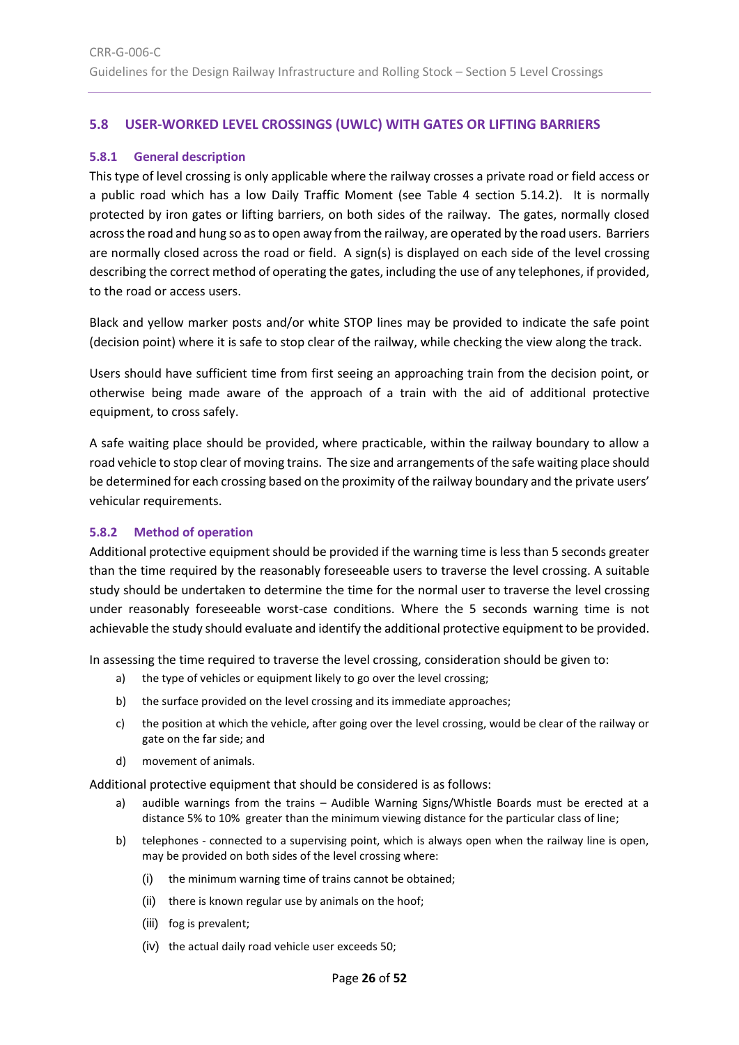# <span id="page-25-0"></span>**5.8 USER-WORKED LEVEL CROSSINGS (UWLC) WITH GATES OR LIFTING BARRIERS**

#### <span id="page-25-1"></span>**5.8.1 General description**

This type of level crossing is only applicable where the railway crosses a private road or field access or a public road which has a low Daily Traffic Moment (see [Table 4](#page-36-3) section [5.14.2\)](#page-36-2). It is normally protected by iron gates or lifting barriers, on both sides of the railway. The gates, normally closed across the road and hung so as to open away from the railway, are operated by the road users. Barriers are normally closed across the road or field. A sign(s) is displayed on each side of the level crossing describing the correct method of operating the gates, including the use of any telephones, if provided, to the road or access users.

Black and yellow marker posts and/or white STOP lines may be provided to indicate the safe point (decision point) where it is safe to stop clear of the railway, while checking the view along the track.

Users should have sufficient time from first seeing an approaching train from the decision point, or otherwise being made aware of the approach of a train with the aid of additional protective equipment, to cross safely.

A safe waiting place should be provided, where practicable, within the railway boundary to allow a road vehicle to stop clear of moving trains. The size and arrangements of the safe waiting place should be determined for each crossing based on the proximity of the railway boundary and the private users' vehicular requirements.

# <span id="page-25-2"></span>**5.8.2 Method of operation**

Additional protective equipment should be provided if the warning time is less than 5 seconds greater than the time required by the reasonably foreseeable users to traverse the level crossing. A suitable study should be undertaken to determine the time for the normal user to traverse the level crossing under reasonably foreseeable worst-case conditions. Where the 5 seconds warning time is not achievable the study should evaluate and identify the additional protective equipment to be provided.

In assessing the time required to traverse the level crossing, consideration should be given to:

- a) the type of vehicles or equipment likely to go over the level crossing;
- b) the surface provided on the level crossing and its immediate approaches;
- c) the position at which the vehicle, after going over the level crossing, would be clear of the railway or gate on the far side; and
- d) movement of animals.

Additional protective equipment that should be considered is as follows:

- a) audible warnings from the trains Audible Warning Signs/Whistle Boards must be erected at a distance 5% to 10% greater than the minimum viewing distance for the particular class of line;
- b) telephones connected to a supervising point, which is always open when the railway line is open, may be provided on both sides of the level crossing where:
	- (i) the minimum warning time of trains cannot be obtained;
	- (ii) there is known regular use by animals on the hoof;
	- (iii) fog is prevalent;
	- (iv) the actual daily road vehicle user exceeds 50;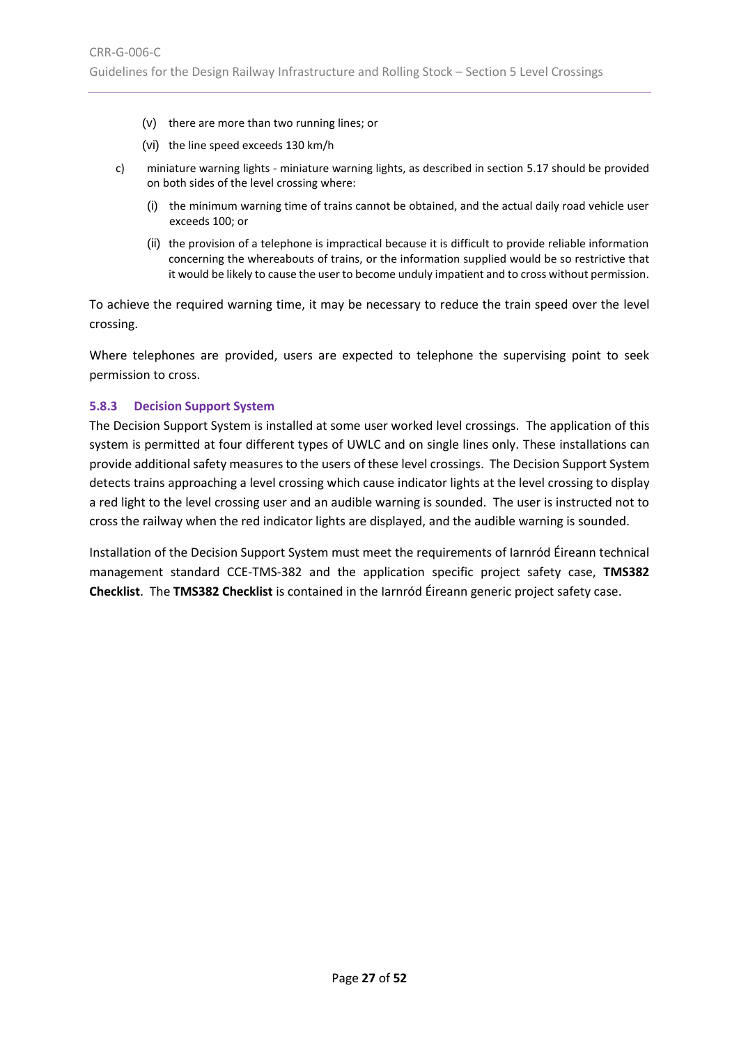- (v) there are more than two running lines; or
- (vi) the line speed exceeds 130 km/h
- c) miniature warning lights miniature warning lights, as described in section [5.17](#page-45-0) should be provided on both sides of the level crossing where:
	- (i) the minimum warning time of trains cannot be obtained, and the actual daily road vehicle user exceeds 100; or
	- (ii) the provision of a telephone is impractical because it is difficult to provide reliable information concerning the whereabouts of trains, or the information supplied would be so restrictive that it would be likely to cause the user to become unduly impatient and to cross without permission.

To achieve the required warning time, it may be necessary to reduce the train speed over the level crossing.

Where telephones are provided, users are expected to telephone the supervising point to seek permission to cross.

#### <span id="page-26-0"></span>**5.8.3 Decision Support System**

The Decision Support System is installed at some user worked level crossings. The application of this system is permitted at four different types of UWLC and on single lines only. These installations can provide additional safety measures to the users of these level crossings. The Decision Support System detects trains approaching a level crossing which cause indicator lights at the level crossing to display a red light to the level crossing user and an audible warning is sounded. The user is instructed not to cross the railway when the red indicator lights are displayed, and the audible warning is sounded.

Installation of the Decision Support System must meet the requirements of Iarnród Éireann technical management standard CCE-TMS-382 and the application specific project safety case, **TMS382 Checklist**. The **TMS382 Checklist** is contained in the Iarnród Éireann generic project safety case.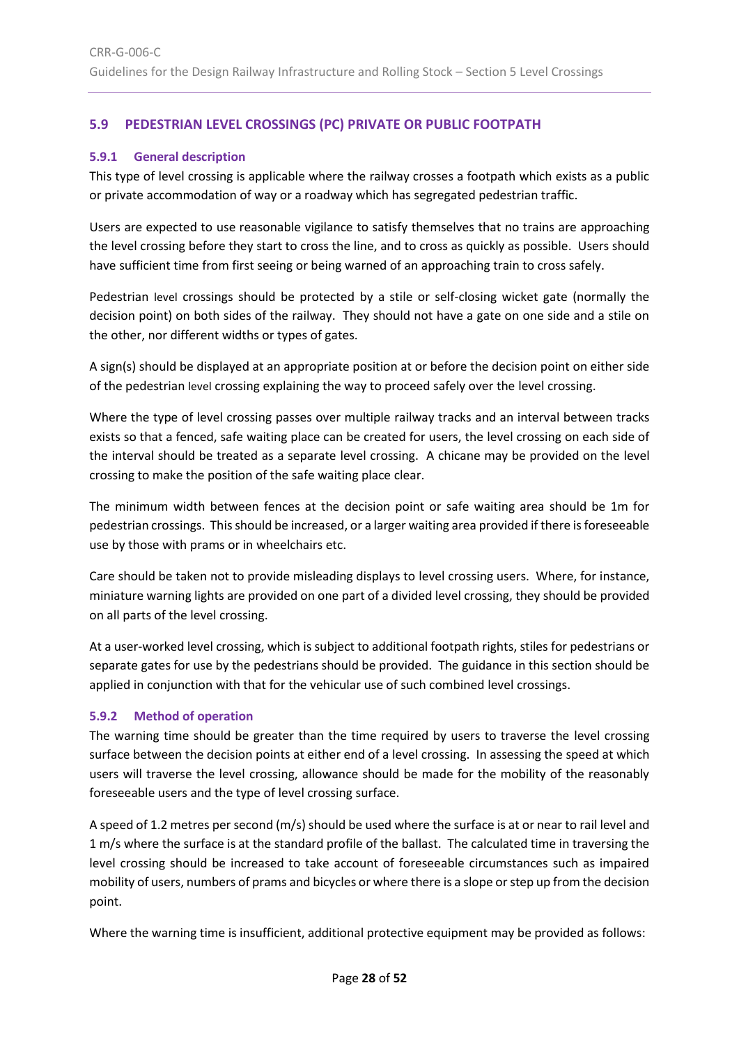# <span id="page-27-0"></span>**5.9 PEDESTRIAN LEVEL CROSSINGS (PC) PRIVATE OR PUBLIC FOOTPATH**

# <span id="page-27-1"></span>**5.9.1 General description**

This type of level crossing is applicable where the railway crosses a footpath which exists as a public or private accommodation of way or a roadway which has segregated pedestrian traffic.

Users are expected to use reasonable vigilance to satisfy themselves that no trains are approaching the level crossing before they start to cross the line, and to cross as quickly as possible. Users should have sufficient time from first seeing or being warned of an approaching train to cross safely.

Pedestrian level crossings should be protected by a stile or self-closing wicket gate (normally the decision point) on both sides of the railway. They should not have a gate on one side and a stile on the other, nor different widths or types of gates.

A sign(s) should be displayed at an appropriate position at or before the decision point on either side of the pedestrian level crossing explaining the way to proceed safely over the level crossing.

Where the type of level crossing passes over multiple railway tracks and an interval between tracks exists so that a fenced, safe waiting place can be created for users, the level crossing on each side of the interval should be treated as a separate level crossing. A chicane may be provided on the level crossing to make the position of the safe waiting place clear.

The minimum width between fences at the decision point or safe waiting area should be 1m for pedestrian crossings. This should be increased, or a larger waiting area provided if there is foreseeable use by those with prams or in wheelchairs etc.

Care should be taken not to provide misleading displays to level crossing users. Where, for instance, miniature warning lights are provided on one part of a divided level crossing, they should be provided on all parts of the level crossing.

At a user-worked level crossing, which is subject to additional footpath rights, stiles for pedestrians or separate gates for use by the pedestrians should be provided. The guidance in this section should be applied in conjunction with that for the vehicular use of such combined level crossings.

# <span id="page-27-2"></span>**5.9.2 Method of operation**

The warning time should be greater than the time required by users to traverse the level crossing surface between the decision points at either end of a level crossing. In assessing the speed at which users will traverse the level crossing, allowance should be made for the mobility of the reasonably foreseeable users and the type of level crossing surface.

A speed of 1.2 metres per second (m/s) should be used where the surface is at or near to rail level and 1 m/s where the surface is at the standard profile of the ballast. The calculated time in traversing the level crossing should be increased to take account of foreseeable circumstances such as impaired mobility of users, numbers of prams and bicycles or where there is a slope or step up from the decision point.

Where the warning time is insufficient, additional protective equipment may be provided as follows: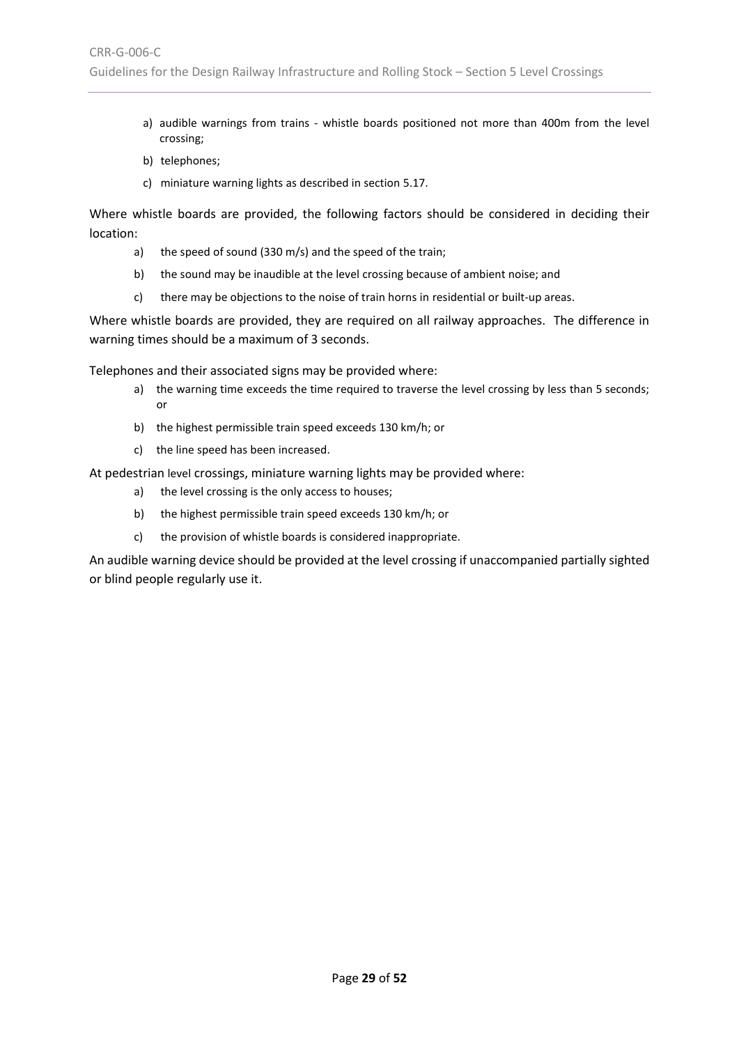- a) audible warnings from trains whistle boards positioned not more than 400m from the level crossing;
- b) telephones;
- c) miniature warning lights as described in sectio[n 5.17.](#page-45-0)

Where whistle boards are provided, the following factors should be considered in deciding their location:

- a) the speed of sound (330 m/s) and the speed of the train;
- b) the sound may be inaudible at the level crossing because of ambient noise; and
- c) there may be objections to the noise of train horns in residential or built-up areas.

Where whistle boards are provided, they are required on all railway approaches. The difference in warning times should be a maximum of 3 seconds.

Telephones and their associated signs may be provided where:

- a) the warning time exceeds the time required to traverse the level crossing by less than 5 seconds; or
- b) the highest permissible train speed exceeds 130 km/h; or
- c) the line speed has been increased.

At pedestrian level crossings, miniature warning lights may be provided where:

- a) the level crossing is the only access to houses;
- b) the highest permissible train speed exceeds 130 km/h; or
- c) the provision of whistle boards is considered inappropriate.

An audible warning device should be provided at the level crossing if unaccompanied partially sighted or blind people regularly use it.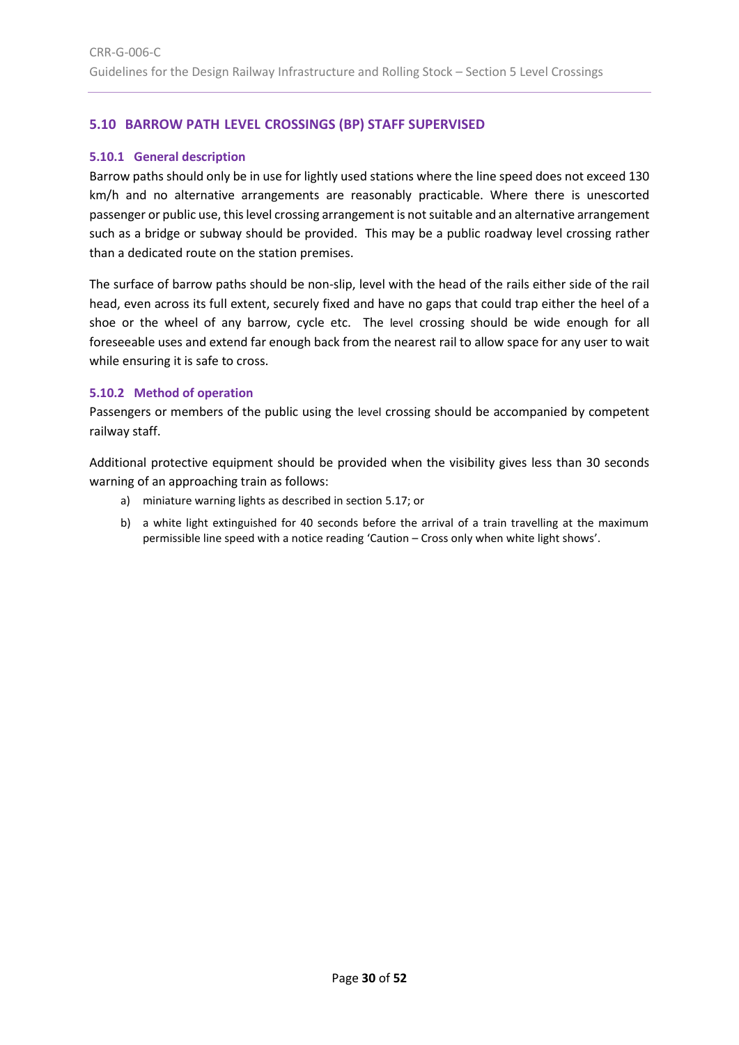# <span id="page-29-0"></span>**5.10 BARROW PATH LEVEL CROSSINGS (BP) STAFF SUPERVISED**

#### <span id="page-29-1"></span>**5.10.1 General description**

Barrow paths should only be in use for lightly used stations where the line speed does not exceed 130 km/h and no alternative arrangements are reasonably practicable. Where there is unescorted passenger or public use, this level crossing arrangement is notsuitable and an alternative arrangement such as a bridge or subway should be provided. This may be a public roadway level crossing rather than a dedicated route on the station premises.

The surface of barrow paths should be non-slip, level with the head of the rails either side of the rail head, even across its full extent, securely fixed and have no gaps that could trap either the heel of a shoe or the wheel of any barrow, cycle etc. The level crossing should be wide enough for all foreseeable uses and extend far enough back from the nearest rail to allow space for any user to wait while ensuring it is safe to cross.

#### <span id="page-29-2"></span>**5.10.2 Method of operation**

Passengers or members of the public using the level crossing should be accompanied by competent railway staff.

Additional protective equipment should be provided when the visibility gives less than 30 seconds warning of an approaching train as follows:

- a) miniature warning lights as described in sectio[n 5.17;](#page-45-0) or
- b) a white light extinguished for 40 seconds before the arrival of a train travelling at the maximum permissible line speed with a notice reading 'Caution – Cross only when white light shows'.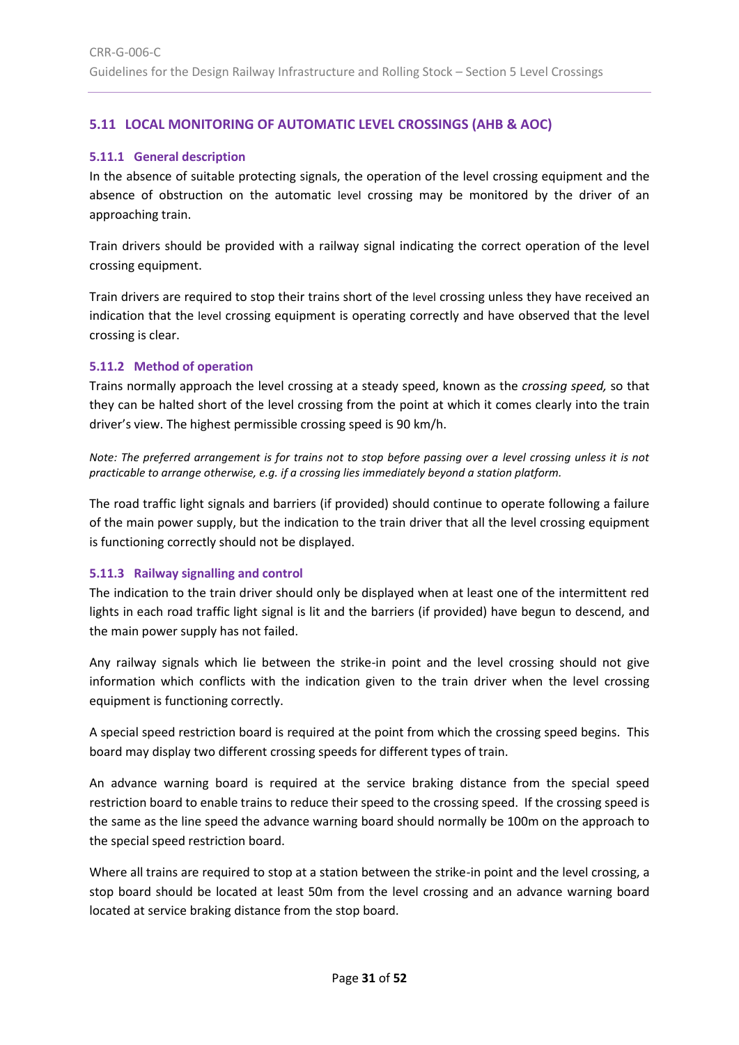# <span id="page-30-0"></span>**5.11 LOCAL MONITORING OF AUTOMATIC LEVEL CROSSINGS (AHB & AOC)**

## <span id="page-30-1"></span>**5.11.1 General description**

In the absence of suitable protecting signals, the operation of the level crossing equipment and the absence of obstruction on the automatic level crossing may be monitored by the driver of an approaching train.

Train drivers should be provided with a railway signal indicating the correct operation of the level crossing equipment.

Train drivers are required to stop their trains short of the level crossing unless they have received an indication that the level crossing equipment is operating correctly and have observed that the level crossing is clear.

#### <span id="page-30-2"></span>**5.11.2 Method of operation**

Trains normally approach the level crossing at a steady speed, known as the *crossing speed,* so that they can be halted short of the level crossing from the point at which it comes clearly into the train driver's view. The highest permissible crossing speed is 90 km/h.

*Note: The preferred arrangement is for trains not to stop before passing over a level crossing unless it is not practicable to arrange otherwise, e.g. if a crossing lies immediately beyond a station platform.*

The road traffic light signals and barriers (if provided) should continue to operate following a failure of the main power supply, but the indication to the train driver that all the level crossing equipment is functioning correctly should not be displayed.

# <span id="page-30-3"></span>**5.11.3 Railway signalling and control**

The indication to the train driver should only be displayed when at least one of the intermittent red lights in each road traffic light signal is lit and the barriers (if provided) have begun to descend, and the main power supply has not failed.

Any railway signals which lie between the strike-in point and the level crossing should not give information which conflicts with the indication given to the train driver when the level crossing equipment is functioning correctly.

A special speed restriction board is required at the point from which the crossing speed begins. This board may display two different crossing speeds for different types of train.

An advance warning board is required at the service braking distance from the special speed restriction board to enable trains to reduce their speed to the crossing speed. If the crossing speed is the same as the line speed the advance warning board should normally be 100m on the approach to the special speed restriction board.

Where all trains are required to stop at a station between the strike-in point and the level crossing, a stop board should be located at least 50m from the level crossing and an advance warning board located at service braking distance from the stop board.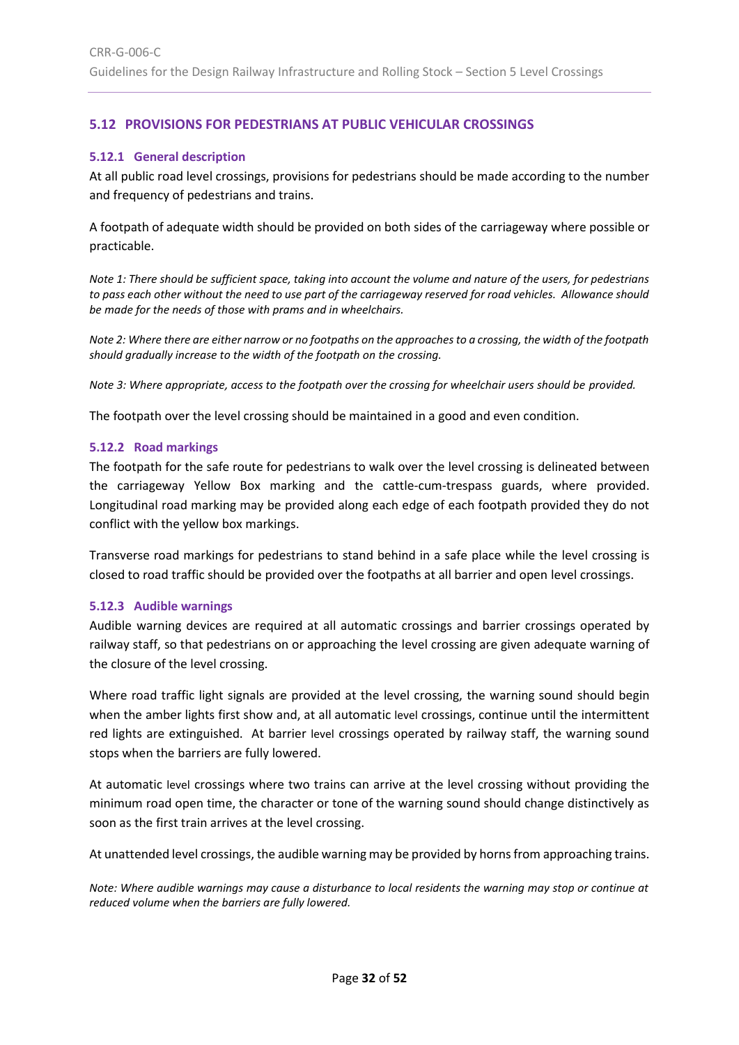# <span id="page-31-0"></span>**5.12 PROVISIONS FOR PEDESTRIANS AT PUBLIC VEHICULAR CROSSINGS**

#### <span id="page-31-1"></span>**5.12.1 General description**

At all public road level crossings, provisions for pedestrians should be made according to the number and frequency of pedestrians and trains.

A footpath of adequate width should be provided on both sides of the carriageway where possible or practicable.

*Note 1: There should be sufficient space, taking into account the volume and nature of the users, for pedestrians to pass each other without the need to use part of the carriageway reserved for road vehicles. Allowance should be made for the needs of those with prams and in wheelchairs.*

*Note 2: Where there are either narrow or no footpaths on the approaches to a crossing, the width of the footpath should gradually increase to the width of the footpath on the crossing.*

*Note 3: Where appropriate, access to the footpath over the crossing for wheelchair users should be provided.*

The footpath over the level crossing should be maintained in a good and even condition.

#### <span id="page-31-2"></span>**5.12.2 Road markings**

The footpath for the safe route for pedestrians to walk over the level crossing is delineated between the carriageway Yellow Box marking and the cattle-cum-trespass guards, where provided. Longitudinal road marking may be provided along each edge of each footpath provided they do not conflict with the yellow box markings.

Transverse road markings for pedestrians to stand behind in a safe place while the level crossing is closed to road traffic should be provided over the footpaths at all barrier and open level crossings.

#### <span id="page-31-3"></span>**5.12.3 Audible warnings**

Audible warning devices are required at all automatic crossings and barrier crossings operated by railway staff, so that pedestrians on or approaching the level crossing are given adequate warning of the closure of the level crossing.

Where road traffic light signals are provided at the level crossing, the warning sound should begin when the amber lights first show and, at all automatic level crossings, continue until the intermittent red lights are extinguished. At barrier level crossings operated by railway staff, the warning sound stops when the barriers are fully lowered.

At automatic level crossings where two trains can arrive at the level crossing without providing the minimum road open time, the character or tone of the warning sound should change distinctively as soon as the first train arrives at the level crossing.

At unattended level crossings, the audible warning may be provided by horns from approaching trains.

*Note: Where audible warnings may cause a disturbance to local residents the warning may stop or continue at reduced volume when the barriers are fully lowered.*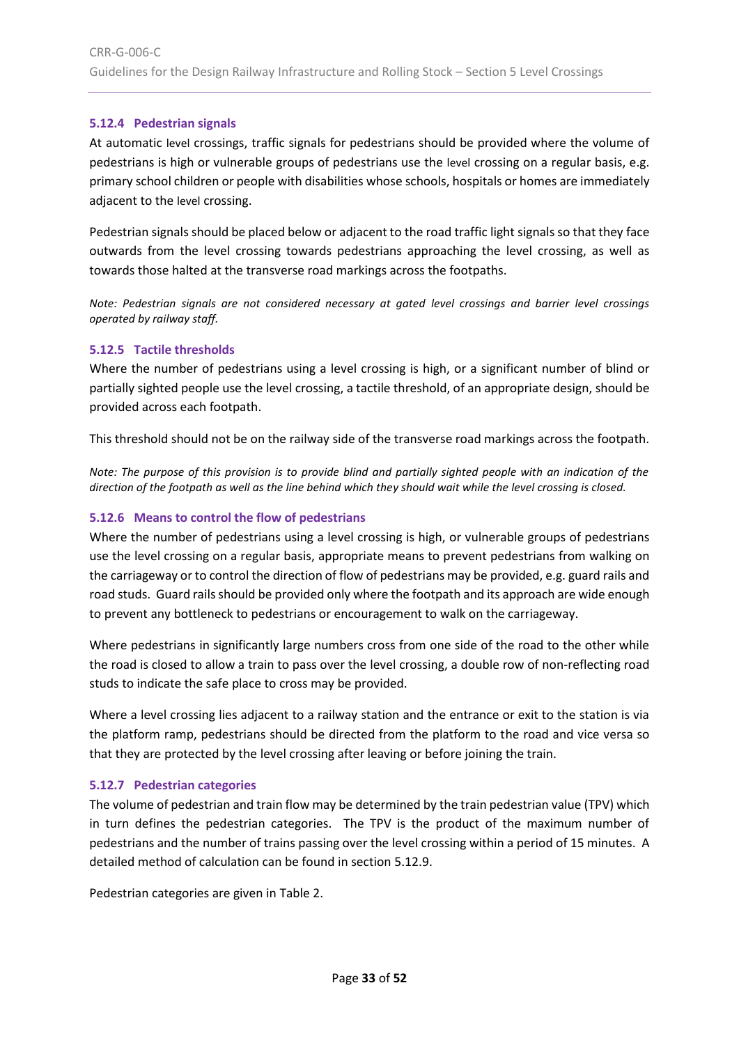## <span id="page-32-0"></span>**5.12.4 Pedestrian signals**

At automatic level crossings, traffic signals for pedestrians should be provided where the volume of pedestrians is high or vulnerable groups of pedestrians use the level crossing on a regular basis, e.g. primary school children or people with disabilities whose schools, hospitals or homes are immediately adjacent to the level crossing.

Pedestrian signals should be placed below or adjacent to the road traffic light signals so that they face outwards from the level crossing towards pedestrians approaching the level crossing, as well as towards those halted at the transverse road markings across the footpaths.

*Note: Pedestrian signals are not considered necessary at gated level crossings and barrier level crossings operated by railway staff.*

#### <span id="page-32-1"></span>**5.12.5 Tactile thresholds**

Where the number of pedestrians using a level crossing is high, or a significant number of blind or partially sighted people use the level crossing, a tactile threshold, of an appropriate design, should be provided across each footpath.

This threshold should not be on the railway side of the transverse road markings across the footpath.

*Note: The purpose of this provision is to provide blind and partially sighted people with an indication of the direction of the footpath as well as the line behind which they should wait while the level crossing is closed.*

#### <span id="page-32-2"></span>**5.12.6 Means to control the flow of pedestrians**

Where the number of pedestrians using a level crossing is high, or vulnerable groups of pedestrians use the level crossing on a regular basis, appropriate means to prevent pedestrians from walking on the carriageway or to control the direction of flow of pedestrians may be provided, e.g. guard rails and road studs. Guard rails should be provided only where the footpath and its approach are wide enough to prevent any bottleneck to pedestrians or encouragement to walk on the carriageway.

Where pedestrians in significantly large numbers cross from one side of the road to the other while the road is closed to allow a train to pass over the level crossing, a double row of non-reflecting road studs to indicate the safe place to cross may be provided.

Where a level crossing lies adjacent to a railway station and the entrance or exit to the station is via the platform ramp, pedestrians should be directed from the platform to the road and vice versa so that they are protected by the level crossing after leaving or before joining the train.

#### <span id="page-32-3"></span>**5.12.7 Pedestrian categories**

The volume of pedestrian and train flow may be determined by the train pedestrian value (TPV) which in turn defines the pedestrian categories. The TPV is the product of the maximum number of pedestrians and the number of trains passing over the level crossing within a period of 15 minutes. A detailed method of calculation can be found in section [5.12.9.](#page-33-1)

Pedestrian categories are given in [Table 2.](#page-33-2)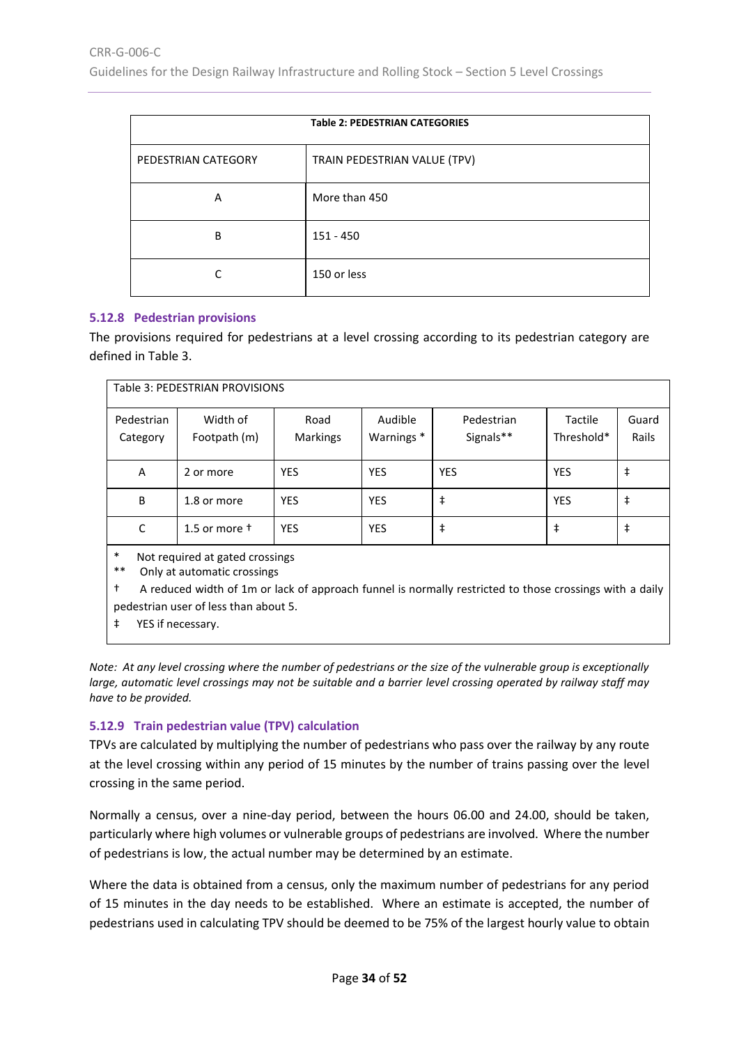<span id="page-33-2"></span>

| <b>Table 2: PEDESTRIAN CATEGORIES</b> |                              |  |
|---------------------------------------|------------------------------|--|
| PEDESTRIAN CATEGORY                   | TRAIN PEDESTRIAN VALUE (TPV) |  |
| A                                     | More than 450                |  |
| B                                     | 151 - 450                    |  |
|                                       | 150 or less                  |  |

#### <span id="page-33-0"></span>**5.12.8 Pedestrian provisions**

The provisions required for pedestrians at a level crossing according to its pedestrian category are defined i[n Table 3.](#page-33-3)

<span id="page-33-3"></span>

| Table 3: PEDESTRIAN PROVISIONS                                                                                                                                                                                                                                       |                          |                         |                      |                         |                       |                |
|----------------------------------------------------------------------------------------------------------------------------------------------------------------------------------------------------------------------------------------------------------------------|--------------------------|-------------------------|----------------------|-------------------------|-----------------------|----------------|
| Pedestrian<br>Category                                                                                                                                                                                                                                               | Width of<br>Footpath (m) | Road<br><b>Markings</b> | Audible<br>Warnings* | Pedestrian<br>Signals** | Tactile<br>Threshold* | Guard<br>Rails |
| A                                                                                                                                                                                                                                                                    | 2 or more                | <b>YES</b>              | <b>YES</b>           | <b>YES</b>              | <b>YES</b>            | ŧ              |
| B                                                                                                                                                                                                                                                                    | 1.8 or more              | <b>YES</b>              | <b>YES</b>           | $\ddagger$              | <b>YES</b>            | ŧ              |
| C                                                                                                                                                                                                                                                                    | 1.5 or more $\dagger$    | <b>YES</b>              | <b>YES</b>           | $\ddagger$              | $\ddagger$            | ŧ              |
| $\ast$<br>Not required at gated crossings<br>$***$<br>Only at automatic crossings<br>t<br>A reduced width of 1m or lack of approach funnel is normally restricted to those crossings with a daily<br>pedestrian user of less than about 5.<br>ŧ<br>YES if necessary. |                          |                         |                      |                         |                       |                |

*Note: At any level crossing where the number of pedestrians or the size of the vulnerable group is exceptionally large, automatic level crossings may not be suitable and a barrier level crossing operated by railway staff may have to be provided.*

#### <span id="page-33-1"></span>**5.12.9 Train pedestrian value (TPV) calculation**

TPVs are calculated by multiplying the number of pedestrians who pass over the railway by any route at the level crossing within any period of 15 minutes by the number of trains passing over the level crossing in the same period.

Normally a census, over a nine-day period, between the hours 06.00 and 24.00, should be taken, particularly where high volumes or vulnerable groups of pedestrians are involved. Where the number of pedestrians is low, the actual number may be determined by an estimate.

Where the data is obtained from a census, only the maximum number of pedestrians for any period of 15 minutes in the day needs to be established. Where an estimate is accepted, the number of pedestrians used in calculating TPV should be deemed to be 75% of the largest hourly value to obtain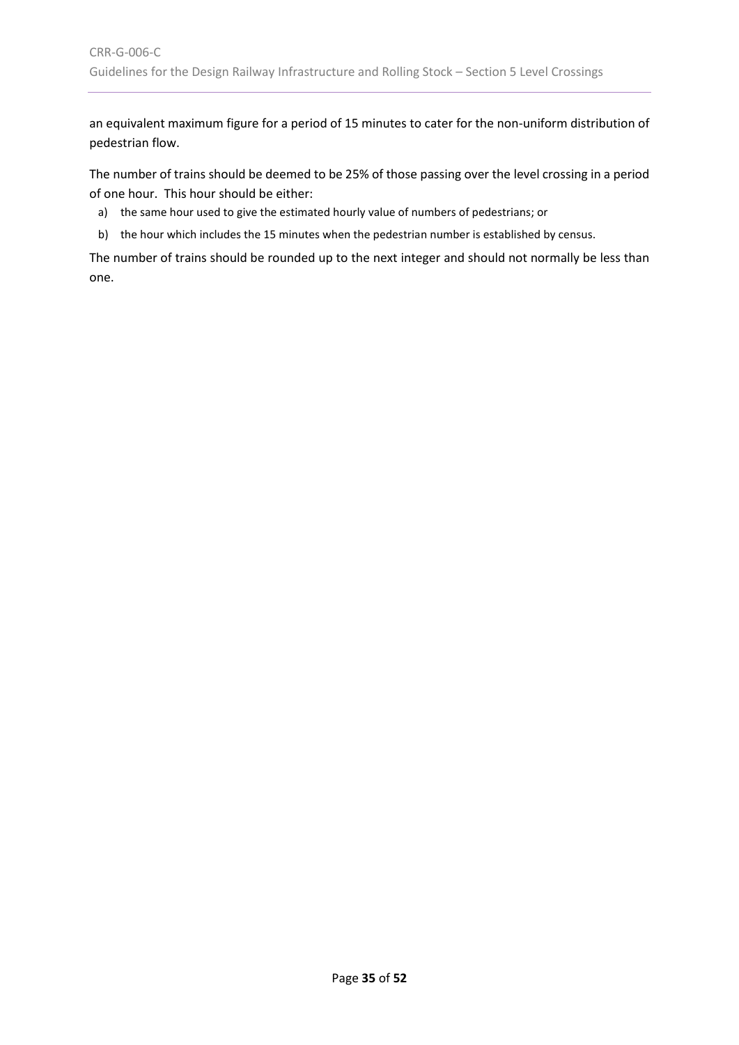an equivalent maximum figure for a period of 15 minutes to cater for the non-uniform distribution of pedestrian flow.

The number of trains should be deemed to be 25% of those passing over the level crossing in a period of one hour. This hour should be either:

- a) the same hour used to give the estimated hourly value of numbers of pedestrians; or
- b) the hour which includes the 15 minutes when the pedestrian number is established by census.

The number of trains should be rounded up to the next integer and should not normally be less than one.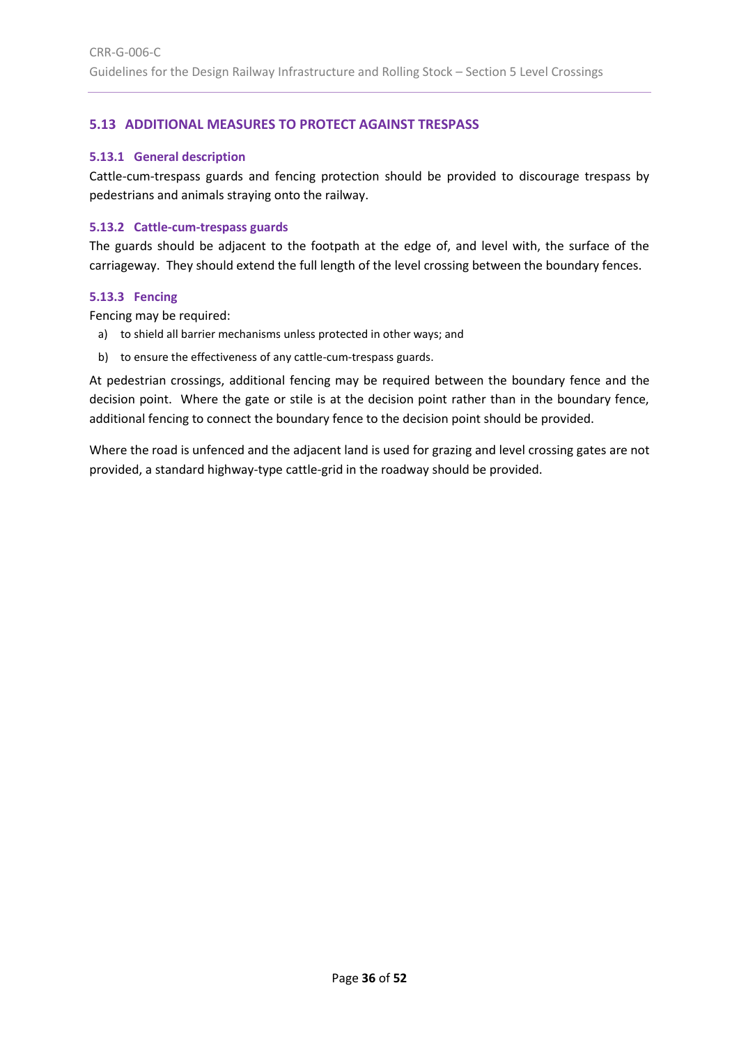# <span id="page-35-0"></span>**5.13 ADDITIONAL MEASURES TO PROTECT AGAINST TRESPASS**

#### <span id="page-35-1"></span>**5.13.1 General description**

Cattle-cum-trespass guards and fencing protection should be provided to discourage trespass by pedestrians and animals straying onto the railway.

#### <span id="page-35-2"></span>**5.13.2 Cattle-cum-trespass guards**

The guards should be adjacent to the footpath at the edge of, and level with, the surface of the carriageway. They should extend the full length of the level crossing between the boundary fences.

#### <span id="page-35-3"></span>**5.13.3 Fencing**

Fencing may be required:

- a) to shield all barrier mechanisms unless protected in other ways; and
- b) to ensure the effectiveness of any cattle-cum-trespass guards.

At pedestrian crossings, additional fencing may be required between the boundary fence and the decision point. Where the gate or stile is at the decision point rather than in the boundary fence, additional fencing to connect the boundary fence to the decision point should be provided.

Where the road is unfenced and the adjacent land is used for grazing and level crossing gates are not provided, a standard highway-type cattle-grid in the roadway should be provided.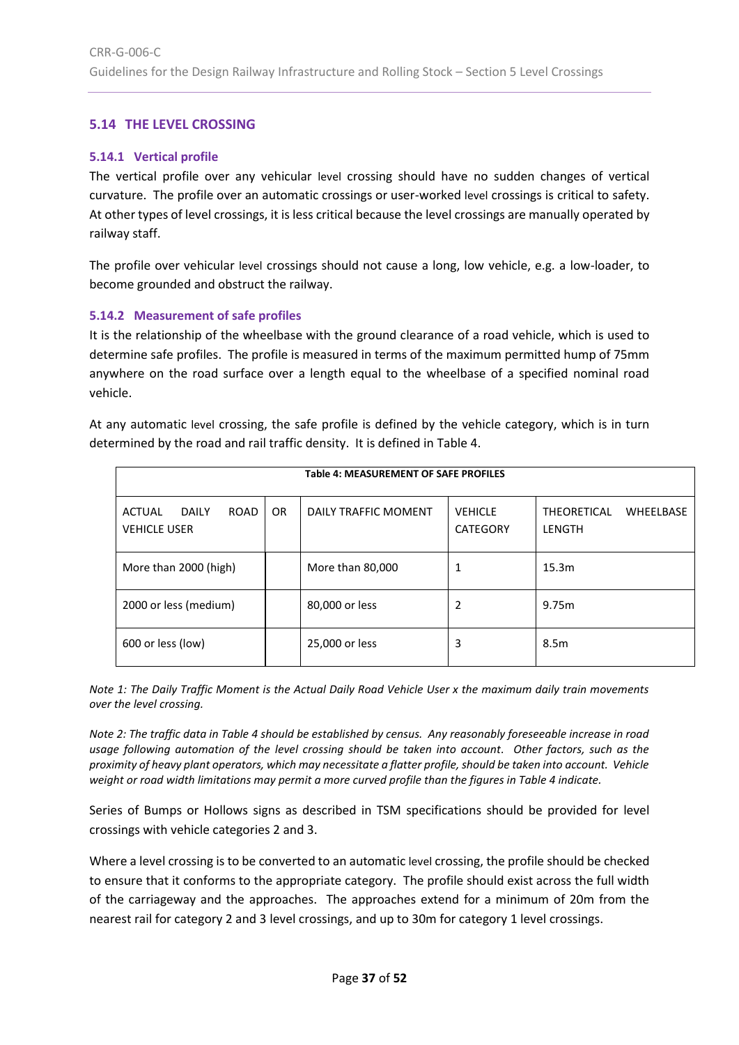## <span id="page-36-0"></span>**5.14 THE LEVEL CROSSING**

#### <span id="page-36-1"></span>**5.14.1 Vertical profile**

The vertical profile over any vehicular level crossing should have no sudden changes of vertical curvature. The profile over an automatic crossings or user-worked level crossings is critical to safety. At other types of level crossings, it is less critical because the level crossings are manually operated by railway staff.

The profile over vehicular level crossings should not cause a long, low vehicle, e.g. a low-loader, to become grounded and obstruct the railway.

#### <span id="page-36-2"></span>**5.14.2 Measurement of safe profiles**

It is the relationship of the wheelbase with the ground clearance of a road vehicle, which is used to determine safe profiles. The profile is measured in terms of the maximum permitted hump of 75mm anywhere on the road surface over a length equal to the wheelbase of a specified nominal road vehicle.

At any automatic level crossing, the safe profile is defined by the vehicle category, which is in turn determined by the road and rail traffic density. It is defined in [Table 4.](#page-36-3)

<span id="page-36-3"></span>

| <b>Table 4: MEASUREMENT OF SAFE PROFILES</b>           |           |                      |                                   |                                           |  |
|--------------------------------------------------------|-----------|----------------------|-----------------------------------|-------------------------------------------|--|
| <b>ROAD</b><br>ACTUAL<br>DAII Y<br><b>VEHICLE USER</b> | <b>OR</b> | DAILY TRAFFIC MOMENT | <b>VEHICLE</b><br><b>CATEGORY</b> | <b>THEORETICAL</b><br>WHEELBASE<br>LENGTH |  |
| More than 2000 (high)                                  |           | More than 80,000     | 1                                 | 15.3m                                     |  |
| 2000 or less (medium)                                  |           | 80,000 or less       | 2                                 | 9.75m                                     |  |
| 600 or less (low)                                      |           | 25,000 or less       | 3                                 | 8.5 <sub>m</sub>                          |  |

*Note 1: The Daily Traffic Moment is the Actual Daily Road Vehicle User x the maximum daily train movements over the level crossing.*

*Note 2: The traffic data i[n Table 4](#page-36-3) should be established by census. Any reasonably foreseeable increase in road usage following automation of the level crossing should be taken into account. Other factors, such as the proximity of heavy plant operators, which may necessitate a flatter profile, should be taken into account. Vehicle weight or road width limitations may permit a more curved profile than the figures in Table 4 indicate.*

Series of Bumps or Hollows signs as described in TSM specifications should be provided for level crossings with vehicle categories 2 and 3.

Where a level crossing is to be converted to an automatic level crossing, the profile should be checked to ensure that it conforms to the appropriate category. The profile should exist across the full width of the carriageway and the approaches. The approaches extend for a minimum of 20m from the nearest rail for category 2 and 3 level crossings, and up to 30m for category 1 level crossings.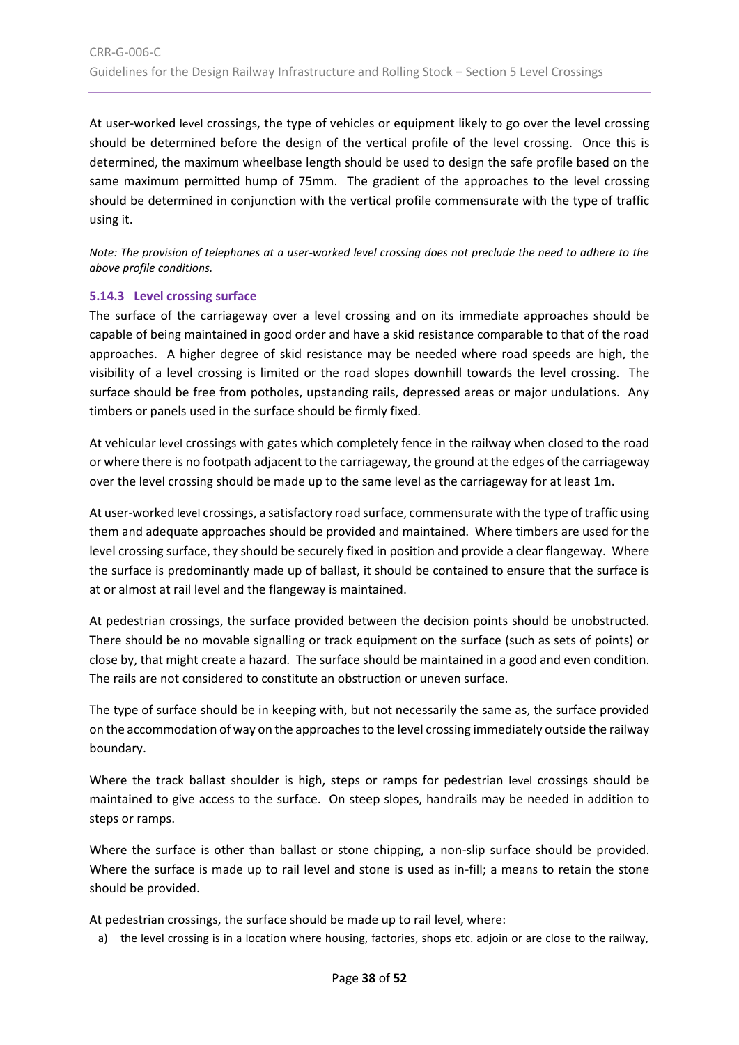At user-worked level crossings, the type of vehicles or equipment likely to go over the level crossing should be determined before the design of the vertical profile of the level crossing. Once this is determined, the maximum wheelbase length should be used to design the safe profile based on the same maximum permitted hump of 75mm. The gradient of the approaches to the level crossing should be determined in conjunction with the vertical profile commensurate with the type of traffic using it.

*Note: The provision of telephones at a user-worked level crossing does not preclude the need to adhere to the above profile conditions.*

#### <span id="page-37-0"></span>**5.14.3 Level crossing surface**

The surface of the carriageway over a level crossing and on its immediate approaches should be capable of being maintained in good order and have a skid resistance comparable to that of the road approaches. A higher degree of skid resistance may be needed where road speeds are high, the visibility of a level crossing is limited or the road slopes downhill towards the level crossing. The surface should be free from potholes, upstanding rails, depressed areas or major undulations. Any timbers or panels used in the surface should be firmly fixed.

At vehicular level crossings with gates which completely fence in the railway when closed to the road or where there is no footpath adjacent to the carriageway, the ground at the edges of the carriageway over the level crossing should be made up to the same level as the carriageway for at least 1m.

At user-worked level crossings, a satisfactory road surface, commensurate with the type of traffic using them and adequate approaches should be provided and maintained. Where timbers are used for the level crossing surface, they should be securely fixed in position and provide a clear flangeway. Where the surface is predominantly made up of ballast, it should be contained to ensure that the surface is at or almost at rail level and the flangeway is maintained.

At pedestrian crossings, the surface provided between the decision points should be unobstructed. There should be no movable signalling or track equipment on the surface (such as sets of points) or close by, that might create a hazard. The surface should be maintained in a good and even condition. The rails are not considered to constitute an obstruction or uneven surface.

The type of surface should be in keeping with, but not necessarily the same as, the surface provided on the accommodation of way on the approaches to the level crossing immediately outside the railway boundary.

Where the track ballast shoulder is high, steps or ramps for pedestrian level crossings should be maintained to give access to the surface. On steep slopes, handrails may be needed in addition to steps or ramps.

Where the surface is other than ballast or stone chipping, a non-slip surface should be provided. Where the surface is made up to rail level and stone is used as in-fill; a means to retain the stone should be provided.

At pedestrian crossings, the surface should be made up to rail level, where:

a) the level crossing is in a location where housing, factories, shops etc. adjoin or are close to the railway,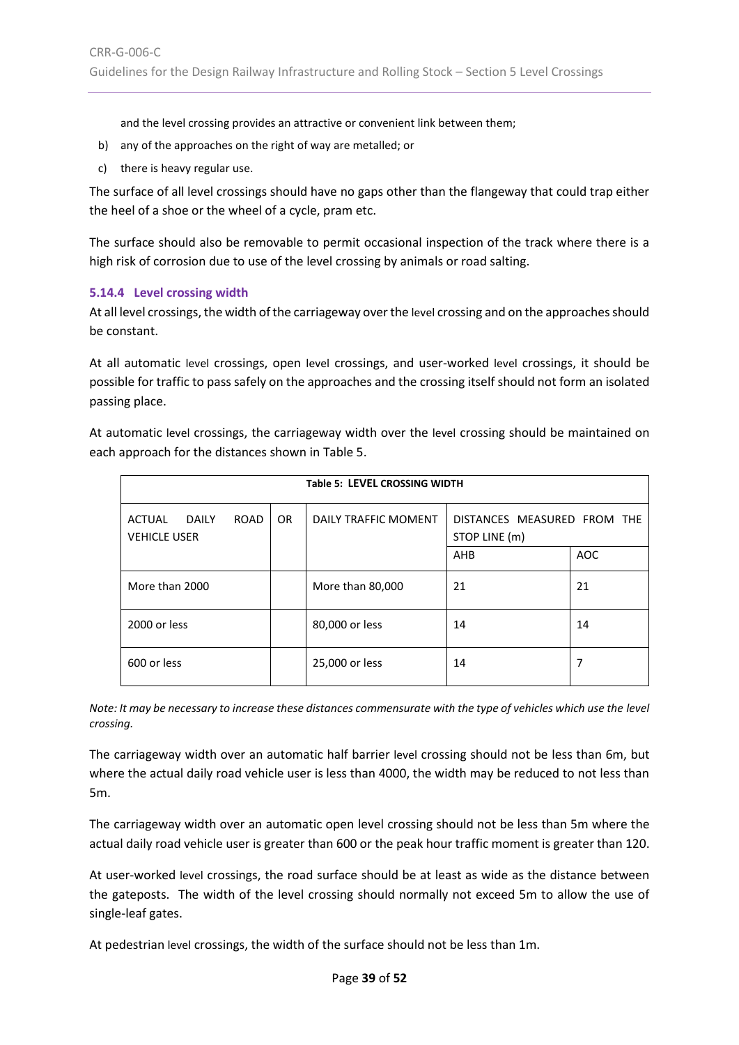and the level crossing provides an attractive or convenient link between them;

- b) any of the approaches on the right of way are metalled; or
- c) there is heavy regular use.

The surface of all level crossings should have no gaps other than the flangeway that could trap either the heel of a shoe or the wheel of a cycle, pram etc.

The surface should also be removable to permit occasional inspection of the track where there is a high risk of corrosion due to use of the level crossing by animals or road salting.

#### <span id="page-38-0"></span>**5.14.4 Level crossing width**

At all level crossings, the width of the carriageway over the level crossing and on the approaches should be constant.

At all automatic level crossings, open level crossings, and user-worked level crossings, it should be possible for traffic to pass safely on the approaches and the crossing itself should not form an isolated passing place.

At automatic level crossings, the carriageway width over the level crossing should be maintained on each approach for the distances shown in [Table 5.](#page-38-1)

<span id="page-38-1"></span>

| <b>Table 5: LEVEL CROSSING WIDTH</b>                                |     |                      |                                              |            |
|---------------------------------------------------------------------|-----|----------------------|----------------------------------------------|------------|
| <b>DAILY</b><br><b>ACTUAL</b><br><b>ROAD</b><br><b>VEHICLE USER</b> | OR. | DAILY TRAFFIC MOMENT | DISTANCES MEASURED FROM THE<br>STOP LINE (m) |            |
|                                                                     |     |                      | AHB                                          | <b>AOC</b> |
| More than 2000                                                      |     | More than 80,000     | 21                                           | 21         |
| 2000 or less                                                        |     | 80,000 or less       | 14                                           | 14         |
| 600 or less                                                         |     | 25,000 or less       | 14                                           | 7          |

*Note: It may be necessary to increase these distances commensurate with the type of vehicles which use the level crossing.*

The carriageway width over an automatic half barrier level crossing should not be less than 6m, but where the actual daily road vehicle user is less than 4000, the width may be reduced to not less than 5m.

The carriageway width over an automatic open level crossing should not be less than 5m where the actual daily road vehicle user is greater than 600 or the peak hour traffic moment is greater than 120.

At user-worked level crossings, the road surface should be at least as wide as the distance between the gateposts. The width of the level crossing should normally not exceed 5m to allow the use of single-leaf gates.

At pedestrian level crossings, the width of the surface should not be less than 1m.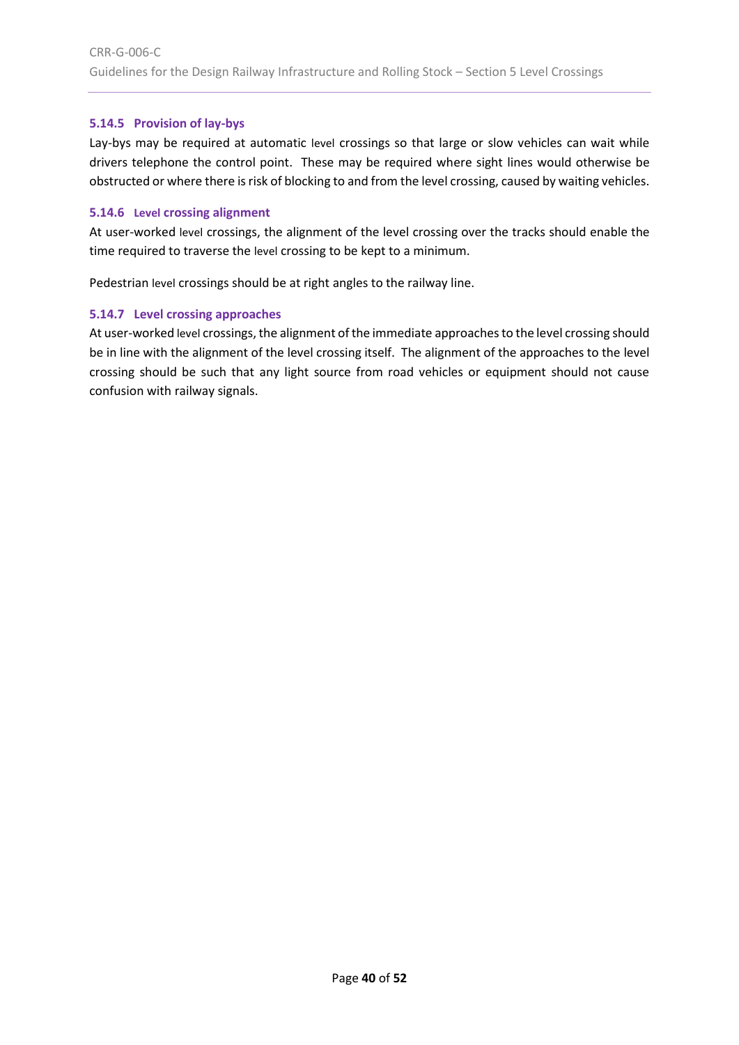## <span id="page-39-0"></span>**5.14.5 Provision of lay-bys**

Lay-bys may be required at automatic level crossings so that large or slow vehicles can wait while drivers telephone the control point. These may be required where sight lines would otherwise be obstructed or where there is risk of blocking to and from the level crossing, caused by waiting vehicles.

#### <span id="page-39-1"></span>**5.14.6 Level crossing alignment**

At user-worked level crossings, the alignment of the level crossing over the tracks should enable the time required to traverse the level crossing to be kept to a minimum.

Pedestrian level crossings should be at right angles to the railway line.

#### <span id="page-39-2"></span>**5.14.7 Level crossing approaches**

At user-worked level crossings, the alignment of the immediate approaches to the level crossing should be in line with the alignment of the level crossing itself. The alignment of the approaches to the level crossing should be such that any light source from road vehicles or equipment should not cause confusion with railway signals.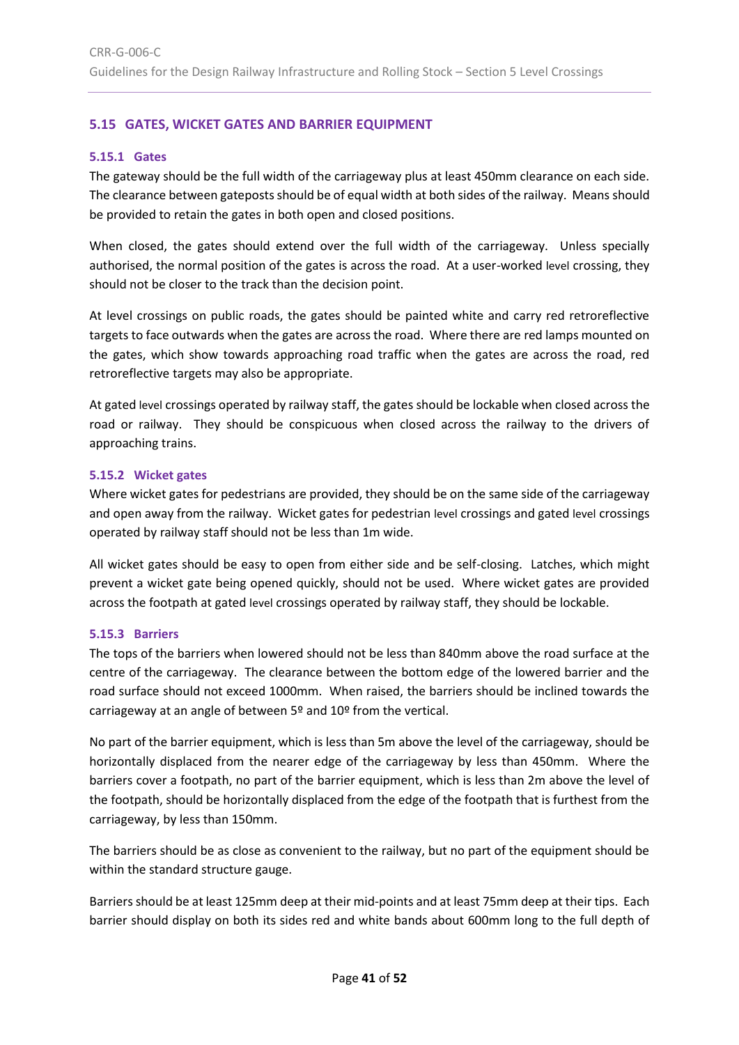# <span id="page-40-0"></span>**5.15 GATES, WICKET GATES AND BARRIER EQUIPMENT**

#### <span id="page-40-1"></span>**5.15.1 Gates**

The gateway should be the full width of the carriageway plus at least 450mm clearance on each side. The clearance between gateposts should be of equal width at both sides of the railway. Means should be provided to retain the gates in both open and closed positions.

When closed, the gates should extend over the full width of the carriageway. Unless specially authorised, the normal position of the gates is across the road. At a user-worked level crossing, they should not be closer to the track than the decision point.

At level crossings on public roads, the gates should be painted white and carry red retroreflective targets to face outwards when the gates are across the road. Where there are red lamps mounted on the gates, which show towards approaching road traffic when the gates are across the road, red retroreflective targets may also be appropriate.

At gated level crossings operated by railway staff, the gates should be lockable when closed across the road or railway. They should be conspicuous when closed across the railway to the drivers of approaching trains.

#### <span id="page-40-2"></span>**5.15.2 Wicket gates**

Where wicket gates for pedestrians are provided, they should be on the same side of the carriageway and open away from the railway. Wicket gates for pedestrian level crossings and gated level crossings operated by railway staff should not be less than 1m wide.

All wicket gates should be easy to open from either side and be self-closing. Latches, which might prevent a wicket gate being opened quickly, should not be used. Where wicket gates are provided across the footpath at gated level crossings operated by railway staff, they should be lockable.

#### <span id="page-40-3"></span>**5.15.3 Barriers**

The tops of the barriers when lowered should not be less than 840mm above the road surface at the centre of the carriageway. The clearance between the bottom edge of the lowered barrier and the road surface should not exceed 1000mm. When raised, the barriers should be inclined towards the carriageway at an angle of between 5º and 10º from the vertical.

No part of the barrier equipment, which is less than 5m above the level of the carriageway, should be horizontally displaced from the nearer edge of the carriageway by less than 450mm. Where the barriers cover a footpath, no part of the barrier equipment, which is less than 2m above the level of the footpath, should be horizontally displaced from the edge of the footpath that is furthest from the carriageway, by less than 150mm.

The barriers should be as close as convenient to the railway, but no part of the equipment should be within the standard structure gauge.

Barriers should be at least 125mm deep at their mid-points and at least 75mm deep at their tips. Each barrier should display on both its sides red and white bands about 600mm long to the full depth of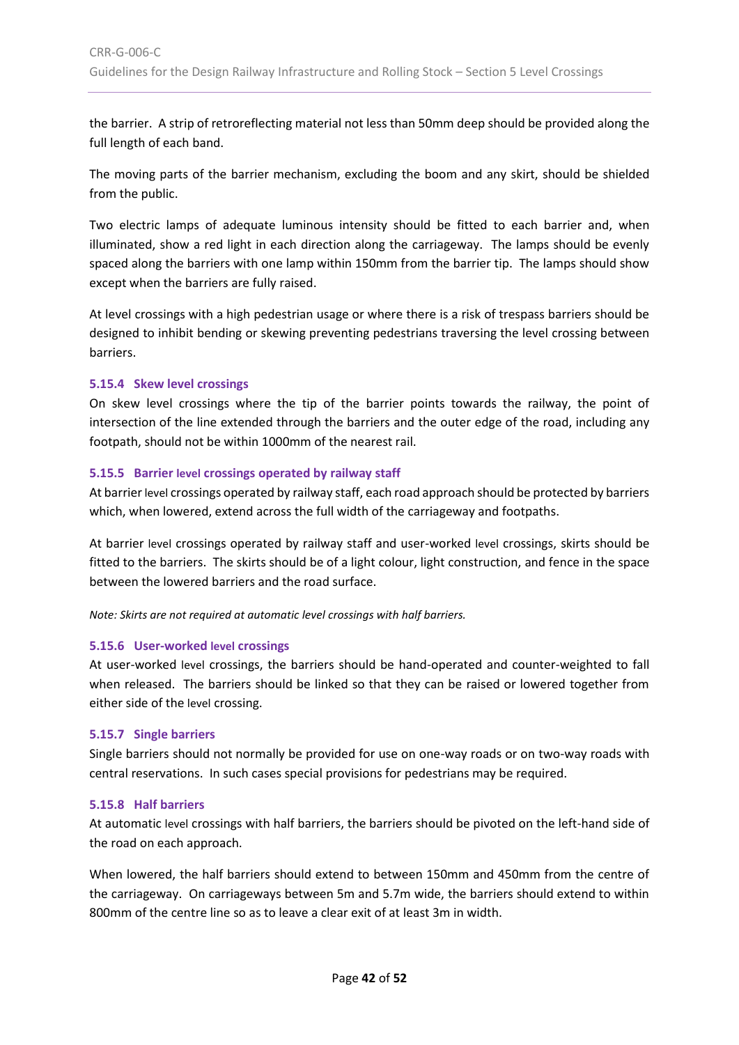the barrier. A strip of retroreflecting material not less than 50mm deep should be provided along the full length of each band.

The moving parts of the barrier mechanism, excluding the boom and any skirt, should be shielded from the public.

Two electric lamps of adequate luminous intensity should be fitted to each barrier and, when illuminated, show a red light in each direction along the carriageway. The lamps should be evenly spaced along the barriers with one lamp within 150mm from the barrier tip. The lamps should show except when the barriers are fully raised.

At level crossings with a high pedestrian usage or where there is a risk of trespass barriers should be designed to inhibit bending or skewing preventing pedestrians traversing the level crossing between barriers.

#### <span id="page-41-0"></span>**5.15.4 Skew level crossings**

On skew level crossings where the tip of the barrier points towards the railway, the point of intersection of the line extended through the barriers and the outer edge of the road, including any footpath, should not be within 1000mm of the nearest rail.

#### <span id="page-41-1"></span>**5.15.5 Barrier level crossings operated by railway staff**

At barrier level crossings operated by railway staff, each road approach should be protected by barriers which, when lowered, extend across the full width of the carriageway and footpaths.

At barrier level crossings operated by railway staff and user-worked level crossings, skirts should be fitted to the barriers. The skirts should be of a light colour, light construction, and fence in the space between the lowered barriers and the road surface.

*Note: Skirts are not required at automatic level crossings with half barriers.*

# <span id="page-41-2"></span>**5.15.6 User-worked level crossings**

At user-worked level crossings, the barriers should be hand-operated and counter-weighted to fall when released. The barriers should be linked so that they can be raised or lowered together from either side of the level crossing.

#### <span id="page-41-3"></span>**5.15.7 Single barriers**

Single barriers should not normally be provided for use on one-way roads or on two-way roads with central reservations. In such cases special provisions for pedestrians may be required.

#### <span id="page-41-4"></span>**5.15.8 Half barriers**

At automatic level crossings with half barriers, the barriers should be pivoted on the left-hand side of the road on each approach.

When lowered, the half barriers should extend to between 150mm and 450mm from the centre of the carriageway. On carriageways between 5m and 5.7m wide, the barriers should extend to within 800mm of the centre line so as to leave a clear exit of at least 3m in width.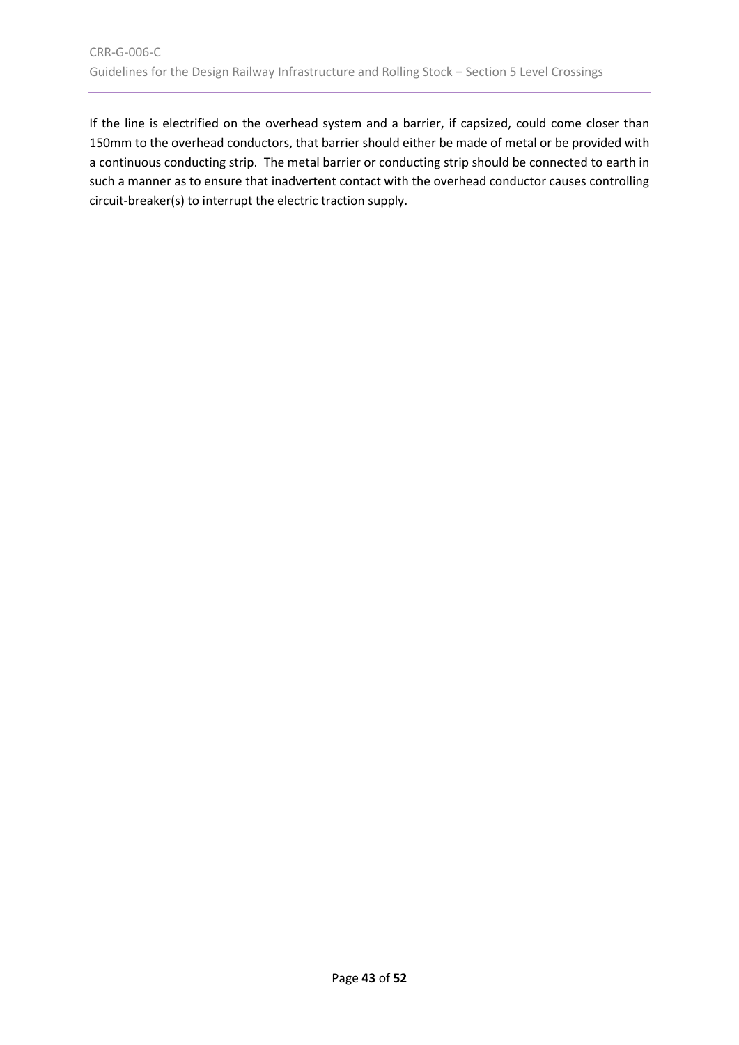If the line is electrified on the overhead system and a barrier, if capsized, could come closer than 150mm to the overhead conductors, that barrier should either be made of metal or be provided with a continuous conducting strip. The metal barrier or conducting strip should be connected to earth in such a manner as to ensure that inadvertent contact with the overhead conductor causes controlling circuit-breaker(s) to interrupt the electric traction supply.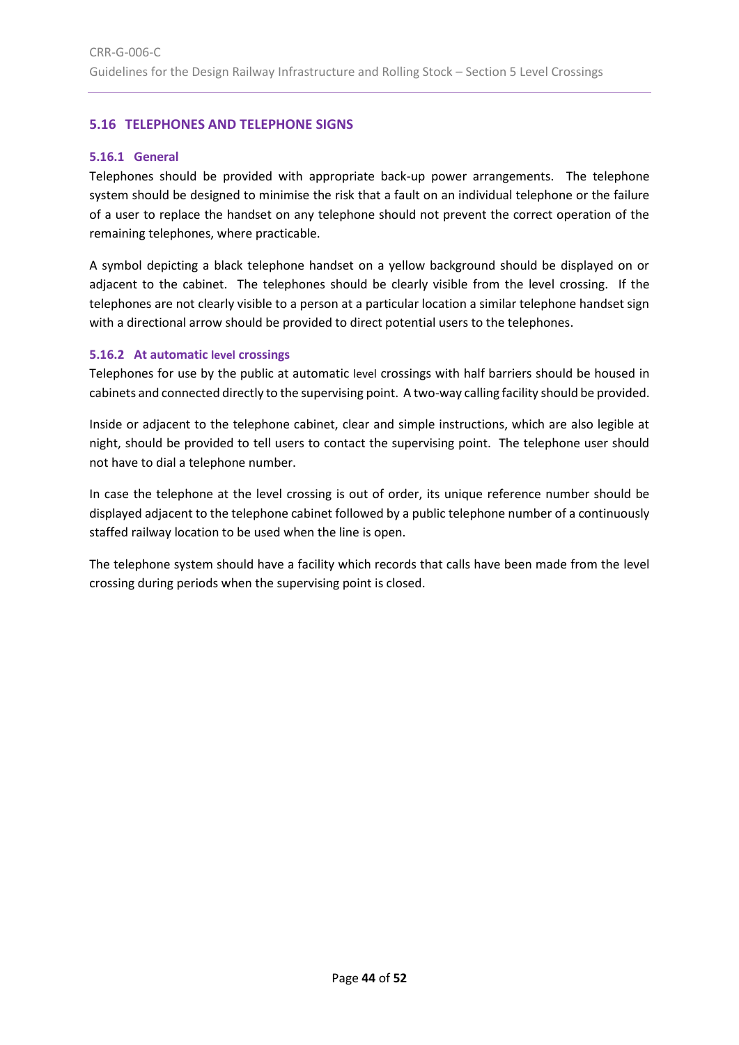# <span id="page-43-0"></span>**5.16 TELEPHONES AND TELEPHONE SIGNS**

#### <span id="page-43-1"></span>**5.16.1 General**

Telephones should be provided with appropriate back-up power arrangements. The telephone system should be designed to minimise the risk that a fault on an individual telephone or the failure of a user to replace the handset on any telephone should not prevent the correct operation of the remaining telephones, where practicable.

A symbol depicting a black telephone handset on a yellow background should be displayed on or adjacent to the cabinet. The telephones should be clearly visible from the level crossing. If the telephones are not clearly visible to a person at a particular location a similar telephone handset sign with a directional arrow should be provided to direct potential users to the telephones.

#### <span id="page-43-2"></span>**5.16.2 At automatic level crossings**

Telephones for use by the public at automatic level crossings with half barriers should be housed in cabinets and connected directly to the supervising point. A two-way calling facility should be provided.

Inside or adjacent to the telephone cabinet, clear and simple instructions, which are also legible at night, should be provided to tell users to contact the supervising point. The telephone user should not have to dial a telephone number.

In case the telephone at the level crossing is out of order, its unique reference number should be displayed adjacent to the telephone cabinet followed by a public telephone number of a continuously staffed railway location to be used when the line is open.

The telephone system should have a facility which records that calls have been made from the level crossing during periods when the supervising point is closed.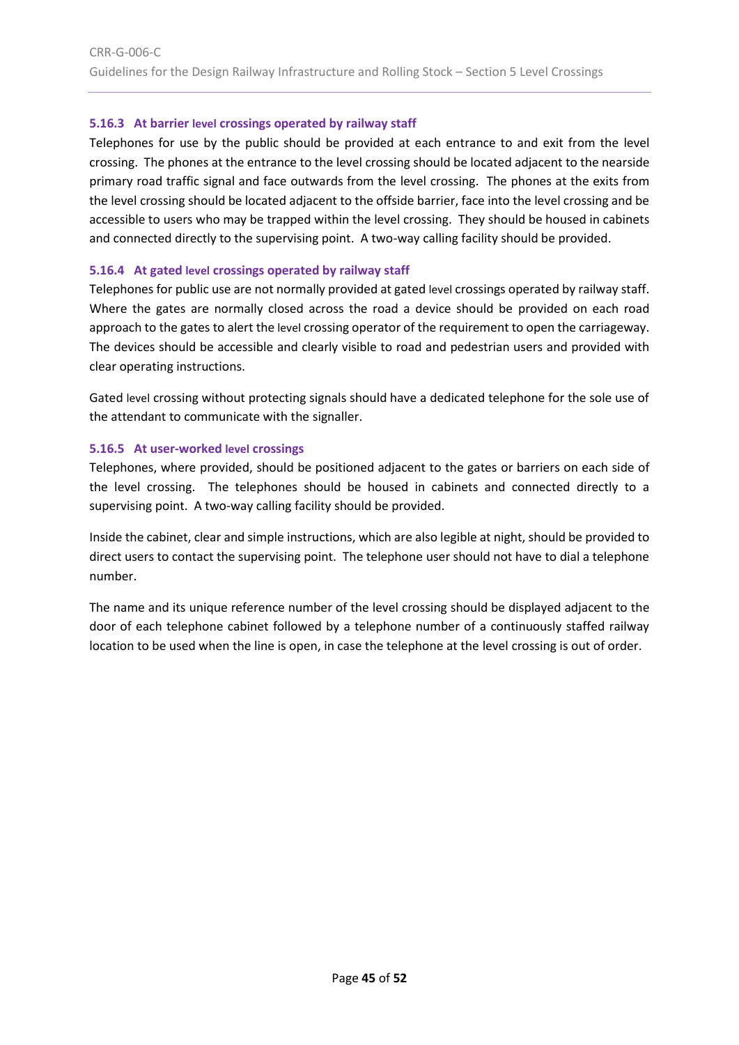# <span id="page-44-0"></span>**5.16.3 At barrier level crossings operated by railway staff**

Telephones for use by the public should be provided at each entrance to and exit from the level crossing. The phones at the entrance to the level crossing should be located adjacent to the nearside primary road traffic signal and face outwards from the level crossing. The phones at the exits from the level crossing should be located adjacent to the offside barrier, face into the level crossing and be accessible to users who may be trapped within the level crossing. They should be housed in cabinets and connected directly to the supervising point. A two-way calling facility should be provided.

# <span id="page-44-1"></span>**5.16.4 At gated level crossings operated by railway staff**

Telephones for public use are not normally provided at gated level crossings operated by railway staff. Where the gates are normally closed across the road a device should be provided on each road approach to the gates to alert the level crossing operator of the requirement to open the carriageway. The devices should be accessible and clearly visible to road and pedestrian users and provided with clear operating instructions.

Gated level crossing without protecting signals should have a dedicated telephone for the sole use of the attendant to communicate with the signaller.

# <span id="page-44-2"></span>**5.16.5 At user-worked level crossings**

Telephones, where provided, should be positioned adjacent to the gates or barriers on each side of the level crossing. The telephones should be housed in cabinets and connected directly to a supervising point. A two-way calling facility should be provided.

Inside the cabinet, clear and simple instructions, which are also legible at night, should be provided to direct users to contact the supervising point. The telephone user should not have to dial a telephone number.

The name and its unique reference number of the level crossing should be displayed adjacent to the door of each telephone cabinet followed by a telephone number of a continuously staffed railway location to be used when the line is open, in case the telephone at the level crossing is out of order.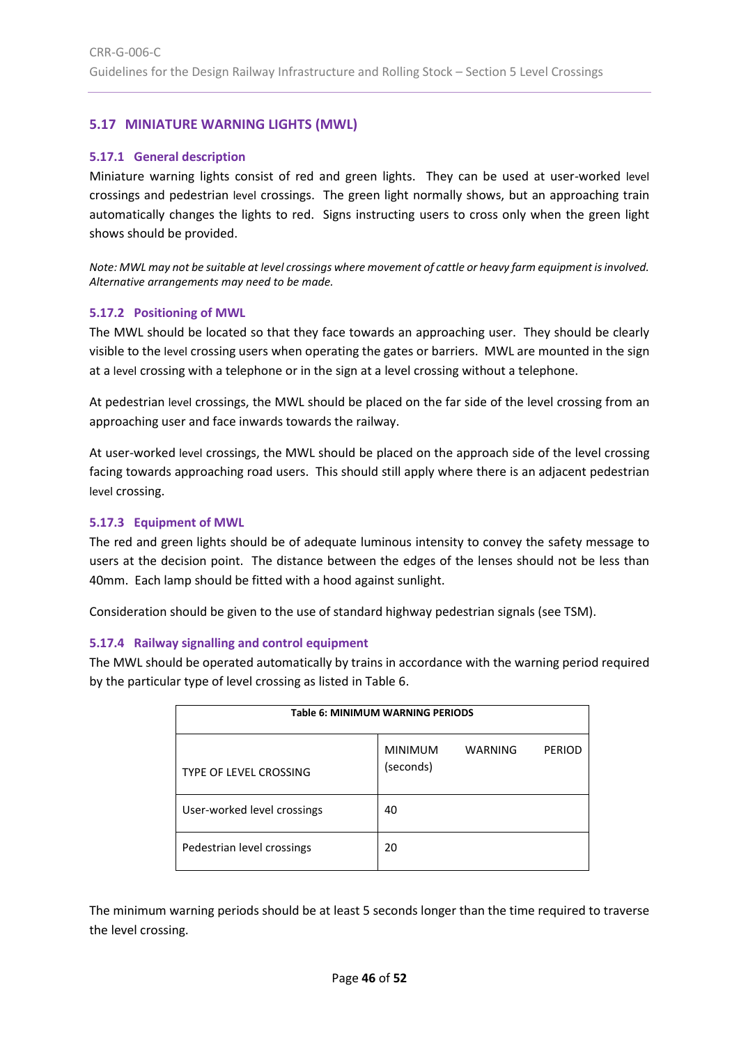# <span id="page-45-0"></span>**5.17 MINIATURE WARNING LIGHTS (MWL)**

#### <span id="page-45-1"></span>**5.17.1 General description**

Miniature warning lights consist of red and green lights. They can be used at user-worked level crossings and pedestrian level crossings. The green light normally shows, but an approaching train automatically changes the lights to red. Signs instructing users to cross only when the green light shows should be provided.

*Note: MWL may not be suitable at level crossings where movement of cattle or heavy farm equipment is involved. Alternative arrangements may need to be made.*

#### <span id="page-45-2"></span>**5.17.2 Positioning of MWL**

The MWL should be located so that they face towards an approaching user. They should be clearly visible to the level crossing users when operating the gates or barriers. MWL are mounted in the sign at a level crossing with a telephone or in the sign at a level crossing without a telephone.

At pedestrian level crossings, the MWL should be placed on the far side of the level crossing from an approaching user and face inwards towards the railway.

At user-worked level crossings, the MWL should be placed on the approach side of the level crossing facing towards approaching road users. This should still apply where there is an adjacent pedestrian level crossing.

#### <span id="page-45-3"></span>**5.17.3 Equipment of MWL**

The red and green lights should be of adequate luminous intensity to convey the safety message to users at the decision point. The distance between the edges of the lenses should not be less than 40mm. Each lamp should be fitted with a hood against sunlight.

Consideration should be given to the use of standard highway pedestrian signals (see TSM).

# <span id="page-45-4"></span>**5.17.4 Railway signalling and control equipment**

The MWL should be operated automatically by trains in accordance with the warning period required by the particular type of level crossing as listed in [Table 6.](#page-45-5)

<span id="page-45-5"></span>

| Table 6: MINIMUM WARNING PERIODS |                             |         |               |  |
|----------------------------------|-----------------------------|---------|---------------|--|
| <b>TYPE OF LEVEL CROSSING</b>    | <b>MINIMUM</b><br>(seconds) | WARNING | <b>PERIOD</b> |  |
| User-worked level crossings      | 40                          |         |               |  |
| Pedestrian level crossings       | 20                          |         |               |  |

The minimum warning periods should be at least 5 seconds longer than the time required to traverse the level crossing.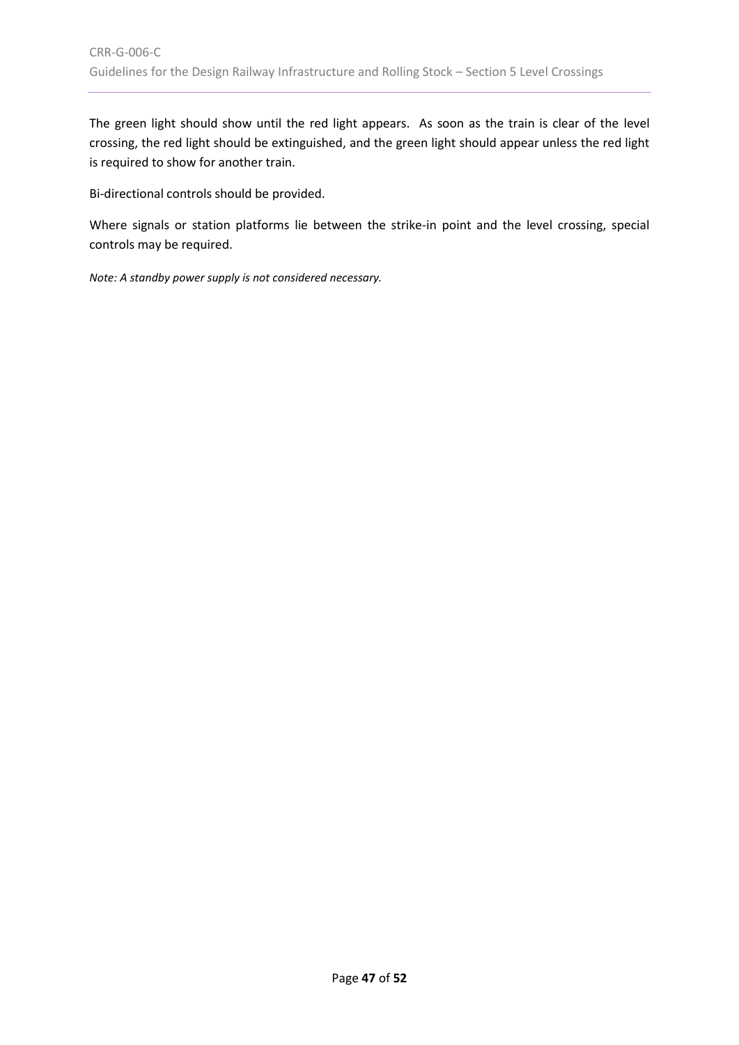The green light should show until the red light appears. As soon as the train is clear of the level crossing, the red light should be extinguished, and the green light should appear unless the red light is required to show for another train.

Bi-directional controls should be provided.

Where signals or station platforms lie between the strike-in point and the level crossing, special controls may be required.

*Note: A standby power supply is not considered necessary.*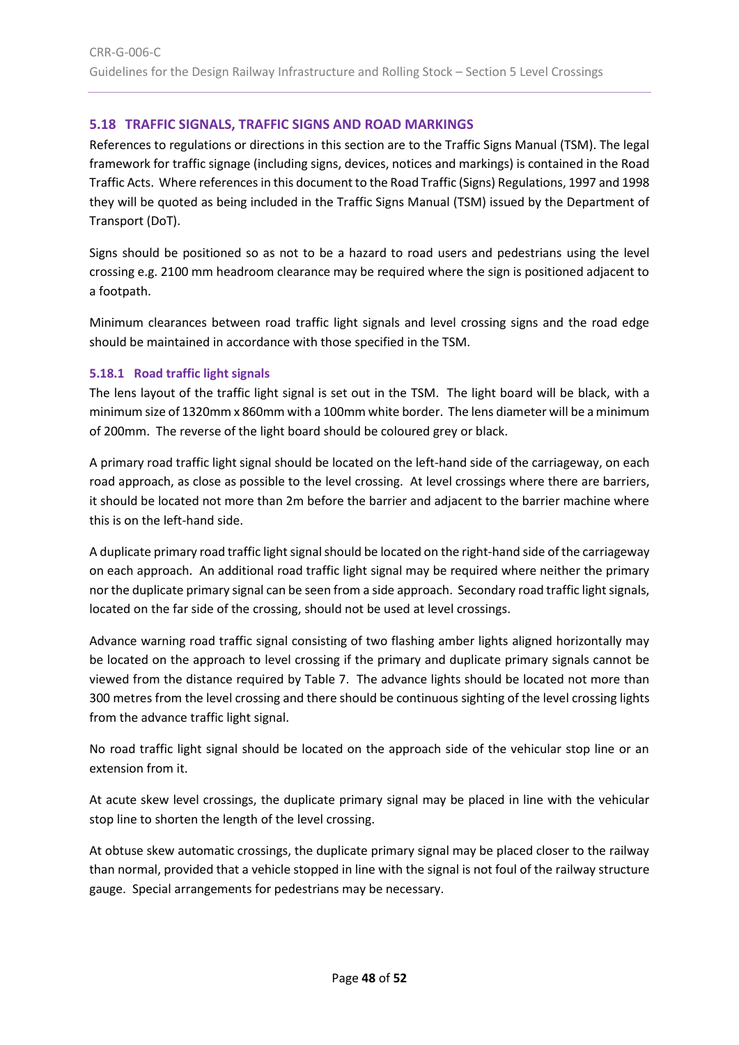# <span id="page-47-0"></span>**5.18 TRAFFIC SIGNALS, TRAFFIC SIGNS AND ROAD MARKINGS**

References to regulations or directions in this section are to the Traffic Signs Manual (TSM). The legal framework for traffic signage (including signs, devices, notices and markings) is contained in the Road Traffic Acts. Where references in this document to the Road Traffic (Signs) Regulations, 1997 and 1998 they will be quoted as being included in the Traffic Signs Manual (TSM) issued by the Department of Transport (DoT).

Signs should be positioned so as not to be a hazard to road users and pedestrians using the level crossing e.g. 2100 mm headroom clearance may be required where the sign is positioned adjacent to a footpath.

Minimum clearances between road traffic light signals and level crossing signs and the road edge should be maintained in accordance with those specified in the TSM.

# <span id="page-47-1"></span>**5.18.1 Road traffic light signals**

The lens layout of the traffic light signal is set out in the TSM. The light board will be black, with a minimum size of 1320mm x 860mm with a 100mm white border. The lens diameter will be a minimum of 200mm. The reverse of the light board should be coloured grey or black.

A primary road traffic light signal should be located on the left-hand side of the carriageway, on each road approach, as close as possible to the level crossing. At level crossings where there are barriers, it should be located not more than 2m before the barrier and adjacent to the barrier machine where this is on the left-hand side.

A duplicate primary road traffic light signal should be located on the right-hand side of the carriageway on each approach. An additional road traffic light signal may be required where neither the primary nor the duplicate primary signal can be seen from a side approach. Secondary road traffic light signals, located on the far side of the crossing, should not be used at level crossings.

Advance warning road traffic signal consisting of two flashing amber lights aligned horizontally may be located on the approach to level crossing if the primary and duplicate primary signals cannot be viewed from the distance required by [Table 7.](#page-48-1) The advance lights should be located not more than 300 metres from the level crossing and there should be continuous sighting of the level crossing lights from the advance traffic light signal.

No road traffic light signal should be located on the approach side of the vehicular stop line or an extension from it.

At acute skew level crossings, the duplicate primary signal may be placed in line with the vehicular stop line to shorten the length of the level crossing.

At obtuse skew automatic crossings, the duplicate primary signal may be placed closer to the railway than normal, provided that a vehicle stopped in line with the signal is not foul of the railway structure gauge. Special arrangements for pedestrians may be necessary.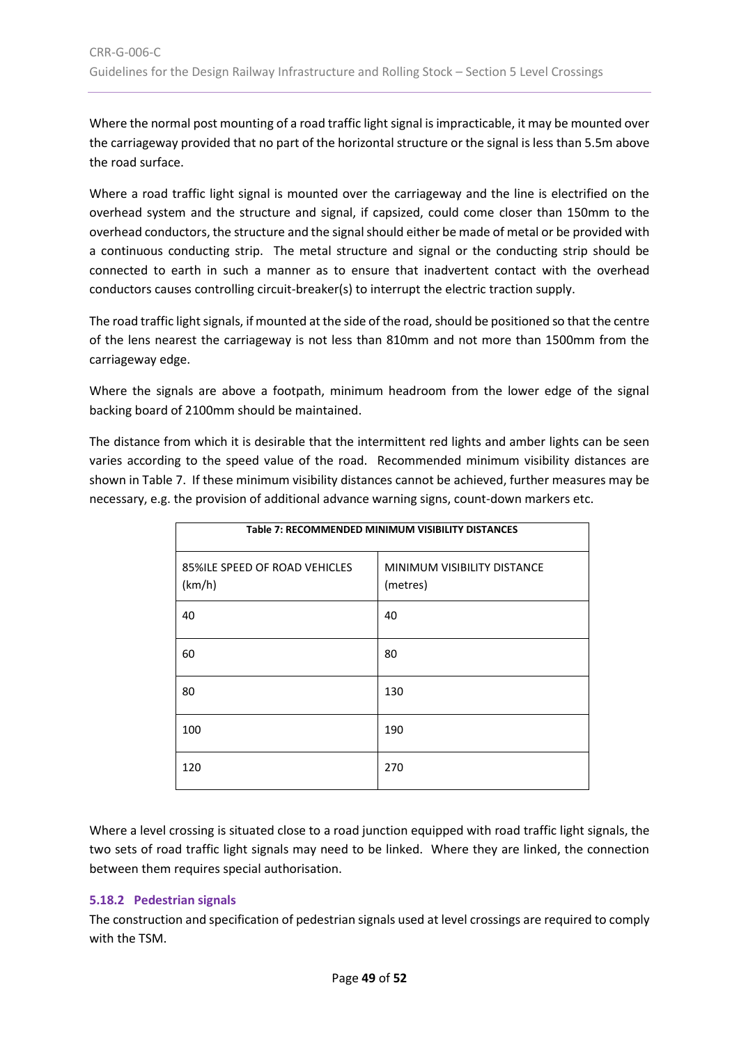Where the normal post mounting of a road traffic light signal is impracticable, it may be mounted over the carriageway provided that no part of the horizontal structure or the signal is less than 5.5m above the road surface.

Where a road traffic light signal is mounted over the carriageway and the line is electrified on the overhead system and the structure and signal, if capsized, could come closer than 150mm to the overhead conductors, the structure and the signal should either be made of metal or be provided with a continuous conducting strip. The metal structure and signal or the conducting strip should be connected to earth in such a manner as to ensure that inadvertent contact with the overhead conductors causes controlling circuit-breaker(s) to interrupt the electric traction supply.

The road traffic light signals, if mounted at the side of the road, should be positioned so that the centre of the lens nearest the carriageway is not less than 810mm and not more than 1500mm from the carriageway edge.

Where the signals are above a footpath, minimum headroom from the lower edge of the signal backing board of 2100mm should be maintained.

The distance from which it is desirable that the intermittent red lights and amber lights can be seen varies according to the speed value of the road. Recommended minimum visibility distances are shown i[n Table 7.](#page-48-1) If these minimum visibility distances cannot be achieved, further measures may be necessary, e.g. the provision of additional advance warning signs, count-down markers etc.

<span id="page-48-1"></span>

| Table 7: RECOMMENDED MINIMUM VISIBILITY DISTANCES |                                         |  |  |
|---------------------------------------------------|-----------------------------------------|--|--|
| 85%ILE SPEED OF ROAD VEHICLES<br>(km/h)           | MINIMUM VISIBILITY DISTANCE<br>(metres) |  |  |
| 40                                                | 40                                      |  |  |
| 60                                                | 80                                      |  |  |
| 80                                                | 130                                     |  |  |
| 100                                               | 190                                     |  |  |
| 120                                               | 270                                     |  |  |

Where a level crossing is situated close to a road junction equipped with road traffic light signals, the two sets of road traffic light signals may need to be linked. Where they are linked, the connection between them requires special authorisation.

# <span id="page-48-0"></span>**5.18.2 Pedestrian signals**

The construction and specification of pedestrian signals used at level crossings are required to comply with the TSM.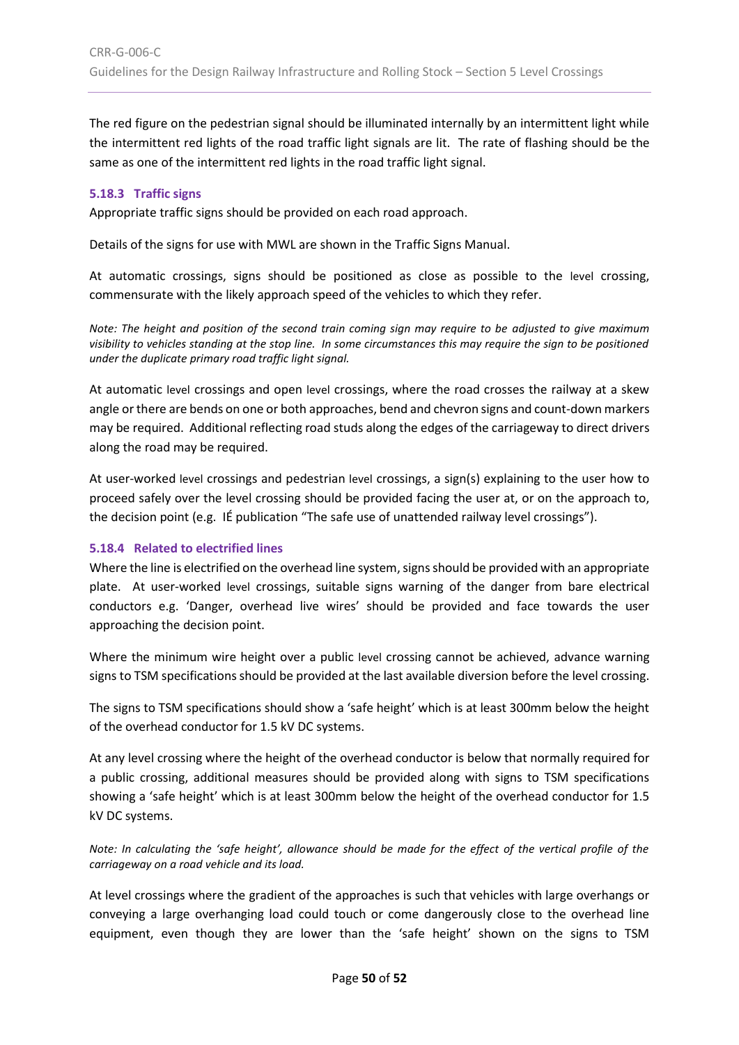The red figure on the pedestrian signal should be illuminated internally by an intermittent light while the intermittent red lights of the road traffic light signals are lit. The rate of flashing should be the same as one of the intermittent red lights in the road traffic light signal.

#### <span id="page-49-0"></span>**5.18.3 Traffic signs**

Appropriate traffic signs should be provided on each road approach.

Details of the signs for use with MWL are shown in the Traffic Signs Manual.

At automatic crossings, signs should be positioned as close as possible to the level crossing, commensurate with the likely approach speed of the vehicles to which they refer.

*Note: The height and position of the second train coming sign may require to be adjusted to give maximum visibility to vehicles standing at the stop line. In some circumstances this may require the sign to be positioned under the duplicate primary road traffic light signal.*

At automatic level crossings and open level crossings, where the road crosses the railway at a skew angle or there are bends on one or both approaches, bend and chevron signs and count-down markers may be required. Additional reflecting road studs along the edges of the carriageway to direct drivers along the road may be required.

At user-worked level crossings and pedestrian level crossings, a sign(s) explaining to the user how to proceed safely over the level crossing should be provided facing the user at, or on the approach to, the decision point (e.g. IÉ publication "The safe use of unattended railway level crossings").

#### <span id="page-49-1"></span>**5.18.4 Related to electrified lines**

Where the line is electrified on the overhead line system, signs should be provided with an appropriate plate. At user-worked level crossings, suitable signs warning of the danger from bare electrical conductors e.g. 'Danger, overhead live wires' should be provided and face towards the user approaching the decision point.

Where the minimum wire height over a public level crossing cannot be achieved, advance warning signs to TSM specifications should be provided at the last available diversion before the level crossing.

The signs to TSM specifications should show a 'safe height' which is at least 300mm below the height of the overhead conductor for 1.5 kV DC systems.

At any level crossing where the height of the overhead conductor is below that normally required for a public crossing, additional measures should be provided along with signs to TSM specifications showing a 'safe height' which is at least 300mm below the height of the overhead conductor for 1.5 kV DC systems.

*Note: In calculating the 'safe height', allowance should be made for the effect of the vertical profile of the carriageway on a road vehicle and its load.*

At level crossings where the gradient of the approaches is such that vehicles with large overhangs or conveying a large overhanging load could touch or come dangerously close to the overhead line equipment, even though they are lower than the 'safe height' shown on the signs to TSM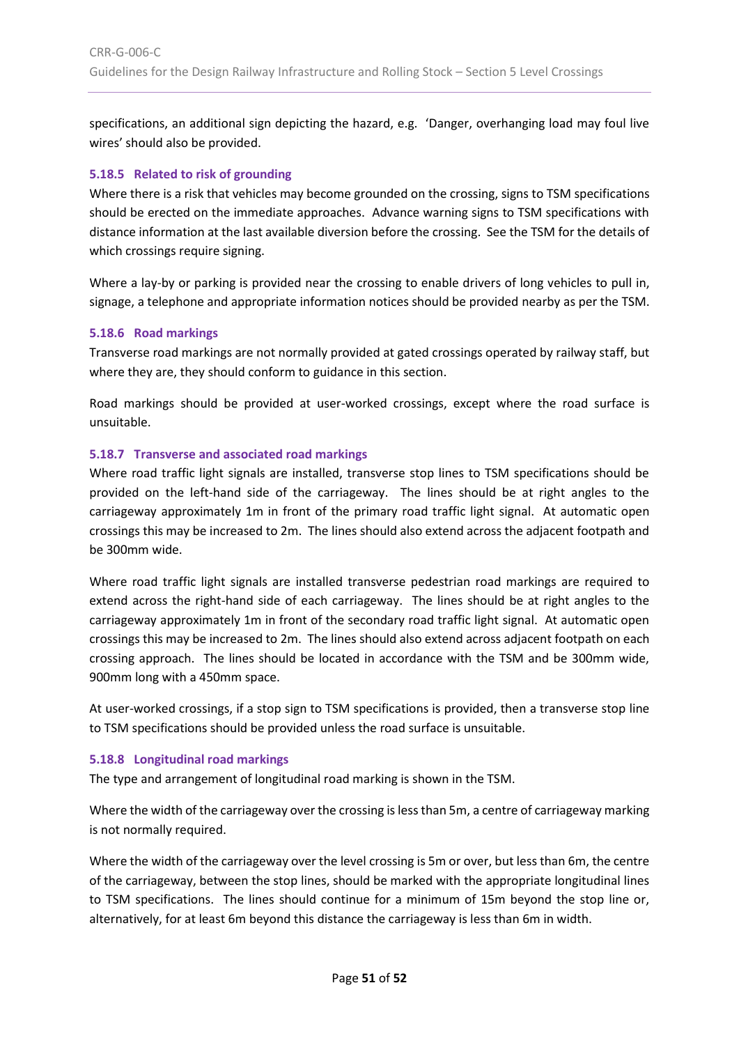specifications, an additional sign depicting the hazard, e.g. 'Danger, overhanging load may foul live wires' should also be provided.

#### <span id="page-50-0"></span>**5.18.5 Related to risk of grounding**

Where there is a risk that vehicles may become grounded on the crossing, signs to TSM specifications should be erected on the immediate approaches. Advance warning signs to TSM specifications with distance information at the last available diversion before the crossing. See the TSM for the details of which crossings require signing.

Where a lay-by or parking is provided near the crossing to enable drivers of long vehicles to pull in, signage, a telephone and appropriate information notices should be provided nearby as per the TSM.

#### <span id="page-50-1"></span>**5.18.6 Road markings**

Transverse road markings are not normally provided at gated crossings operated by railway staff, but where they are, they should conform to guidance in this section.

Road markings should be provided at user-worked crossings, except where the road surface is unsuitable.

#### <span id="page-50-2"></span>**5.18.7 Transverse and associated road markings**

Where road traffic light signals are installed, transverse stop lines to TSM specifications should be provided on the left-hand side of the carriageway. The lines should be at right angles to the carriageway approximately 1m in front of the primary road traffic light signal. At automatic open crossings this may be increased to 2m. The lines should also extend across the adjacent footpath and be 300mm wide.

Where road traffic light signals are installed transverse pedestrian road markings are required to extend across the right-hand side of each carriageway. The lines should be at right angles to the carriageway approximately 1m in front of the secondary road traffic light signal. At automatic open crossings this may be increased to 2m. The lines should also extend across adjacent footpath on each crossing approach. The lines should be located in accordance with the TSM and be 300mm wide, 900mm long with a 450mm space.

At user-worked crossings, if a stop sign to TSM specifications is provided, then a transverse stop line to TSM specifications should be provided unless the road surface is unsuitable.

#### <span id="page-50-3"></span>**5.18.8 Longitudinal road markings**

The type and arrangement of longitudinal road marking is shown in the TSM.

Where the width of the carriageway over the crossing is less than 5m, a centre of carriageway marking is not normally required.

Where the width of the carriageway over the level crossing is 5m or over, but less than 6m, the centre of the carriageway, between the stop lines, should be marked with the appropriate longitudinal lines to TSM specifications. The lines should continue for a minimum of 15m beyond the stop line or, alternatively, for at least 6m beyond this distance the carriageway is less than 6m in width.